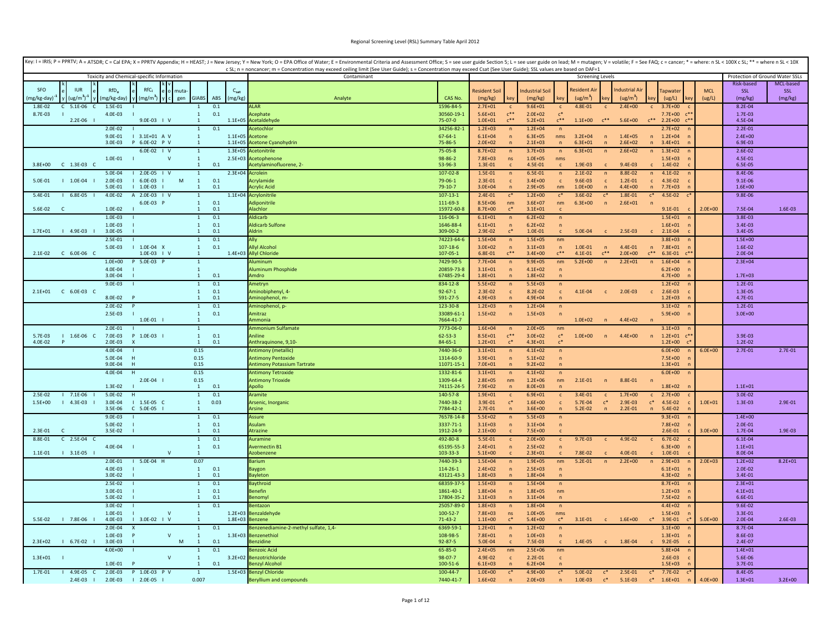|             |                          |                                 |                                            |                   |                                  |            |                             | Key: I = IRIS; P = PPRTV; A = ATSDR; C = Cal EPA; X = PPRTV Appendix; H = HEAST; J = New Jersey; Y = New York; O = EPA Office of Water; E = Environmental Criteria and Assessment Office; S = see user guide Section 5; L = se<br>c SL; n = noncancer; m = Concentration may exceed ceiling limit (See User Guide); s = Concentration may exceed Csat (See User Guide); SSL values are based on DAF=1 |                              |                            |                            |                            |                              |                          |                  |                        |                              |                                                   |                      |                                 |                |
|-------------|--------------------------|---------------------------------|--------------------------------------------|-------------------|----------------------------------|------------|-----------------------------|-------------------------------------------------------------------------------------------------------------------------------------------------------------------------------------------------------------------------------------------------------------------------------------------------------------------------------------------------------------------------------------------------------|------------------------------|----------------------------|----------------------------|----------------------------|------------------------------|--------------------------|------------------|------------------------|------------------------------|---------------------------------------------------|----------------------|---------------------------------|----------------|
|             |                          |                                 | Toxicity and Chemical-specific Information |                   |                                  |            |                             | Contaminant                                                                                                                                                                                                                                                                                                                                                                                           |                              |                            |                            |                            |                              | <b>Screening Levels</b>  |                  |                        |                              |                                                   |                      | Protection of Ground Water SSLs |                |
| <b>SEO</b>  | <b>ILIR</b>              |                                 | $RfC_i$                                    |                   |                                  |            |                             |                                                                                                                                                                                                                                                                                                                                                                                                       |                              |                            |                            |                            |                              | <b>Resident Ai</b>       |                  | ndustrial Air          |                              |                                                   |                      | Risk-based                      | MCL-based      |
| (mg/kg-day) | (ug/m <sup>3</sup> )     | RfD <sub>o</sub><br>(mg/kg-day) | (mg/m <sup>3</sup> )                       | muta<br>gen       | <b>GIABS</b>                     | ABS        | C <sub>sat</sub><br>(mg/kg) | Analyte                                                                                                                                                                                                                                                                                                                                                                                               | CAS No.                      | Resident Soil<br>(mg/kg)   | kev                        | ndustrial Soil<br>(mg/kg)  | key                          | (ug/m <sup>3</sup> )     |                  | (ug/m <sup>3</sup> )   |                              | apwate<br>(ug/L)                                  | <b>MCL</b><br>(ug/L) | SSL<br>(mg/kg)                  | SSL<br>(mg/kg) |
| 1.8E-02     | 5.1E-06<br>C<br><b>C</b> | 1.5E-01                         |                                            |                   | $\mathbf{1}$                     | 0.1        |                             | <b>ALAR</b>                                                                                                                                                                                                                                                                                                                                                                                           | 1596-84-5                    | $2.7E + 01$                |                            | $9.6E + 01$                |                              | 4.8E-01                  |                  | $2.4E + 00$            | $\mathbf{C}$                 | $3.7E + 00$                                       |                      | 8.2E-04                         |                |
| 8.7E-03     |                          | 4.0E-03                         |                                            |                   | $\mathbf{1}$<br>$\mathbf 1$      | 0.1        |                             | cephate                                                                                                                                                                                                                                                                                                                                                                                               | 30560-19-1                   | $5.6E + 01$                | $C^{\ast\ast}$<br>$c**$    | $2.0E + 02$                | $c^*$<br>$C^{\ast\ast}$      |                          | $c^{**}$         |                        | $C^{***}$                    | 7.7E+00                                           |                      | 1.7E-03                         |                |
|             | $2.2E-06$                | $2.0E - 02$                     | 9.0E-03   V                                |                   | $\mathbf{1}$                     | 0.1        |                             | 1.1E+05 Acetaldehyde<br>cetochlor                                                                                                                                                                                                                                                                                                                                                                     | 75-07-0<br>34256-82-1        | $1.0E + 01$<br>$1.2E + 03$ | n                          | $5.2E + 01$<br>$1.2E + 04$ | $\sqrt{n}$                   | $1.1E + 00$              |                  | $5.6E + 00$            |                              | $2.2E + 00$<br>$2.7E + 02$                        |                      | 4.5E-04<br>$2.2E - 01$          |                |
|             |                          | 9.0E-01                         | $1$ 3.1E+01 A V                            |                   | $\mathbf{1}$                     |            | 1.1E+05 Acetone             |                                                                                                                                                                                                                                                                                                                                                                                                       | $67 - 64 - 1$                | $6.1E + 04$                | $\sqrt{n}$                 | $6.3E + 05$                | nms                          | $3.2E + 04$              | $\sqrt{n}$       | $1.4E + 05$            | $\mathsf{n}$                 | $1.2E + 04$                                       |                      | $2.4E + 00$                     |                |
|             |                          | 3.0E-03                         | P 6.0E-02 P V                              |                   | $\overline{1}$<br>$\overline{1}$ |            | $1.1F + 05$                 | <b>Acetone Cyanohydrin</b><br>cetonitril                                                                                                                                                                                                                                                                                                                                                              | 75-86-5                      | $2.0E + 02$                | n                          | $2.1E + 03$                | n                            | $6.3F + 01$              | n                | $2.6E + 02$            | n                            | $3.4F + 01$                                       |                      | 6.9E-03                         |                |
|             |                          | $1.0E - 01$                     | $6.0E-02$   V                              | $\mathbf{v}$      | $\mathbf{1}$                     |            | $1.3E + 05$                 | 2.5E+03 Acetophenone                                                                                                                                                                                                                                                                                                                                                                                  | 75-05-8<br>98-86-2           | 8.7E+02<br>$7.8E + 03$     | $\sqrt{n}$<br>ns           | $3.7E + 03$<br>$1.0E + 05$ | $\sqrt{n}$<br>nms            | $6.3E + 01$              |                  | $2.6E + 02$            | $\overline{n}$               | $1.3E + 02$<br>$1.5E + 03$                        |                      | $2.6E - 02$<br>4.5E-01          |                |
| $3.8E + 00$ | $C$ 1.3E-03 $C$          |                                 |                                            |                   | $\mathbf{1}$                     | 0.1        |                             | cetylaminofluorene, 2-                                                                                                                                                                                                                                                                                                                                                                                | 53-96-3                      | 1.3E-01                    |                            | 4.5E-01                    | $\mathbf{c}$                 | 1.9E-03                  |                  | $9.4F - 03$            |                              | 1.4E-02                                           |                      | 6.5E-05                         |                |
| 5.0E-01     | $1 1.0E-04$              | 5.0E-04<br>2.0E-03              | $12.0E-05$   V<br>6.0E-03                  | M                 | $\mathbf{1}$<br>$\mathbf{1}$     | 0.1        | $2.3E + 04$                 | Acrolein<br><b>crvlamide</b>                                                                                                                                                                                                                                                                                                                                                                          | $107 - 02 - 8$<br>79-06-1    | 1.5E-01<br>$2.3E - 01$     | $\sqrt{n}$<br>$\mathbf{c}$ | 6.5E-01<br>$3.4E + 00$     | $\mathsf{n}$<br>$\mathbf{c}$ | $2.1E-02$<br>$9.6E - 03$ | $\mathsf{n}$     | 8.8E-02<br>$1.2E - 01$ | $\mathsf{n}$<br>$\mathbf{c}$ | $4.1E - 02$<br>4.3E-02                            |                      | 8.4E-06<br>$9.1E - 06$          |                |
|             |                          | 5.0E-01                         | 1.0E-03                                    |                   | $\mathbf{1}$                     | 0.1        |                             | crylic Acid                                                                                                                                                                                                                                                                                                                                                                                           | 79-10-7                      | $3.0E + 04$                |                            | $2.9E + 05$                | nm                           | $1.0E + 00$              | $\overline{p}$   | $4.4E + 00$            | n                            | $7.7E + 03$                                       |                      | $1.6E + 00$                     |                |
| 5.4E-01     | $1 6.8E-05$              | $4.0E - 02$                     | A 2.0E-03   V                              |                   | $\mathbf{1}$                     |            |                             | 1.1E+04 Acrylonitrile                                                                                                                                                                                                                                                                                                                                                                                 | $107 - 13 - 1$               | $2.4E - 01$                | $\mathfrak{c}^*$           | $1.2F + 00$                | $\mathfrak{c}^*$             | $3.6E-02$                | $\mathfrak{c}^*$ | 1.8E-01                | $c^*$                        | $4.5E - 02$                                       |                      | $9.8E - 06$                     |                |
| 5.6E-02     | <b>C</b>                 | 1.0E-02                         | 6.0E-03 P                                  |                   | $\mathbf{1}$<br>$\mathbf{1}$     | 0.1<br>0.1 |                             | Adiponitrile<br><b>Jachlor</b>                                                                                                                                                                                                                                                                                                                                                                        | 111-69-3<br>15972-60-8       | $8.5E + 06$<br>8.7E+00     | nm<br>$c^*$                | $3.6E + 07$<br>$3.1E + 01$ | nm<br>$\mathbf{c}$           | $6.3E + 00$              | $\sqrt{n}$       | $2.6E + 01$            | $\overline{p}$               | $9.1E - 01$                                       | $2.0E + 00$          | 7.5E-04                         | 1.6E-03        |
|             |                          | 1.0E-03                         |                                            |                   | $\mathbf{1}$                     | 0.1        |                             | Aldicarb                                                                                                                                                                                                                                                                                                                                                                                              | 116-06-3                     | $6.1E + 01$                | $\sqrt{n}$                 | $6.2E + 02$                | $\sqrt{n}$                   |                          |                  |                        |                              | $1.5E + 01$                                       |                      | 3.8E-03                         |                |
|             |                          | 1.0E-03                         |                                            |                   | $\mathbf{1}$                     | 0.1        |                             | <b>Aldicarb Sulfone</b>                                                                                                                                                                                                                                                                                                                                                                               | 1646-88-4                    | $6.1E + 01$                | $\sqrt{n}$                 | $6.2E + 02$                | n                            |                          |                  |                        |                              | $1.6E + 01$                                       |                      | 3.4E-03                         |                |
| $1.7E + 01$ | $14.9E-03$               | 3.0E-05                         |                                            |                   | $\mathbf{1}$                     | 0.1        |                             | <b>Aldrin</b>                                                                                                                                                                                                                                                                                                                                                                                         | 309-00-2                     | 2.9E-02                    | $c^*$                      | 1.0E-01                    |                              | 5.0E-04                  |                  | 2.5E-03                |                              | $2.1E-04$                                         |                      | 3.4E-05                         |                |
|             |                          | 2.5E-01<br>5.0E-03              | $1.0E-04 X$                                |                   | $\mathbf{1}$<br>$\mathbf{1}$     | 0.1<br>0.1 |                             | <b>Allyl Alcohol</b>                                                                                                                                                                                                                                                                                                                                                                                  | 74223-64-6<br>$107 - 18 - 6$ | $1.5E + 04$<br>$3.0E + 02$ | n<br>$\sqrt{n}$            | $1.5E + 05$<br>$3.1E + 03$ | nm<br>n                      | 1.0E-01                  | $\sqrt{n}$       | 4.4E-01                | $\mathsf{n}$                 | $3.8E + 03$<br>$7.8E + 01$                        |                      | $1.5E + 00$<br>1.6E-02          |                |
| 2.1E-02     | $C$ 6.0E-06 $C$          |                                 | $1.0E-03$   V                              |                   | -1                               |            |                             | 1.4E+03 Allyl Chloride                                                                                                                                                                                                                                                                                                                                                                                | 107-05-1                     | 6.8E-01                    | $e^{**}$                   | $3.4E + 00$                | $c^{**}$                     | $4.1E - 01$              | $e^{**}$         | $2.0E + 00$            | $C^{\ast\ast}$               | 6.3E-01                                           |                      | 2.0E-04                         |                |
|             |                          | $1.0E + 00$                     | P 5.0E-03 P                                |                   | $\mathbf{1}$                     |            |                             | <b>Juminum</b>                                                                                                                                                                                                                                                                                                                                                                                        | 7429-90-5                    | $7.7E + 04$                | n                          | $9.9E + 05$                | nm                           | $5.2E + 00$              | n                | $2.2E + 01$            | n                            | $1.6E + 04$                                       |                      | $2.3E + 04$                     |                |
|             |                          | $4.0F - 04$<br>3.0E-04          |                                            |                   | $\overline{1}$<br>$\overline{1}$ | $0.1\,$    |                             | Aluminum Phosphide<br><b>umdro</b>                                                                                                                                                                                                                                                                                                                                                                    | 20859-73-8<br>67485-29-4     | $3.1E + 01$<br>$1.8E + 01$ | $\sqrt{n}$<br>n            | $4.1E + 02$<br>$1.8E + 02$ | $\sqrt{n}$<br>$\mathsf{n}$   |                          |                  |                        |                              | $6.2E + 00$<br>$4.7E + 00$                        |                      | $1.7E + 03$                     |                |
|             |                          | $9.0E - 03$                     |                                            |                   | $\mathbf{1}$                     | 0.1        |                             | Ametryn                                                                                                                                                                                                                                                                                                                                                                                               | 834-12-8                     | $5.5E + 02$                | $\sqrt{n}$                 | $5.5E + 03$                | $\mathsf{n}$                 |                          |                  |                        |                              | $1.2E + 02$                                       |                      | $1.2E - 01$                     |                |
|             |                          |                                 |                                            |                   | $\mathbf{1}$<br>$\overline{1}$   | 0.1        |                             | Aminobiphenyl, 4-                                                                                                                                                                                                                                                                                                                                                                                     | $92 - 67 - 1$                | $2.3E-02$                  | $\mathsf{C}$               | 8.2E-02                    | $\mathsf{c}$                 | 4.1E-04                  | $\mathbf{c}$     | $2.0E-03$              | $\mathbf{c}$                 | 2.6E-03                                           |                      | 1.3E-05                         |                |
|             |                          | 8.0E-02<br>$2.0E-02$            |                                            |                   | $1\,$                            | 0.1<br>0.1 |                             | minophenol, m-<br>Aminophenol, p-                                                                                                                                                                                                                                                                                                                                                                     | 591-27-5<br>123-30-8         | $4.9E + 03$<br>$1.2E + 03$ | $\mathsf{n}$               | $4.9E + 04$<br>$1.2E + 04$ | $\sqrt{n}$                   |                          |                  |                        |                              | $1.2E + 03$<br>$3.1E + 02$                        |                      | 4.7E-01<br>$1.2E - 01$          |                |
|             |                          | 2.5E-03                         |                                            |                   | $\mathbf{1}$                     | 0.1        |                             | Amitraz                                                                                                                                                                                                                                                                                                                                                                                               | 33089-61-1                   | $1.5E + 02$                | $\mathsf{n}$               | $1.5E + 03$                | $\sqrt{n}$                   |                          |                  |                        |                              | $5.9E + 00$                                       |                      | $3.0E + 00$                     |                |
|             |                          |                                 | $1.0E-01$                                  |                   |                                  |            |                             | <i><b>Immonia</b></i>                                                                                                                                                                                                                                                                                                                                                                                 | 7664-41-7                    |                            |                            |                            |                              | $1.0F + 02$              | $\sqrt{n}$       | $4.4F + 02$            | $\overline{ }$               |                                                   |                      |                                 |                |
| $5.7F-03$   | $1 1.6E-06 C$            | $2.0E-01$<br>7.0E-03            | P 1.0E-03                                  |                   | $\mathbf{1}$<br>$\mathbf{1}$     | 0.1        |                             | Ammonium Sulfamate<br><b>Aniline</b>                                                                                                                                                                                                                                                                                                                                                                  | 7773-06-0<br>$62 - 53 - 3$   | $1.6E + 04$<br>8.5E+01     | $\mathsf{n}$<br>$e^{**}$   | $2.0E + 05$<br>$3.0E + 02$ | nm<br>$\mathsf{c}^*$         | $1.0F + 00$              | $\sqrt{n}$       | 4.4E+00                | n                            | $3.1E + 03$<br>n<br>$1.2E + 01$<br>$\mathsf{C}^*$ |                      | 3.9E-03                         |                |
| 4.0E-02     |                          | $2.0E-03$                       | $\boldsymbol{\mathsf{x}}$                  |                   | $\mathbf{1}$                     | 0.1        |                             | inthraquinone, 9,10-                                                                                                                                                                                                                                                                                                                                                                                  | 84-65-1                      | $1.2E + 01$                | $c^*$                      | $4.3E + 01$                | $C^*$                        |                          |                  |                        |                              | $1.2E + 00$                                       |                      | $1.2E - 02$                     |                |
|             |                          | 4.0E-04                         |                                            |                   | 0.15                             |            |                             | Antimony (metallic)                                                                                                                                                                                                                                                                                                                                                                                   | 7440-36-0                    | $3.1E + 01$                |                            | $4.1E + 02$                | $\mathsf{n}$                 |                          |                  |                        |                              | $6.0E + 00$                                       | $6.0E + 00$          | $2.7E - 01$                     | $2.7E-01$      |
|             |                          | 5.0E-04<br>9.0E-04              | H<br>H                                     |                   | 0.15<br>0.15                     |            |                             | <b>Antimony Pentoxide</b><br><b>Antimony Potassium Tartrate</b>                                                                                                                                                                                                                                                                                                                                       | 1314-60-9<br>11071-15-1      | $3.9E + 01$<br>$7.0E + 01$ | n                          | $5.1E + 02$<br>$9.2E + 02$ | $\sqrt{n}$<br>n              |                          |                  |                        |                              | 7.5E+00<br>$1.3E + 01$                            |                      |                                 |                |
|             |                          | 4.0E-04                         | H                                          |                   | 0.15                             |            |                             | <b>Antimony Tetroxide</b>                                                                                                                                                                                                                                                                                                                                                                             | 1332-81-6                    | $3.1E + 01$                | $\sqrt{n}$                 | $4.1E + 02$                | $\sqrt{n}$                   |                          |                  |                        |                              | $6.0E + 00$                                       |                      |                                 |                |
|             |                          |                                 | $2.0E - 04$                                |                   | 0.15                             |            |                             | <b>Antimony Trioxide</b>                                                                                                                                                                                                                                                                                                                                                                              | 1309-64-4                    | $2.8E + 05$                | nm                         | $1.2E + 06$                | nm                           | $2.1E - 01$              | $\mathsf{n}$     | 8.8E-01                | n                            |                                                   |                      |                                 |                |
| $2.5E-02$   | 7.1E-06                  | 1.3E-02<br>5.0E-02              | H                                          |                   | $\mathbf{1}$<br>$\mathbf{1}$     | 0.1<br>0.1 |                             | <b>Olloq</b><br>Aramite                                                                                                                                                                                                                                                                                                                                                                               | 74115-24-5<br>140-57-8       | 7.9E+02<br>$1.9E + 01$     | $\mathbf{c}$               | $8.0E + 03$<br>$6.9E + 01$ | $\mathbf{c}$                 | 3.4E-01                  | $\mathbf{C}$     | $1.7E + 00$            | $\mathbf{c}$                 | $1.8E + 02$<br>$2.7E + 00$                        |                      | $1.1E + 01$<br>3.0E-02          |                |
| $1.5E + 00$ | $14.3E-03$               | 3.0E-04                         | $1.5E-05 C$                                |                   | $\mathbf{1}$                     | 0.03       |                             | Arsenic, Inorganic                                                                                                                                                                                                                                                                                                                                                                                    | 7440-38-2                    | 3.9E-01                    | $c^*$                      | $1.6E + 00$                | $\mathsf{C}$                 | 5.7E-04                  | $c^*$            | 2.9E-03                | $c^*$                        | 4.5E-02                                           | $1.0E + 01$          | 1.3E-03                         | 2.9E-01        |
|             |                          | 3.5E-06                         | $C$ 5.0E-05                                |                   |                                  |            |                             | vrsine                                                                                                                                                                                                                                                                                                                                                                                                | 7784-42-1                    | $2.7E - 01$                |                            | $3.6E + 00$                | $\mathsf{n}$                 | $5.2E-02$                |                  | $2.2E - 01$            | $\sqrt{n}$                   | 5.4E-02                                           |                      |                                 |                |
|             |                          | $9.0E-03$                       | - 1                                        |                   | $\mathbf{1}$                     | 0.1        |                             | Assure                                                                                                                                                                                                                                                                                                                                                                                                | 76578-14-8                   | $5.5E + 02$                | n                          | $5.5E + 03$                | n                            |                          |                  |                        |                              | $9.3E + 01$                                       |                      | $1.4E + 00$                     |                |
| $2.3F - 01$ | $\mathcal{C}$            | 5.0E-02<br>3.5E-02              |                                            |                   | $\mathbf{1}$<br>$\mathbf{1}$     | 0.1<br>0.1 |                             | Asulam<br><b>Atrazine</b>                                                                                                                                                                                                                                                                                                                                                                             | 3337-71-1<br>1912-24-9       | $3.1E + 03$<br>$2.1E+00$   | $\mathsf{n}$               | $3.1E + 04$<br>7.5E+00     | $\sqrt{n}$                   |                          |                  |                        |                              | $7.8E + 02$<br>$2.6E - 01$                        | $3.0F + 00$          | $2.0E - 01$<br>1.7E-04          | 1.9E-03        |
| 8.8E-01     | $C$ 2.5E-04 $C$          |                                 |                                            |                   | $\mathbf{1}$                     | 0.1        |                             | Auramine                                                                                                                                                                                                                                                                                                                                                                                              | 492-80-8                     | 5.5E-01                    |                            | $2.0E + 00$                | $\mathsf{C}$                 | $9.7E - 03$              | $\mathbf{c}$     | 4.9E-02                | $\mathbf{c}$                 | 6.7E-02                                           |                      | $6.1E - 04$                     |                |
| $1.1E-01$   | $13.1E-05$               | 4.0E-04                         |                                            |                   | $\mathbf{1}$<br>$\overline{1}$   | 0.1        |                             | Avermectin B1<br>Azobenzene                                                                                                                                                                                                                                                                                                                                                                           | 65195-55-3<br>103-33-3       | $2.4E + 01$<br>$5.1E + 00$ | $\sqrt{n}$                 | $2.5E+02$<br>$2.3E + 01$   | $\overline{p}$               | 7.8F-02                  |                  | 4.0E-01                |                              | $6.3F + 00$<br>1.0E-01                            |                      | $1.1E + 01$<br>8.0E-04          |                |
|             |                          | 2.0E-01                         | $15.0E-04$ H                               |                   | 0.07                             |            |                             | <b>Barium</b>                                                                                                                                                                                                                                                                                                                                                                                         | 7440-39-3                    | $1.5E + 04$                | $\overline{ }$             | $1.9E + 05$                | nm                           | $5.2E - 01$              | $\mathsf{n}$     | $2.2E+00$              | n                            | $2.9E + 03$                                       | $2.0E + 03$          | $1.2E + 02$                     | $8.2E + 01$    |
|             |                          | 4.0E-03                         |                                            |                   | $\mathbf{1}$                     | 0.1        |                             | Baygon                                                                                                                                                                                                                                                                                                                                                                                                | 114-26-1                     | $2.4E + 02$                | $\overline{p}$             | $2.5E + 03$                | $\overline{p}$               |                          |                  |                        |                              | $6.1E + 01$                                       |                      | $2.0E - 02$                     |                |
|             |                          | 3.0E-02                         |                                            |                   | $\overline{1}$                   | 0.1        |                             | ayleton                                                                                                                                                                                                                                                                                                                                                                                               | 43121-43-3                   | $1.8E + 03$                | $\overline{n}$             | $1.8E + 04$                |                              |                          |                  |                        |                              | $4.3E + 02$                                       |                      | 3.4E-01                         |                |
|             |                          | $2.5E - 02$<br>3.0F-01          |                                            |                   | $\mathbf{1}$<br>$\mathbf{1}$     | 0.1<br>0.1 |                             | Baythroid<br><b>Benefin</b>                                                                                                                                                                                                                                                                                                                                                                           | 68359-37-5<br>1861-40-1      | $1.5E + 03$<br>$1.8E + 04$ | n<br>$\overline{n}$        | $1.5E + 04$<br>$1.8E + 05$ | n<br>nm                      |                          |                  |                        |                              | $8.7E + 01$<br>$1.2E + 03$                        |                      | $2.3E + 01$<br>$4.1E + 01$      |                |
|             |                          | 5.0E-02                         |                                            |                   | 1                                | 0.1        |                             | lenomyl                                                                                                                                                                                                                                                                                                                                                                                               | 17804-35-2                   | $3.1E + 03$                | n                          | $3.1E + 04$                | n                            |                          |                  |                        |                              | $7.5E + 02$                                       |                      | 6.6E-01                         |                |
|             |                          | 3.0E-02                         |                                            |                   | $\overline{1}$                   | 0.1        |                             | lentazon                                                                                                                                                                                                                                                                                                                                                                                              | 25057-89-0                   | $1.8E + 03$                | $\mathsf{n}$               | $1.8E + 04$                | $\sqrt{n}$                   |                          |                  |                        |                              | $4.4E + 02$                                       |                      | $9.6E - 02$                     |                |
| 5.5E-02     | $17.8E-06$               | 1.0E-01<br>4.0E-03              | $1$ 3.0E-02 $1$ V                          | $\mathsf{v}$      | $\overline{1}$<br>$\mathbf{1}$   |            | $1.8E + 03$                 | 1.2E+03 Benzaldehyde<br>Benzene                                                                                                                                                                                                                                                                                                                                                                       | 100-52-7<br>$71 - 43 - 2$    | 7.8E+03<br>$1.1E + 00$     | ns                         | $1.0E + 05$<br>$5.4E + 00$ | nms<br>$C^*$                 | $3.1E - 01$              |                  | $1.6E + 00$            | $c^*$                        | $1.5E + 03$<br>3.9E-01<br>$\mathsf{c}^*$          | $5.0E + 00$          | 3.3E-01<br>2.0E-04              | 2.6E-03        |
|             |                          | 2.0E-04                         |                                            |                   | $\mathbf{1}$                     | 0.1        |                             | enzenediamine-2-methyl sulfate, 1,4-                                                                                                                                                                                                                                                                                                                                                                  | 6369-59-1                    | $1.2E + 01$                | $\sqrt{n}$                 | $1.2E + 02$                | $\sqrt{n}$                   |                          |                  |                        |                              | $3.1E + 00$                                       |                      | 8.7E-04                         |                |
|             |                          | 1.0E-03                         |                                            | $\mathsf{V}$<br>M | $\mathbf{1}$                     |            |                             | 1.3E+03 Benzenethiol                                                                                                                                                                                                                                                                                                                                                                                  | 108-98-5                     | $7.8E + 01$                | $\mathsf{n}$               | $1.0E + 03$                |                              |                          |                  |                        |                              | $1.3E + 01$                                       |                      | 8.6E-03                         |                |
| $2.3E + 02$ | $1 6.7E-02 1$            | 3.0E-03<br>$4.0E + 00$          |                                            |                   | 1<br>$\mathbf{1}$                | 0.1<br>0.1 |                             | enzidine<br>enzoic Acid                                                                                                                                                                                                                                                                                                                                                                               | 92-87-5<br>65-85-0           | 5.0E-04<br>$2.4E + 05$     | nm                         | 7.5E-03<br>$2.5E + 06$     | nm                           | 1.4E-05                  |                  | 1.8E-04                |                              | $9.2E - 05$<br>$5.8E + 04$                        |                      | $2.4E - 07$<br>$1.4E + 01$      |                |
| $1.3E + 01$ |                          |                                 |                                            | $\mathsf{v}$      | $\overline{1}$                   |            |                             | 3.2E+02 Benzotrichloride                                                                                                                                                                                                                                                                                                                                                                              | 98-07-7                      | 4.9E-02                    | $\mathsf{C}$               | $2.2E - 01$                | $\mathbf{c}$                 |                          |                  |                        |                              | 2.6E-03                                           |                      | 5.6F-06                         |                |
|             |                          | 1.0E-01                         |                                            |                   | <sup>1</sup>                     | 0.1        |                             | enzyl Alcohol                                                                                                                                                                                                                                                                                                                                                                                         | 100-51-6                     | $6.1E + 03$                | $\mathsf{n}$               | $6.2E + 04$                | $\sqrt{n}$                   |                          |                  |                        |                              | $1.5E + 03$                                       |                      | 3.7E-01                         |                |
| 1.7E-01     | $14.9E-05 C$             | 2.0E-03                         | P 1.0E-03 P V                              |                   | $\mathbf{1}$<br>0.007            |            |                             | 1.5E+03 Benzyl Chloride                                                                                                                                                                                                                                                                                                                                                                               | 100-44-7<br>7440-41-7        | $1.0E + 00$                | $c^*$                      | $4.9E + 00$                | $c^*$                        | 5.0E-02                  | $c^*$<br>$C^*$   | 2.5E-01                | $C^*$                        | 7.7E-02<br>$\mathsf{c}^*$                         |                      | 8.4E-05                         | $3.2E + 00$    |
|             | $2.4E-03$                |                                 | 2.0E-03   2.0E-05                          |                   |                                  |            |                             | <b>Beryllium and compounds</b>                                                                                                                                                                                                                                                                                                                                                                        |                              | $1.6E + 02$                |                            | $2.0E + 03$                | $\sqrt{n}$                   | $1.0E-03$                |                  | $5.1E-03$              |                              | $c^*$ 1.6E+01<br>n                                | $4.0E + 00$          | $1.3E + 01$                     |                |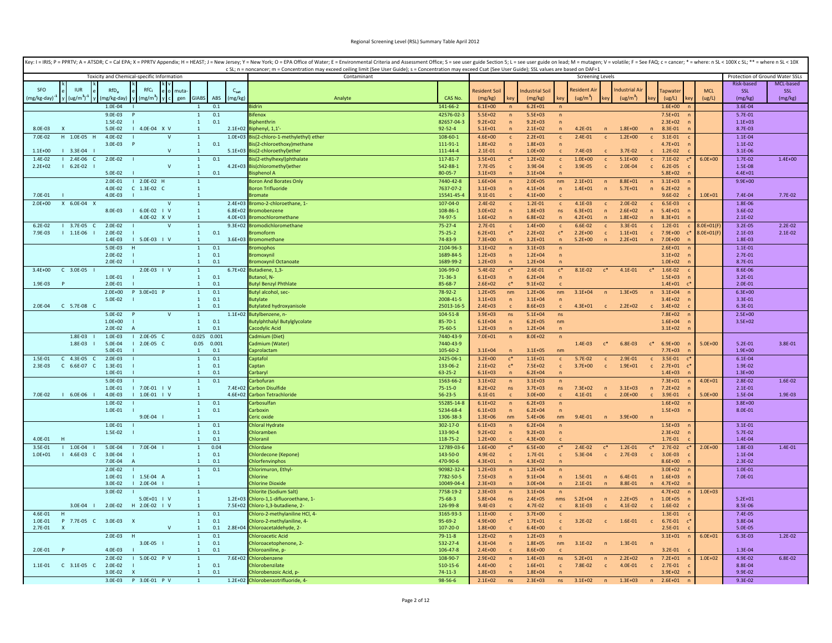| Key: I = IRIS; P = PPRTV; A = ATSDR; C = Cal EPA; X = PPRTV Appendix; H = HEAST; J = New Jersey; Y = New York; O = EPA Office of Water; E = Environmental Criteria and Assessment Office; S = see user guide Section 5; L = se |                                                                                                                                                                                    |                                 |                            |                              |                            |                              |                            |                                  |                            |                              |                             |                |                                 |             |
|--------------------------------------------------------------------------------------------------------------------------------------------------------------------------------------------------------------------------------|------------------------------------------------------------------------------------------------------------------------------------------------------------------------------------|---------------------------------|----------------------------|------------------------------|----------------------------|------------------------------|----------------------------|----------------------------------|----------------------------|------------------------------|-----------------------------|----------------|---------------------------------|-------------|
| Toxicity and Chemical-specific Information                                                                                                                                                                                     | c SL; n = noncancer; m = Concentration may exceed ceiling limit (See User Guide); s = Concentration may exceed Csat (See User Guide); SSL values are based on DAF=1<br>Contaminant |                                 |                            |                              |                            |                              | <b>Screening Levels</b>    |                                  |                            |                              |                             |                | Protection of Ground Water SSLs |             |
|                                                                                                                                                                                                                                |                                                                                                                                                                                    |                                 |                            |                              |                            |                              |                            |                                  |                            |                              |                             |                | Risk-based                      | MCL-based   |
| RfC <sub>i</sub><br>SFO<br><b>IUR</b><br>$RfD_0$<br>$C_{sat}$<br>muta                                                                                                                                                          |                                                                                                                                                                                    |                                 | <b>Resident Soil</b>       |                              | ndustrial Soil             |                              | Resident Ai                |                                  | Industrial Ai              |                              | Tapwater                    | <b>MCL</b>     | SSL                             | SSL         |
| $(ug/m3)-1$<br><b>GIABS</b><br>ABS<br>(mg/kg)<br>(mg/kg-day) <sup>-</sup><br>(mg/kg-day)<br>$(mg/m^3)$<br>gen                                                                                                                  | Analyte                                                                                                                                                                            | CAS No.                         | (mg/kg)                    |                              | (mg/kg)                    | key                          | (ug/m <sup>3</sup> )       | ev                               | (ug/m <sup>3</sup> )       |                              | (ug/L)                      | (ug/L)         | (mg/kg)                         | (mg/kg)     |
| $1.0F - 0A$<br>01                                                                                                                                                                                                              | Ridrin                                                                                                                                                                             | 141-66-2                        | $6.1E + 00$                |                              | $6.2E + 01$                |                              |                            |                                  |                            |                              | $1.6E + 00$                 |                | $3.6E - 04$                     |             |
| $9.0E - 03$<br>0.1<br>$\mathbf{1}$<br>$1.5F - 02$<br>0.1<br>- 1<br>$\overline{1}$                                                                                                                                              | <b>Bifenox</b><br><b>Biphenthrin</b>                                                                                                                                               | 42576-02-3<br>82657-04-3        | $5.5E + 02$<br>$9.2E + 02$ | n                            | $5.5E + 03$<br>$9.2E + 03$ | $\sqrt{n}$                   |                            |                                  |                            |                              | $7.5E + 01$<br>$2.3E + 02$  |                | 5.7E-01<br>$1.1E + 03$          |             |
| I 4.0E-04 X V<br>8.0F-03<br>$5.0F - 02$<br>$2.1F + 02$<br>$\overline{1}$                                                                                                                                                       | Biphenyl, 1,1'                                                                                                                                                                     | $92 - 52 - 4$                   | $5.1E + 01$                | $\sqrt{n}$<br>n              | $2.1E+02$                  | $\sqrt{n}$<br>$\mathbf{n}$   | $4.2F - 01$                | $\mathsf{n}$                     | $1.8F + 00$                |                              | n<br>8.3E-01                |                | 8.7E-03                         |             |
| 7.0E-02<br>H 1.0E-05 H<br>4.0E-02<br>$1.0E + 03$<br>$\mathbf{v}$<br>$\mathbf{1}$                                                                                                                                               | Bis(2-chloro-1-methylethyl) ether                                                                                                                                                  | 108-60-1                        | $4.6E + 00$                | $\mathbf{c}$                 | $2.2E + 01$                | $\mathsf{c}$                 | $2.4E - 01$                |                                  | $1.2E + 00$                |                              | $3.1E - 01$                 |                | $1.1E - 04$                     |             |
| 0.1<br>3.0E-03<br>$\mathbf{1}$                                                                                                                                                                                                 | 3is(2-chloroethoxy)methane                                                                                                                                                         | $111 - 91 - 1$                  | $1.8E + 02$                | $\overline{p}$               | $1.8E + 03$                | $\overline{p}$               |                            |                                  |                            |                              | $4.7E + 01$                 |                | $1.1E - 02$                     |             |
| $1.1E + 00$<br>$3.3E-04$<br>$\mathbf v$<br>$\overline{1}$                                                                                                                                                                      | 5.1E+03 Bis(2-chloroethyl)ether                                                                                                                                                    | 111-44-4                        | $2.1E-01$                  |                              | $1.0E + 00$                |                              | $7.4E-03$                  |                                  | 3.7E-02                    |                              | $1.2E - 02$                 |                | $3.1E-06$                       |             |
| 2.4E-06 C<br>1.4E-02<br>$2.0E-02$<br>$\mathbf 1$<br>0.1                                                                                                                                                                        | Bis(2-ethylhexyl)phthalate                                                                                                                                                         | 117-81-7                        | $3.5E + 01$                | $\mathfrak{c}^*$             | $1.2E + 02$                | $\mathsf{c}$                 | $1.0E + 00$                | $\mathsf{c}$                     | $5.1E + 00$                | $\mathsf{C}^-$               | $7.1E-02$                   | $6.0E + 00$    | 1.7E-02                         | $1.4E + 00$ |
| $2.2E + 02$<br>$1 6.2E-02 1$<br>$\mathsf{V}$<br>$\mathbf{1}$<br>$4.2E + 03$<br>0.1<br>5.0E-02<br>$\mathbf{1}$                                                                                                                  | Bis(chloromethyl)ether<br>isphenol A                                                                                                                                               | 542-88-1<br>$80 - 05 - 7$       | $7.7E-05$<br>$3.1E + 03$   | $\mathbf{c}$<br>$\sqrt{n}$   | 3.9E-04<br>$3.1E + 04$     | $\mathbf{c}$<br>$\sqrt{n}$   | 3.9E-05                    | $\mathbf{c}$                     | 2.0E-04                    |                              | $6.2E-05$<br>$5.8F + 02$    |                | 1.5E-08<br>$4.4E + 01$          |             |
| 2.0E-01<br>$12.0E-02$ H<br>$\overline{1}$                                                                                                                                                                                      | <b>Boron And Borates Only</b>                                                                                                                                                      | 7440-42-8                       | $1.6E + 04$                | $\overline{n}$               | $2.0E + 05$                | nm                           | $2.1E + 01$                | n                                | 8.8E+01                    | n                            | $3.1E + 03$                 |                | $9.9E + 00$                     |             |
| $4.0F - 02$<br>$C$ 1.3E-02 $C$<br>$\overline{1}$                                                                                                                                                                               | <b>Boron Trifluoride</b>                                                                                                                                                           | 7637-07-2                       | $3.1F + 03$                | $\sqrt{n}$                   | $4.1F + 04$                | $\mathsf{n}$                 | $1.4E + 01$                | $\sqrt{n}$                       | $5.7E + 01$                | n                            | $6.2E + 02$                 |                |                                 |             |
| 4.0E-03<br>7.0E-01<br>$\mathbf{1}$                                                                                                                                                                                             | romate                                                                                                                                                                             | 15541-45-4                      | $9.1E - 01$                | $\mathsf{C}$                 | $4.1E + 00$                | $\mathsf{C}$                 |                            |                                  |                            |                              | 9.6E-02                     | $1.0E + 01$    | 7.4E-04                         | 7.7E-02     |
| $2.0E + 00$<br>X 6.0E-04 X<br>$\mathbf{1}$<br>$\mathsf{V}$                                                                                                                                                                     | 2.4E+03 Bromo-2-chloroethane, 1-                                                                                                                                                   | 107-04-0                        | $2.4E - 02$                | $\mathbf{c}$                 | 1.2E-01                    | $\mathbf{c}$                 | 4.1E-03                    | $\mathbf{c}$                     | $2.0E - 02$                | $\mathsf{C}$                 | 6.5E-03                     |                | 1.8E-06                         |             |
| 8.0E-03<br>$16.0E-02$ $1$ V<br>$\mathbf{1}$<br>4.0E-02 X V<br>$\mathbf{1}$                                                                                                                                                     | 6.8E+02 Bromobenzene<br>4.0E+03 Bromochloromethane                                                                                                                                 | 108-86-1<br>74-97-5             | $3.0E + 02$<br>$1.6E + 02$ |                              | $1.8E + 03$<br>$6.8E + 02$ | ns<br>$\overline{p}$         | $6.3E + 01$<br>$4.2E + 01$ | $\overline{p}$                   | $2.6E + 02$<br>$1.8E + 02$ | n<br>n                       | $5.4E + 01$<br>8.3E+01      |                | 3.6E-02<br>$2.1E-02$            |             |
| $3.7E-05$<br>$2.0E-02$<br>$6.2E - 02$<br>$\mathbf{1}$<br>$\epsilon$                                                                                                                                                            | 9.3E+02 Bromodichloromethane                                                                                                                                                       | $75 - 27 - 4$                   | $2.7E-01$                  | $\mathbf{c}$                 | $1.4E + 00$                | $\mathsf{c}$                 | $6.6E-02$                  | $\mathbf{C}$                     | 3.3E-01                    | $\mathbf{c}$                 | 1.2E-01                     | 8.0E+01(F      | $3.2E - 05$                     | $2.2E-02$   |
| $2.0E - 02$<br>7.9E-03<br>$1 1.1E-06$<br>$\mathbf{1}$<br>0.1                                                                                                                                                                   | romoform                                                                                                                                                                           | $75 - 25 - 2$                   | $6.2E + 01$                | $\mathsf{c}^*$               | $2.2E + 02$                | $\mathsf{c}^*$               | $2.2F + 00$                | $\mathbf{c}$                     | $1.1E + 01$                | $\mathsf{c}$                 | 7.9E+00                     | $3.0E + 01(F)$ | $2.1E-03$                       | $2.1E-02$   |
| 1.4E-03<br>$1 5.0E-03 1 V$<br>$\overline{1}$                                                                                                                                                                                   | 3.6E+03 Bromomethane                                                                                                                                                               | 74-83-9                         | $7.3F + 00$                | $\sqrt{n}$                   | $3.2E + 01$                | $\sqrt{n}$                   | $5.2E+00$                  | $\sqrt{n}$                       | $2.2E + 01$                | n                            | $7.0E + 00$                 |                | 1.8E-03                         |             |
| 0.1<br>5.0E-03<br>$\mathbf{1}$<br>H                                                                                                                                                                                            | romophos                                                                                                                                                                           | 2104-96-3                       | $3.1E + 02$                | $\sqrt{n}$                   | $3.1E + 03$                | $\overline{p}$               |                            |                                  |                            |                              | $2.6E + 01$                 |                | $1.1E - 01$                     |             |
| 0.1<br>$2.0F - 02$<br>$\overline{1}$                                                                                                                                                                                           | <b>Bromoxyni</b>                                                                                                                                                                   | 1689-84-5                       | $1.2F + 03$                | $\sqrt{n}$                   | $1.2F + 04$                | $\mathsf{n}$                 |                            |                                  |                            |                              | $3.1E + 02$                 |                | $2.7E - 01$                     |             |
| 2.0E-02<br>0.1<br>$\mathbf{1}$                                                                                                                                                                                                 | romoxynil Octanoate                                                                                                                                                                | 1689-99-2                       | $1.2E + 03$                | $\overline{p}$               | $1.2E + 04$                | $\sqrt{n}$                   |                            |                                  |                            |                              | $1.0E + 02$                 |                | 8.7E-01                         |             |
| $3.4E + 00$<br>$C$ 3.0E-05 $1$<br>2.0E-03   V<br>$6.7E + 02$<br>$\mathbf{1}$<br>1.0E-01<br>$\mathbf{1}$<br>0.1                                                                                                                 | Butadiene, 1,3<br>Butanol, N-                                                                                                                                                      | 106-99-0<br>71-36-3             | 5.4E-02<br>$6.1E + 03$     | $c^*$<br>$\overline{p}$      | 2.6E-01<br>$6.2E + 04$     | $c^*$<br>$\sqrt{n}$          | 8.1E-02                    |                                  | $4.1E - 01$                | $\mathsf{c}^*$               | 1.6E-02<br>$1.5E + 03$      |                | 8.6E-06<br>$3.2E - 01$          |             |
| 1.9E-03<br>$\mathsf{P}$<br>2.0E-01<br>$\mathbf{1}$<br>0.1                                                                                                                                                                      | <b>Butyl Benzyl Phthlate</b>                                                                                                                                                       | 85-68-7                         | $2.6E + 02$                | $c^*$                        | $9.1E + 02$                |                              |                            |                                  |                            |                              | $1.4E + 01$                 |                | $2.0E - 01$                     |             |
| $2.0E + 00$<br>P 3.0E+01 P<br>0.1<br>$\mathbf{1}$                                                                                                                                                                              | Butyl alcohol, sec-                                                                                                                                                                | 78-92-2                         | $1.2E + 05$                | nm                           | $1.2E + 06$                | nm                           | $3.1E + 04$                | n                                | $1.3E + 05$                | n                            | $3.1E + 04$                 |                | $6.3E + 00$                     |             |
| $\mathbf{1}$<br>0.1<br>5.0E-02                                                                                                                                                                                                 | <b>Butvlate</b>                                                                                                                                                                    | 2008-41-5                       | $3.1E + 03$                | n                            | $3.1E + 04$                | $\overline{p}$               |                            |                                  |                            |                              | $3.4E + 02$                 |                | 3.3E-01                         |             |
| 2.0E-04   C   5.7E-08   C<br>0.1<br>$\overline{1}$                                                                                                                                                                             | <b>Butylated hydroxyanisole</b>                                                                                                                                                    | 25013-16-5                      | $2.4E + 03$                | $\epsilon$                   | $8.6E + 03$                | $\epsilon$                   | $4.3F + 01$                | $\mathbf{C}$                     | $2.2E + 02$                | $\epsilon$                   | $3.4E + 02$                 |                | 6.3E-01<br>$2.5E+00$            |             |
| $5.0E - 02$<br>$\mathbf{1}$<br>$1.0E + 00$<br>$\mathbf{1}$<br>0.1                                                                                                                                                              | 1.1E+02 Butylbenzene, n-<br><b>Butylphthalyl Butylglycolate</b>                                                                                                                    | $104 - 51 - 8$<br>$85 - 70 - 1$ | $3.9E + 03$<br>$6.1E + 04$ | ns<br>n                      | $5.1E + 04$<br>$6.2E + 05$ | ns<br>nm                     |                            |                                  |                            |                              | 7.8E+02<br>$1.6E + 04$      |                | $3.5E + 02$                     |             |
| $2.0E-02$<br>0.1<br>$\mathbf{1}$                                                                                                                                                                                               | acodylic Acid                                                                                                                                                                      | 75-60-5                         | $1.2E + 03$                | $\overline{p}$               | $1.2E + 04$                | $\overline{p}$               |                            |                                  |                            |                              | $3.1E + 02$                 |                |                                 |             |
| $0.025$ $0.001$<br>1.8E-03<br>1.0E-03<br>$12.0E-05 C$                                                                                                                                                                          | Cadmium (Diet)                                                                                                                                                                     | 7440-43-9                       | $7.0E + 01$                |                              | $8.0E + 02$                |                              |                            |                                  |                            |                              |                             |                |                                 |             |
| $1.8E-03$  <br>5.0E-04<br>$12.0E-05 C$<br>$0.05$ 0.001                                                                                                                                                                         | Cadmium (Water)                                                                                                                                                                    | 7440-43-9                       |                            |                              |                            |                              | 1.4E-03                    | $c^*$                            | 6.8E-03                    | $c^*$                        | $6.9E + 00$                 | $5.0E + 00$    | $5.2E - 01$                     | 3.8E-01     |
| 5.0E-01<br>$\mathbf{1}$<br>0.1<br>1.5E-01<br>$C = 4.3E - 0.5$<br>2.0E-03<br>0.1<br>$\overline{1}$<br>-C                                                                                                                        | Caprolactam<br>Captafol                                                                                                                                                            | 105-60-2<br>2425-06-1           | $3.1E + 04$<br>$3.2E + 00$ | $\mathfrak{c}^*$             | $3.1E + 05$<br>$1.1E + 01$ | nm                           | $5.7E - 02$                | $\mathbf{C}$                     | 2.9E-01                    |                              | $7.7E + 03$<br>3.5E-01      |                | $1.9E + 00$<br>6.1E-04          |             |
| C 6.6E-07 C<br>0.1<br>2.3F-03<br>$1.3F - 01$<br>$\overline{1}$                                                                                                                                                                 | Cantan                                                                                                                                                                             | 133-06-2                        | $2.1F + 02$                | $\mathfrak{c}^*$             | $7.5E+02$                  | $\mathbf{c}$<br>$\mathsf{C}$ | $3.7E + 00$                | $\mathbf{C}$                     | $1.9E + 01$                | $\mathsf{C}$<br>$\mathsf{C}$ | $2.7E + 01$<br>$\mathbf{r}$ |                | 1.9E-02                         |             |
| 1.0E-01<br>$\mathbf{1}$<br>0.1                                                                                                                                                                                                 | Carbaryl                                                                                                                                                                           | $63 - 25 - 2$                   | $6.1E + 03$                | $\mathbf n$                  | $6.2E + 04$                | n                            |                            |                                  |                            |                              | $1.4E + 03$                 |                | $1.3E + 00$                     |             |
| 5.0E-03<br>0.1<br>$\mathbf{1}$                                                                                                                                                                                                 | Carbofuran                                                                                                                                                                         | 1563-66-2                       | $3.1E + 02$                | $\sqrt{n}$                   | $3.1E + 03$                | $\overline{p}$               |                            |                                  |                            |                              | $7.3E + 01$                 | $4.0E + 01$    | 2.8E-02                         | 1.6E-02     |
| 1.0E-01<br>$1 7.0E-01 1 V$<br>$\mathbf{1}$                                                                                                                                                                                     | 7.4E+02 Carbon Disulfide                                                                                                                                                           | $75 - 15 - 0$                   | $8.2E + 02$                | ns.                          | $3.7E + 03$                | ns                           | $7.3E + 02$                | n                                | $3.1E + 03$                | n                            | $7.2E + 02$                 |                | $2.1E - 01$                     |             |
| 7.0E-02<br>6.0E-06<br>4.0E-03<br>1.0E-01<br>$\pm v$<br>$4.6E + 02$<br>$\mathbf{1}$                                                                                                                                             | Carbon Tetrachloride                                                                                                                                                               | $56 - 23 - 5$                   | $6.1E - 01$                |                              | $3.0E + 00$                | $\mathbf{c}$                 | 4.1E-01                    |                                  | $2.0E + 00$                |                              | 3.9E-01                     | $5.0E + 00$    | 1.5E-04<br>$3.8E + 00$          | 1.9E-03     |
| 1.0E-02<br>0.1<br>$\mathbf{1}$<br>0.1<br>1.0E-01<br>$\mathbf{1}$                                                                                                                                                               | Carbosulfan<br>Carboxin                                                                                                                                                            | 55285-14-8<br>5234-68-4         | $6.1E + 02$<br>$6.1E + 03$ | n<br>$\sqrt{n}$              | $6.2E + 03$<br>$6.2E + 04$ | $\sqrt{n}$<br>$\sqrt{n}$     |                            |                                  |                            |                              | $1.6E + 02$<br>$1.5E + 03$  |                | 8.0E-01                         |             |
| 9.0E-04  <br>$\overline{1}$                                                                                                                                                                                                    | eric oxide                                                                                                                                                                         | 1306-38-3                       | $1.3E + 06$                | nm                           | $5.4F + 06$                | nm                           | $9.4E - 01$                | $\sqrt{n}$                       | $3.9F + 00$                |                              |                             |                |                                 |             |
| 0.1<br>1.0E-01<br>$\mathbf{1}$                                                                                                                                                                                                 | Chloral Hydrate                                                                                                                                                                    | 302-17-0                        | $6.1E + 03$                | $\overline{n}$               | $6.2E + 04$                | $\overline{p}$               |                            |                                  |                            |                              | $1.5E + 03$                 |                | $3.1E - 01$                     |             |
| 1.5E-02<br>0.1<br>$\mathbf{1}$                                                                                                                                                                                                 | Chloramben                                                                                                                                                                         | 133-90-4                        | $9.2E + 02$                | $\overline{p}$               | $9.2E + 03$                | $\sqrt{n}$                   |                            |                                  |                            |                              | $2.3E+02$                   |                | 5.7E-02                         |             |
| 4.0E-01<br>$\overline{1}$<br>0.1                                                                                                                                                                                               | <b>Chloranil</b>                                                                                                                                                                   | 118-75-2                        | $1.2E + 00$                |                              | $4.3E + 00$                |                              |                            |                                  |                            |                              | 1.7E-01                     |                | 1.4E-04                         |             |
| $1 1.0E-04$<br>5.0E-04<br>$17.0E-04$<br>0.04<br>3.5E-01<br>$\mathbf{1}$<br>0.1<br>$1.0E + 01$<br>$14.6E-03C$<br>3.0E-04<br>$\mathbf{1}$                                                                                        | Chlordane<br>Chlordecone (Kepone)                                                                                                                                                  | 12789-03-6<br>143-50-0          | $1.6E + 00$<br>4.9E-02     | $\mathbf{c}$                 | $6.5E + 00$<br>1.7E-01     | $c^*$<br>$\mathbf{c}$        | $2.4E - 02$<br>5.3E-04     | $\mathfrak{c}^*$<br>$\mathbf{c}$ | $1.2E - 01$<br>$2.7E-03$   | $c^*$<br>$\mathbf{c}$        | $2.7E-02$<br>$3.0E-03$      | $2.0E + 00$    | 1.8E-03<br>1.1E-04              | $1.4E - 01$ |
| 7.0E-04<br>0.1<br>-1                                                                                                                                                                                                           | hlorfenvinphos                                                                                                                                                                     | 470-90-6                        | $4.3E + 01$                | $\overline{n}$               | $4.3E + 02$                |                              |                            |                                  |                            |                              | $8.6E + 00$                 |                | $2.3E-02$                       |             |
| $2.0E - 02$<br>0.1<br>$\overline{1}$                                                                                                                                                                                           | Chlorimuron, Ethyl-                                                                                                                                                                | 90982-32-4                      | $1.2E + 03$                | $\sqrt{n}$                   | $1.2E + 04$                | $\sqrt{n}$                   |                            |                                  |                            |                              | $3.0E + 02$                 |                | $1.0E - 01$                     |             |
| 1.0E-01<br>$1.5E-04$ A<br>$\mathbf{1}$                                                                                                                                                                                         | <b>Chlorine</b>                                                                                                                                                                    | 7782-50-5                       | 7.5E+03                    | $\sqrt{n}$                   | $9.1E + 04$                | $\overline{p}$               | 1.5E-01                    | $\overline{n}$                   | $6.4E - 01$                | n                            | $1.6E + 03$                 |                | 7.0E-01                         |             |
| $12.0E-04$<br>3.0E-02<br>$\overline{1}$                                                                                                                                                                                        | <b>Chlorine Dioxide</b>                                                                                                                                                            | 10049-04-4                      | $2.3E + 03$                | $\mathbf n$                  | $3.0E + 04$                | $\sqrt{n}$                   | $2.1E - 01$                | $\mathsf{n}$                     | 8.8E-01                    | n                            | $4.7E + 02$                 |                |                                 |             |
| $3.0E - 02$<br>$\mathbf{1}$<br>5.0E+01   V<br>$\mathbf{1}$                                                                                                                                                                     | Chlorite (Sodium Salt)<br>1.2E+03 Chloro-1,1-difluoroethane, 1-                                                                                                                    | 7758-19-2<br>75-68-3            | $2.3E + 03$<br>$5.8E + 04$ | $\sqrt{n}$<br><b>ns</b>      | $3.1E + 04$<br>$2.4E + 05$ | $\overline{p}$<br>nms        | $5.2E + 04$                |                                  | $2.2E + 05$                |                              | $4.7E + 02$<br>$1.0E + 05$  | $1.0E + 03$    | $5.2E + 01$                     |             |
| 2.0E-02<br>H 2.0E-02   V<br>$3.0E - 04$  <br>$\overline{1}$                                                                                                                                                                    | 7.5E+02 Chloro-1,3-butadiene, 2-                                                                                                                                                   | 126-99-8                        | $9.4E - 03$                |                              | 4.7E-02                    |                              | 8.1E-03                    | n                                | 4.1E-02                    | n                            | 1.6E-02                     |                | 8.5E-06                         |             |
| 0.1<br>4.6E-01<br>H<br>$\mathbf{1}$                                                                                                                                                                                            | hloro-2-methylaniline HCl, 4                                                                                                                                                       | 3165-93-3                       | $1.1E + 00$                | $\mathbf{c}$                 | $3.7E + 00$                | $\mathbf{c}$                 |                            |                                  |                            |                              | 1.3E-01                     |                | $7.4E-05$                       |             |
| 1.0E-01<br>P 7.7E-05 C 3.0E-03 X<br>$\mathbf{1}$<br>0.1                                                                                                                                                                        | hloro-2-methylaniline, 4-                                                                                                                                                          | $95 - 69 - 2$                   | $4.9E + 00$                | $c^*$                        | $1.7E + 01$                | $\mathbf{c}$                 | $3.2E - 02$                | $\mathbf{C}$                     | 1.6E-01                    | $\mathbf{c}$                 | 6.7E-01                     |                | 3.8E-04                         |             |
| 0.1<br>$2.8E + 04$<br>2.7E-01<br>$\mathsf{V}$<br>$\overline{1}$<br>$\boldsymbol{\mathsf{x}}$                                                                                                                                   | Chloroacetaldehyde, 2                                                                                                                                                              | 107-20-0                        | $1.8E + 00$                |                              | $6.4F + 00$                |                              |                            |                                  |                            |                              | 2.5E-01                     |                | 5.0E-05                         |             |
| $2.0E - 03$<br>0.1<br>$\mathbf{1}$<br>H<br>0.1<br>3.0E-05  <br>$\mathbf{1}$                                                                                                                                                    | <b>Chloroacetic Acid</b>                                                                                                                                                           | $79 - 11 - 8$<br>532-27-4       | $1.2E + 02$<br>$4.3E + 04$ | $\sqrt{n}$<br>$\overline{p}$ | $1.2E + 03$<br>$1.8E + 05$ | $\sqrt{n}$<br>nm             | $3.1E - 02$                | $\sqrt{n}$                       | 1.3E-01                    |                              | $3.1E + 01$                 | $6.0E + 01$    | $6.3E-03$                       | $1.2E - 02$ |
| $4.0F - 03$<br>0.1<br>$2.0E - 01$<br>$\overline{1}$                                                                                                                                                                            | Chloroacetophenone, 2-<br>hloroaniline, p-                                                                                                                                         | 106-47-8                        | $2.4F + 00$                |                              | 8.6E+00                    | $\mathbf{c}$                 |                            |                                  |                            |                              | $3.2E - 01$                 |                | 1.3E-04                         |             |
| $2.0E - 02$<br>I 5.0E-02 P V<br>7.6E+02<br>$\mathbf{1}$                                                                                                                                                                        | Chlorobenzene                                                                                                                                                                      | 108-90-7                        | $2.9E + 02$                | $\sqrt{n}$                   | $1.4E + 03$                | ns                           | $5.2E + 01$                | $\sqrt{n}$                       | $2.2E+02$                  | $\sqrt{n}$                   | $7.2E + 01$                 | $1.0E + 02$    | 4.9E-02                         | 6.8E-02     |
| 1.1E-01    C    3.1E-05    C<br>2.0E-02<br>$\mathbf{1}$<br>0.1                                                                                                                                                                 | Chlorobenzilate                                                                                                                                                                    | 510-15-6                        | $4.4E + 00$                | $\mathbf{c}$                 | $1.6E + 01$                | $\mathbf{c}$                 | 7.8E-02                    | $\mathbf{c}$                     | 4.0E-01                    | $\mathsf{C}$                 | 2.7E-01                     |                | 8.8E-04                         |             |
| 3.0E-02<br>$\mathbf{1}$<br>0.1                                                                                                                                                                                                 | Chlorobenzoic Acid, p                                                                                                                                                              | $74 - 11 - 3$                   | $1.8E + 03$                | $\overline{n}$               | $1.8E + 04$                |                              |                            |                                  |                            |                              | $3.9E + 02$                 |                | 9.9E-02                         |             |
| P 3.0E-01 P V<br>3.0E-03                                                                                                                                                                                                       | 1.2E+02 Chlorobenzotrifluoride, 4-                                                                                                                                                 | 98-56-6                         | $2.1E+02$                  | ns                           | $2.3E + 03$                | ns                           | $3.1E + 02$                | n                                | $1.3E + 03$                | n                            | $2.6E + 01$<br>n            |                | $9.3E - 02$                     |             |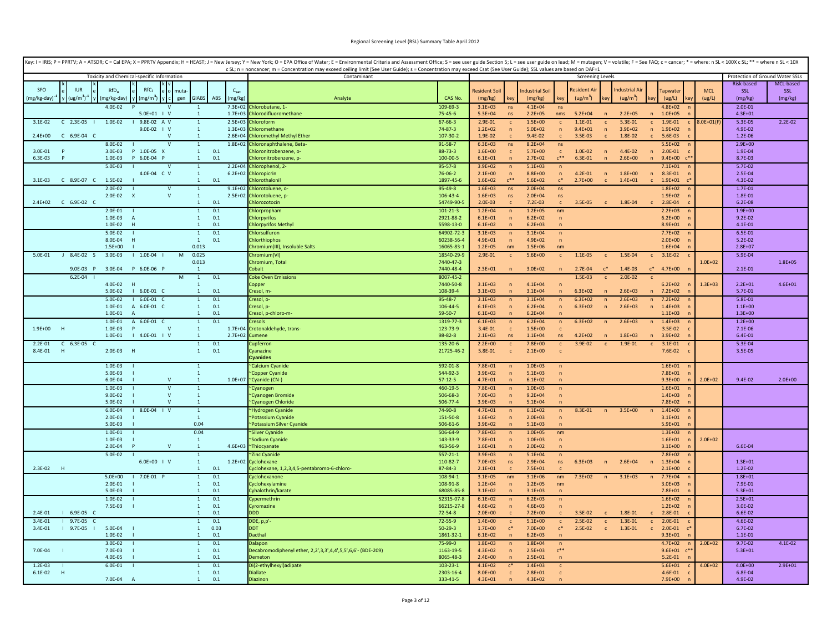|                          |                            |                        |                                            |                              |                                  |             |                      | Key: I = IRIS; P = PPRTV; A = ATSDR; C = Cal EPA; X = PPRTV Appendix; H = HEAST; J = New Jersey; Y = New York; O = EPA Office of Water; E = Environmental Criteria and Assessment Office; S = see user guide Section 5; L = se<br>c SL; n = noncancer; m = Concentration may exceed ceiling limit (See User Guide); s = Concentration may exceed Csat (See User Guide); SSL values are based on DAF=1 |                              |                                 |                                  |                            |                                  |                                    |                            |                            |                   |                               |                      |                                 |             |
|--------------------------|----------------------------|------------------------|--------------------------------------------|------------------------------|----------------------------------|-------------|----------------------|-------------------------------------------------------------------------------------------------------------------------------------------------------------------------------------------------------------------------------------------------------------------------------------------------------------------------------------------------------------------------------------------------------|------------------------------|---------------------------------|----------------------------------|----------------------------|----------------------------------|------------------------------------|----------------------------|----------------------------|-------------------|-------------------------------|----------------------|---------------------------------|-------------|
|                          |                            |                        | Toxicity and Chemical-specific Information |                              |                                  |             |                      | Contaminant                                                                                                                                                                                                                                                                                                                                                                                           |                              |                                 |                                  |                            |                                  | <b>Screening Levels</b>            |                            |                            |                   |                               |                      | Protection of Ground Water SSLs |             |
|                          |                            |                        |                                            |                              |                                  |             |                      |                                                                                                                                                                                                                                                                                                                                                                                                       |                              |                                 |                                  |                            |                                  |                                    |                            |                            |                   |                               |                      | Risk-based                      | MCL-based   |
| SEO                      | <b>ILIR</b><br>$(ug/m3)-1$ | $RfD_{0}$              | $RfC_i$<br>$(mg/m^3)$                      | muta<br>gen                  | <b>GIABS</b>                     | ABS         | $C_{sat}$<br>(mg/kg) | Analyte                                                                                                                                                                                                                                                                                                                                                                                               | CAS No.                      | <b>Resident Soil</b><br>(mg/kg) | kev                              | ndustrial Soil<br>(mg/kg)  | kev                              | Resident A<br>(ug/m <sup>3</sup> ) |                            | <b>Industrial Air</b>      |                   | apwate<br>(ug/L)              | <b>MCL</b><br>(ug/L) | <b>SSL</b><br>(mg/kg)           | SSL         |
| mg/kg-day)               |                            | (mg/kg-day)<br>4.0E-02 |                                            | $\vee$                       | $\mathbf{1}$                     |             | $7.3E + 02$          | Chlorobutane, 1-                                                                                                                                                                                                                                                                                                                                                                                      | 109-69-3                     | $3.1E + 03$                     | ns.                              | $4.1E + 04$                | ns                               |                                    |                            | (ug/m <sup>3</sup> )       |                   | $4.8E + 02$                   |                      | $2.0E - 01$                     | (mg/kg)     |
|                          |                            |                        | 5.0E+01   V                                |                              | $\mathbf{1}$                     |             | $1.7E + 03$          | hlorodifluoromethane                                                                                                                                                                                                                                                                                                                                                                                  | $75 - 45 - 6$                | $5.3E + 04$                     | ns                               | $2.2E + 05$                | nms                              | $5.2E + 04$                        | $\overline{n}$             | $2.2E + 05$                | n                 | $1.0E + 05$                   |                      | $4.3E + 01$                     |             |
| $3.1E - 02$              | $C$ 2.3E-05                | 1.0E-02                | I 9.8E-02 A V                              |                              | $\mathbf{1}$                     |             | $2.5E + 03$          | Chloroform                                                                                                                                                                                                                                                                                                                                                                                            | $67 - 66 - 3$                | 2.9E-01                         | $\mathsf{c}$                     | $1.5E + 00$                | $\mathbf{C}$                     | $1.1E-01$                          | $\mathbf{c}$               | 5.3E-01                    | $\mathbf{c}$      | 1.9E-01<br>$\mathsf{C}$       | 3.0E+01(F            | 5.3E-05                         | $2.2E-02$   |
| $2.4E + 00$              | $C$ 6.9E-04 $C$            |                        | 9.0E-02   V                                | $\mathbf v$                  | $\mathbf{1}$<br>$\mathbf{1}$     |             | $1.3E + 03$          | Chloromethane<br>2.6E+04 Chloromethyl Methyl Ether                                                                                                                                                                                                                                                                                                                                                    | $74 - 87 - 3$<br>107-30-2    | $1.2E + 02$<br>1.9E-02          | $\overline{p}$<br>$\epsilon$     | $5.0E + 02$<br>9.4E-02     | $\overline{ }$<br>$\mathsf{C}$   | $9.4E + 01$<br>3.5E-03             | $\mathsf{n}$<br>$\epsilon$ | $3.9E + 02$<br>1.8E-02     | n<br>$\mathbf{C}$ | $1.9E + 02$<br>5.6E-03        |                      | 4.9E-02<br>$1.2E-06$            |             |
|                          |                            | 8.0E-02                |                                            | $\vee$                       | $\mathbf{1}$                     |             |                      | 1.8E+02 Chloronaphthalene, Beta                                                                                                                                                                                                                                                                                                                                                                       | 91-58-7                      | $6.3E + 03$                     | ns                               | $8.2E + 04$                | ns                               |                                    |                            |                            |                   | $5.5E + 02$                   |                      | $2.9E + 00$                     |             |
| 3.0F-01                  | P                          | $3.0F - 03$            | P 1.0E-05 X                                |                              | 1                                | 0.1         |                      | Chloronitrobenzene, o-                                                                                                                                                                                                                                                                                                                                                                                | $88 - 73 - 3$                | $1.6E + 00$                     | $\mathsf{C}$                     | $5.7E+00$                  | $\mathsf{C}$                     | 1.0E-02                            | n                          | $4.4E - 02$                | n                 | 2.0E-01                       |                      | $1.9F - 04$                     |             |
| 6.3E-03                  | D                          | 1.0E-03                | P 6.0E-04 P                                |                              | $\overline{1}$                   | 0.1         |                      | Chloronitrobenzene, p-                                                                                                                                                                                                                                                                                                                                                                                | 100-00-5                     | $6.1E + 01$                     | $\overline{p}$                   | $2.7E + 02$                | $c***$                           | 6.3E-01                            | $\overline{p}$             | $2.6E + 00$                | $\mathsf{n}$      | $9.4E + 00$<br>$\mathbf{c}^*$ |                      | 8.7E-03                         |             |
|                          |                            | 5.0E-03                | 4.0E-04 C V                                | $\mathsf{V}$                 | $\mathbf{1}$                     |             |                      | 2.2E+04 Chlorophenol, 2-<br>6.2E+02 Chloropicrin                                                                                                                                                                                                                                                                                                                                                      | $95 - 57 - 8$<br>76-06-2     | $3.9E + 02$                     | $\overline{ }$<br>$\sqrt{n}$     | $5.1E + 03$                | $\overline{ }$                   |                                    |                            |                            |                   | $7.1E + 01$                   |                      | 5.7E-02<br>2.5E-04              |             |
| $3.1E - 03$              | C 8.9E-07 C                | 1.5E-02                |                                            |                              | $\mathbf{1}$<br>$\mathbf{1}$     | 0.1         |                      | Chlorothalonil                                                                                                                                                                                                                                                                                                                                                                                        | 1897-45-6                    | $2.1E + 00$<br>$1.6E + 02$      | $e^{**}$                         | 8.8E+00<br>$5.6E + 02$     | $\sqrt{n}$<br>$\mathsf{c}^*$     | $4.2E - 01$<br>$2.7E + 00$         | n<br>$\mathbf{c}$          | $1.8E + 00$<br>$1.4E + 01$ | n                 | 8.3E-01<br>$1.9E + 01$        |                      | 4.3E-02                         |             |
|                          |                            | $2.0E - 02$            |                                            | $\mathbf v$                  | $\overline{1}$                   |             | $9.1E + 02$          | Chlorotoluene, o-                                                                                                                                                                                                                                                                                                                                                                                     | $95 - 49 - 8$                | $1.6E + 03$                     | ns                               | $2.0E + 04$                | ns                               |                                    |                            |                            |                   | $1.8E + 02$                   |                      | $1.7E - 01$                     |             |
|                          |                            | $2.0E-02$              | $\mathsf{x}$                               | $\mathbf{V}$                 | $\mathbf{1}$                     |             |                      | 2.5E+02 Chlorotoluene, p-                                                                                                                                                                                                                                                                                                                                                                             | 106-43-4                     | $1.6E + 03$                     | ns                               | $2.0E + 04$                | ns                               |                                    |                            |                            |                   | $1.9E + 02$                   |                      | 1.8E-01                         |             |
| $2.4E + 02$              | $C$ 6.9E-02 $C$            | $2.0E - 01$            |                                            |                              | $\overline{1}$<br>$\overline{1}$ | 0.1<br>0.1  |                      | hlorozotocin<br>Chlorprophan                                                                                                                                                                                                                                                                                                                                                                          | 54749-90-5<br>$101 - 21 - 3$ | $2.0E-03$<br>$1.2E + 04$        | $\mathsf{C}$<br>$\overline{p}$   | $7.2E-03$<br>$1.2E + 05$   | $\mathsf{C}$<br>nm               | 3.5E-05                            | $\mathsf{C}$               | 1.8E-04                    | $\mathbb{C}$      | 2.8E-04<br>$2.2E + 03$        |                      | $6.2E - 08$<br>$1.9E + 00$      |             |
|                          |                            | 1.0E-03                | $\overline{A}$                             |                              | $\overline{1}$                   | 0.1         |                      | Chlorpyrifos                                                                                                                                                                                                                                                                                                                                                                                          | 2921-88-2                    | $6.1F + 01$                     | $\overline{p}$                   | $6.2E + 02$                | $\sqrt{n}$                       |                                    |                            |                            |                   | $6.2E + 00$                   |                      | $9.2E - 02$                     |             |
|                          |                            | 1.0E-02                | H                                          |                              | $\mathbf{1}$                     | 0.1         |                      | <b>Chlorpyrifos Methyl</b>                                                                                                                                                                                                                                                                                                                                                                            | 5598-13-0                    | $6.1E + 02$                     | $\overline{p}$                   | $6.2E + 03$                | $\overline{p}$                   |                                    |                            |                            |                   | 8.9E+01                       |                      | 4.1E-01                         |             |
|                          |                            | 5.0E-02                |                                            |                              | $\mathbf{1}$                     | 0.1         |                      | Chlorsulfuror                                                                                                                                                                                                                                                                                                                                                                                         | 64902-72-3                   | $3.1E + 03$                     | $\overline{ }$                   | $3.1E + 04$                | $\overline{p}$                   |                                    |                            |                            |                   | $7.7E + 02$                   |                      | $6.5E - 01$                     |             |
|                          |                            | 8.0E-04<br>$1.5E + 00$ |                                            |                              | $\mathbf{1}$<br>0.013            | 0.1         |                      | Chlorthiophos<br>Chromium(III), Insoluble Salts                                                                                                                                                                                                                                                                                                                                                       | 60238-56-4<br>16065-83-1     | 4.9E+01<br>$1.2E + 05$          | $\overline{p}$<br>nm             | $4.9E + 02$<br>$1.5E + 06$ | $\overline{p}$<br>nm             |                                    |                            |                            |                   | $2.0E + 00$<br>$1.6E + 04$    |                      | $5.2E - 02$<br>$2.8E + 07$      |             |
| 5.0E-01                  | $J$ 8.4E-02 S              | 3.0E-03                | $1 1.0E-04$                                | M                            | 0.025                            |             |                      | Chromium(VI)                                                                                                                                                                                                                                                                                                                                                                                          | 18540-29-9                   | 2.9E-01                         | $\mathsf{C}$                     | $5.6E + 00$                | $\mathsf{c}$                     | 1.1E-05                            | $\mathbf{c}$               | 1.5E-04                    | $\mathbf{c}$      | $3.1E-02$                     |                      | 5.9E-04                         |             |
|                          |                            |                        |                                            |                              | 0.013                            |             |                      | Chromium, Total                                                                                                                                                                                                                                                                                                                                                                                       | 7440-47-3                    |                                 |                                  |                            |                                  |                                    |                            |                            |                   |                               | $1.0E + 02$          |                                 | $1.8F + 05$ |
|                          | 9.0E-03 P                  | 3.0E-04                | P 6.0E-06 P                                |                              | -1                               |             |                      | Cobalt                                                                                                                                                                                                                                                                                                                                                                                                | 7440-48-4                    | $2.3E + 01$                     | $\overline{p}$                   | $3.0E + 02$                | $\mathsf{n}$                     | 2.7E-04                            | $\mathfrak{c}^*$           | $1.4E-03$                  |                   | $c^*$ 4.7E+00                 |                      | $2.1E - 01$                     |             |
|                          | $6.2E-04$                  | 4.0E-02                |                                            | M                            | $\overline{1}$<br>$\mathbf{1}$   | 0.1         |                      | <b>Coke Oven Emissions</b><br>Copper                                                                                                                                                                                                                                                                                                                                                                  | 8007-45-2<br>7440-50-8       | $3.1E + 03$                     | $\overline{p}$                   | $4.1E + 04$                | $\overline{p}$                   | 1.5E-03                            |                            | $2.0E-02$                  |                   | $6.2E + 02$                   | $1.3E + 03$          | $2.2E + 01$                     | $4.6E + 01$ |
|                          |                            | 5.0E-02                | $16.0E-01C$                                |                              | $\overline{1}$                   | 0.1         |                      | Cresol, m-                                                                                                                                                                                                                                                                                                                                                                                            | 108-39-4                     | $3.1E + 03$                     | $\overline{ }$                   | $3.1E + 04$                | $\mathsf{n}$                     | $6.3E + 02$                        | $\overline{ }$             | $2.6E + 03$                |                   | $7.2E + 02$                   |                      | 5.7E-01                         |             |
|                          |                            | 5.0E-02                | $16.0E-01C$                                |                              | $\mathbf{1}$                     | 0.1         |                      | Cresol, o-                                                                                                                                                                                                                                                                                                                                                                                            | $95 - 48 - 7$                | $3.1E + 03$                     | $\overline{p}$                   | $3.1E + 04$                | $\mathsf{n}$                     | $6.3E + 02$                        | n                          | $2.6E + 03$                | n                 | $7.2E + 02$                   |                      | 5.8E-01                         |             |
|                          |                            | 1.0E-01                | A 6.0E-01 C<br>$\overline{A}$              |                              | $\mathbf{1}$<br>$\overline{1}$   | 0.1         |                      | Cresol, p-                                                                                                                                                                                                                                                                                                                                                                                            | 106-44-5                     | $6.1E + 03$                     | $\overline{p}$<br>$\overline{p}$ | $6.2E + 04$                | $\mathsf{n}$                     | 6.3E+02                            | $\overline{ }$             | $2.6E + 03$                | n                 | $1.4E + 03$                   |                      | $1.1E + 00$                     |             |
|                          |                            | 1.0E-01<br>1.0E-01     | A 6.0E-01 C                                |                              | $\mathbf{1}$                     | 0.1<br>0.1  |                      | Cresol, p-chloro-m-<br>Cresols                                                                                                                                                                                                                                                                                                                                                                        | 59-50-7<br>1319-77-3         | $6.1E + 03$<br>$6.1E + 03$      | $\overline{n}$                   | $6.2E + 04$<br>$6.2E + 04$ | $\overline{ }$                   | $6.3E + 02$                        | n                          | $2.6E + 03$                | n                 | $1.1E + 03$<br>$1.4E + 03$    |                      | $1.3E + 00$<br>$1.2E + 00$      |             |
| $1.9E + 00$              | H                          | 1.0E-03                |                                            | $\mathbf{v}$                 | $\overline{1}$                   |             |                      | 1.7E+04 Crotonaldehyde, trans-                                                                                                                                                                                                                                                                                                                                                                        | 123-73-9                     | 3.4E-01                         | $\mathbf{c}$                     | $1.5E + 00$                | $\mathbf{C}$                     |                                    |                            |                            |                   | 3.5E-02                       |                      | 7.1E-06                         |             |
|                          |                            | 1.0E-01                | $14.0E-01$ $1 V$                           |                              | $\mathbf{1}$                     |             | 2.7E+02 Cumene       |                                                                                                                                                                                                                                                                                                                                                                                                       | 98-82-8                      | $2.1E + 03$                     | ns                               | $1.1E + 04$                | ns                               | $4.2E + 02$                        | $\mathsf{n}$               | $1.8E + 03$                |                   | n 3.9E+02                     |                      | 6.4E-01                         |             |
| $2.2E - 01$              | $C$ 6.3E-05 $C$            |                        |                                            |                              | $\mathbf{1}$                     | 0.1         |                      | Cupferron                                                                                                                                                                                                                                                                                                                                                                                             | 135-20-6                     | $2.2E+00$                       | $\mathsf{c}$                     | 7.8E+00                    | $\mathsf{c}$                     | 3.9E-02                            |                            | 1.9E-01                    |                   | 3.1E-01                       |                      | 5.3E-04                         |             |
| 8.4E-01                  | H                          | 2.0E-03 H              |                                            |                              | $\mathbf{1}$                     | 0.1         |                      | Cyanazine<br><b>Cyanides</b>                                                                                                                                                                                                                                                                                                                                                                          | 21725-46-2                   | 5.8E-01                         | $\mathbf{c}$                     | $2.1E+00$                  | $\mathsf{c}$                     |                                    |                            |                            |                   | 7.6E-02                       |                      | 3.5E-05                         |             |
|                          |                            | $1.0E - 03$            |                                            |                              | $\overline{1}$                   |             |                      | "Calcium Cyanide                                                                                                                                                                                                                                                                                                                                                                                      | $592 - 01 - 8$               | $7.8E + 01$                     | n                                | $1.0E + 03$                | $\sqrt{n}$                       |                                    |                            |                            |                   | $1.6E + 01$                   |                      |                                 |             |
|                          |                            | 5.0F-03                |                                            |                              | $\mathbf{1}$                     |             |                      | ~Copper Cyanide                                                                                                                                                                                                                                                                                                                                                                                       | 544-92-3                     | $3.9E + 02$                     | $\overline{p}$                   | $5.1E + 03$                | $\overline{p}$                   |                                    |                            |                            |                   | $7.8E + 01$                   |                      |                                 |             |
|                          |                            | 6.0F-04                |                                            | $\mathsf{V}$<br>$\mathsf{V}$ | $\overline{1}$                   |             |                      | 1.0E+07 ~Cyanide (CN-)                                                                                                                                                                                                                                                                                                                                                                                | $57 - 12 - 5$                | $4.7F + 01$                     | $\overline{ }$                   | $6.1F + 02$                | $\overline{ }$                   |                                    |                            |                            |                   | $9.3E + 00$                   | $2.0E + 02$          | $9.4E - 02$                     | $2.0E + 00$ |
|                          |                            | 1.0E-03<br>$9.0E - 02$ |                                            | $\mathsf{V}$                 | $\overline{1}$<br>$\mathbf{1}$   |             |                      | "Cyanogen<br>"Cyanogen Bromide                                                                                                                                                                                                                                                                                                                                                                        | 460-19-5<br>506-68-3         | $7.8E + 01$<br>$7.0E + 03$      | $\sqrt{n}$<br>$\overline{p}$     | $1.0E + 03$<br>$9.2E + 04$ | $\overline{p}$<br>$\overline{p}$ |                                    |                            |                            |                   | $1.6E + 01$<br>$1.4E + 03$    |                      |                                 |             |
|                          |                            | 5.0E-02                |                                            |                              | $\mathbf{1}$                     |             |                      | "Cyanogen Chloride                                                                                                                                                                                                                                                                                                                                                                                    | 506-77-4                     | $3.9E + 03$                     | $\overline{ }$                   | $5.1E + 04$                | $\overline{ }$                   |                                    |                            |                            |                   | 7.8E+02                       |                      |                                 |             |
|                          |                            | 6.0E-04                | $18.0E-04$ $1 V$                           |                              | $\mathbf{1}$                     |             |                      | ~Hydrogen Cyanide                                                                                                                                                                                                                                                                                                                                                                                     | 74-90-8                      | $4.7E + 01$                     | $\mathsf{n}$                     | $6.1E + 02$                | n                                | 8.3E-01                            | n                          | $3.5E+00$                  | n                 | $1.4E + 00$                   |                      |                                 |             |
|                          |                            | 2.0E-03<br>5.0E-03     |                                            |                              | 1<br>0.04                        |             |                      | ~Potassium Cyanide<br>Potassium Silver Cyanide                                                                                                                                                                                                                                                                                                                                                        | 151-50-8<br>$506 - 61 - 6$   | $1.6E + 02$<br>$3.9E + 02$      | $\overline{p}$<br>$\mathbf n$    | $2.0E + 03$<br>$5.1E+03$   | $\overline{ }$<br>$\overline{ }$ |                                    |                            |                            |                   | $3.1E + 01$<br>$5.9E + 01$    |                      |                                 |             |
|                          |                            | 1.0E-01                |                                            |                              | 0.04                             |             |                      | "Silver Cyanide                                                                                                                                                                                                                                                                                                                                                                                       | 506-64-9                     | $7.8E + 03$                     | $\overline{ }$                   | $1.0E + 05$                | nm                               |                                    |                            |                            |                   | $1.3E + 03$                   |                      |                                 |             |
|                          |                            | $1.0F - 03$            |                                            |                              | $\mathbf{1}$                     |             |                      | <b>Sodium Cyanide</b>                                                                                                                                                                                                                                                                                                                                                                                 | 143-33-9                     | $7.8E + 01$                     | $\overline{p}$                   | $1.0E + 03$                | $\overline{ }$                   |                                    |                            |                            |                   | $1.6E + 01$                   | $2.0F + 02$          |                                 |             |
|                          |                            | $2.0F - 04$            |                                            |                              | $\overline{1}$                   |             |                      | 4.6E+03 ~Thiocyanate                                                                                                                                                                                                                                                                                                                                                                                  | 463-56-9                     | $1.6E + 01$                     | $\overline{ }$                   | $2.0E + 02$                | n                                |                                    |                            |                            |                   | $3.1E + 00$                   |                      | 6.6E-04                         |             |
|                          |                            | 5.0E-02                | 6.0E+00   V                                |                              | $\mathbf{1}$<br>$\mathbf{1}$     |             | $1.2E + 02$          | "Zinc Cyanide<br>Cyclohexane                                                                                                                                                                                                                                                                                                                                                                          | $557 - 21 - 1$<br>110-82-7   | $3.9E + 03$<br>$7.0E + 03$      | $\overline{ }$<br>ns             | $5.1E + 04$<br>$2.9E + 04$ | $\overline{ }$<br>ns             | $6.3E + 03$                        | n                          | $2.6E + 04$                | $\sqrt{n}$        | $7.8E + 02$<br>$1.3E + 04$    |                      | $1.3E + 01$                     |             |
| $2.3E-02$                | H                          |                        |                                            |                              |                                  | 0.1         |                      | vclohexane, 1,2,3,4,5-pentabromo-6-chloro-                                                                                                                                                                                                                                                                                                                                                            | 87-84-3                      | $2.1E + 01$                     |                                  | $7.5E + 01$                |                                  |                                    |                            |                            |                   | $2.1E + 00$                   |                      | $1.2E - 02$                     |             |
|                          |                            | $5.0E + 00$            | $17.0E-01 P$                               |                              | $\mathbf{1}$                     | 0.1         |                      | Cyclohexanone                                                                                                                                                                                                                                                                                                                                                                                         | 108-94-1                     | $3.1E + 05$                     | nm                               | $3.1E + 06$                | nm                               | 7.3E+02                            | n                          | $3.1E + 03$                | n                 | 7.7E+04                       |                      | $1.8E + 01$                     |             |
|                          |                            | 2.0E-01                |                                            |                              | $\mathbf{1}$                     | 0.1         |                      | Cyclohexylamine                                                                                                                                                                                                                                                                                                                                                                                       | 108-91-8                     | $1.2E + 04$                     | $\overline{p}$                   | $1.2E + 05$                | nm                               |                                    |                            |                            |                   | $3.0E + 03$                   |                      | 7.9E-01                         |             |
|                          |                            | 5.0E-03<br>$1.0E-02$   |                                            |                              | $\overline{1}$<br>$\overline{1}$ | 0.1<br>0.1  |                      | Cyhalothrin/karate<br>Cypermethri                                                                                                                                                                                                                                                                                                                                                                     | 68085-85-8<br>52315-07-8     | $3.1F + 02$<br>$6.1E + 02$      | n<br>$\overline{p}$              | $3.1E + 03$<br>$6.2E + 03$ | n<br>$\overline{p}$              |                                    |                            |                            |                   | $7.8F + 01$<br>$1.6E + 02$    |                      | $5.3E + 01$<br>$2.5E + 01$      |             |
|                          |                            | 7.5E-03                |                                            |                              | $\overline{1}$                   | 0.1         |                      | Cyromazine                                                                                                                                                                                                                                                                                                                                                                                            | 66215-27-8                   | $4.6E + 02$                     | $\overline{p}$                   | $4.6E + 03$                | $\overline{ }$                   |                                    |                            |                            |                   | $1.2E + 02$                   |                      | 3.0E-02                         |             |
| 2.4E-01                  | $16.9E-05C$                |                        |                                            |                              | $\overline{1}$                   | 0.1         |                      | <b>DDD</b>                                                                                                                                                                                                                                                                                                                                                                                            | $72 - 54 - 8$                | $2.0E + 00$                     |                                  | $7.2E + 00$                | $\mathbf{C}$                     | 3.5F-02                            |                            | 1.8E-01                    |                   | 2.8E-01                       |                      | 6.6E-02                         |             |
| 3.4E-01                  | 9.7E-05 C<br>$\mathbf{L}$  |                        |                                            |                              | $\mathbf{1}$                     | 0.1         |                      | DDE, p,p'                                                                                                                                                                                                                                                                                                                                                                                             | 72-55-9                      | $1.4E + 00$                     | $\mathsf{c}$                     | $5.1E+00$                  | $\mathbf{c}$                     | 2.5E-02                            | $\mathbf{c}$               | 1.3E-01                    | $\mathbf{c}$      | $2.0E - 01$                   |                      | 4.6E-02                         |             |
| 3.4E-01                  | $1$ 9.7E-05                | 5.0E-04<br>1.0E-02     |                                            |                              | $\mathbf{1}$<br>1                | 0.03<br>0.1 |                      | DDT<br>Dacthal                                                                                                                                                                                                                                                                                                                                                                                        | $50-29-3$<br>1861-32-1       | $1.7E + 00$<br>$6.1E + 02$      | $c^*$<br>$\overline{ }$          | 7.0E+00<br>$6.2E + 03$     | $c^*$                            | $2.5E-02$                          | $\mathbf{c}$               | 1.3E-01                    |                   | 2.0E-01<br>$9.3E + 01$        |                      | $6.7E - 02$<br>1.1E-01          |             |
|                          |                            | 3.0E-02                |                                            |                              | -1                               | 0.1         |                      | Dalapon                                                                                                                                                                                                                                                                                                                                                                                               | 75-99-0                      | $1.8E + 03$                     | n                                | $1.8E + 04$                | n                                |                                    |                            |                            |                   | $4.7E + 02$                   | $2.0E + 02$          | $9.7E - 02$                     | 4.1E-02     |
| 7.0E-04                  |                            | 7.0E-03                |                                            |                              | $\mathbf{1}$                     | 0.1         |                      | Decabromodiphenyl ether, 2,2',3,3',4,4',5,5',6,6'- (BDE-209)                                                                                                                                                                                                                                                                                                                                          | 1163-19-5                    | $4.3E + 02$                     | $\overline{p}$                   | $2.5E+03$                  | $\mathsf{c}^{\ast\ast}$          |                                    |                            |                            |                   | $9.6E + 01$<br>$\mathsf{C}^*$ |                      | $5.3E + 01$                     |             |
|                          |                            | 4.0E-05                |                                            |                              | $\mathbf{1}$                     | 0.1         |                      | <b>Demeton</b>                                                                                                                                                                                                                                                                                                                                                                                        | 8065-48-3                    | $2.4E + 00$                     | $\mathsf{n}$                     | $2.5E + 01$                | n                                |                                    |                            |                            |                   | $5.2E - 01$                   |                      |                                 |             |
| $1.2E-03$<br>$6.1E - 02$ | $- H$                      | 6.0E-01                |                                            |                              | $\mathbf{1}$<br>$\overline{1}$   | 0.1<br>0.1  |                      | Di(2-ethylhexyl) adipate<br><b>Diallate</b>                                                                                                                                                                                                                                                                                                                                                           | $103 - 23 - 1$<br>2303-16-4  | $4.1E + 02$<br>$8.0E + 00$      | $c^*$<br>$\mathbf{c}$            | $1.4E + 03$<br>$2.8E + 01$ | $\mathsf{c}$<br>$\mathsf{C}$     |                                    |                            |                            |                   | $5.6E + 01$<br>4.6E-01        | $4.0E + 02$          | $4.0E + 00$<br>6.8E-04          | $2.9E + 01$ |
|                          |                            | 7.0E-04 A              |                                            |                              | 1                                | 0.1         |                      | Diazinon                                                                                                                                                                                                                                                                                                                                                                                              | 333-41-5                     | $4.3E + 01$                     | $\overline{ }$                   | $4.3E + 02$                | $\overline{ }$                   |                                    |                            |                            |                   | 7.9E+00                       |                      | 4.9E-02                         |             |
|                          |                            |                        |                                            |                              |                                  |             |                      |                                                                                                                                                                                                                                                                                                                                                                                                       |                              |                                 |                                  |                            |                                  |                                    |                            |                            |                   |                               |                      |                                 |             |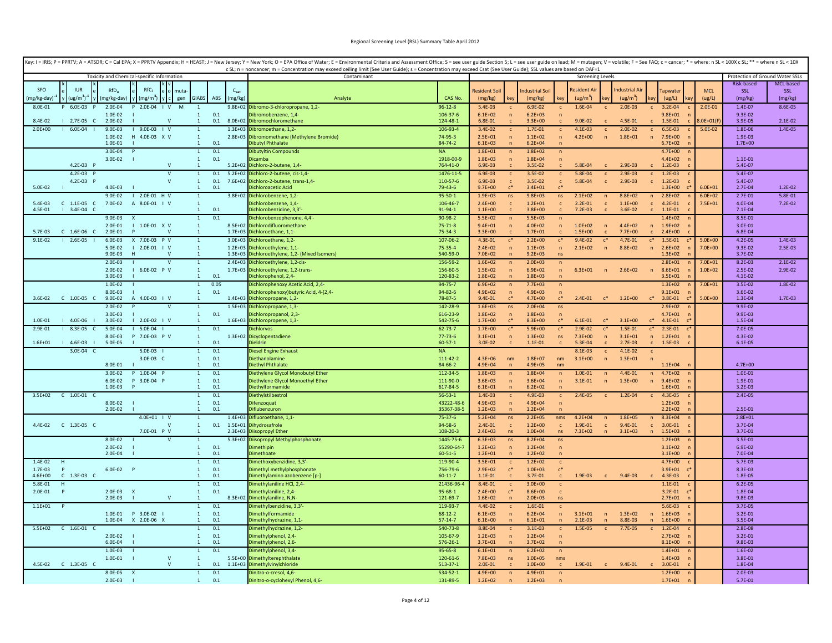|                          |                       |                        |                                            |                |                                  |                |             | Key: I = IRIS; P = PPRTV; A = ATSDR; C = Cal EPA; X = PPRTV Appendix; H = HEAST; J = New Jersey; Y = New York; O = EPA Office of Water; E = Environmental Criteria and Assessment Office; S = see user guide Section 5; L = se |                                |                            |                                |                            |                                  |                        |                  |                        |                                 |                            |                |                        |           |
|--------------------------|-----------------------|------------------------|--------------------------------------------|----------------|----------------------------------|----------------|-------------|--------------------------------------------------------------------------------------------------------------------------------------------------------------------------------------------------------------------------------|--------------------------------|----------------------------|--------------------------------|----------------------------|----------------------------------|------------------------|------------------|------------------------|---------------------------------|----------------------------|----------------|------------------------|-----------|
|                          |                       |                        | Toxicity and Chemical-specific Information |                |                                  |                |             | c SL; n = noncancer; m = Concentration may exceed ceiling limit (See User Guide); s = Concentration may exceed Csat (See User Guide); SSL values are based on DAF=1<br>Contaminant                                             | <b>Screening Levels</b>        |                            |                                |                            |                                  |                        |                  |                        | Protection of Ground Water SSLs |                            |                |                        |           |
|                          |                       |                        |                                            |                |                                  |                |             |                                                                                                                                                                                                                                |                                |                            |                                |                            |                                  |                        |                  |                        |                                 |                            |                | Risk-based             | MCL-based |
| <b>SFO</b>               | <b>IUR</b>            | RfD <sub>o</sub>       | $RfC_i$                                    | muta           |                                  |                | $C_{sat}$   |                                                                                                                                                                                                                                |                                | <b>Resident Soi</b>        |                                | ndustrial Soil             |                                  | <b>Resident Ai</b>     |                  | ndustrial Air          |                                 | <b>Tapwate</b>             | <b>MCL</b>     | SSL                    | SSL       |
| (mg/kg-day) <sup>-</sup> | (ug/m <sup>3</sup> )  | (mg/kg-day)            | $\text{mg/m}^3$                            | gen            | <b>GIABS</b>                     | ABS            | (mg/kg)     | Analyte                                                                                                                                                                                                                        | CAS No.                        | (mg/kg)                    |                                | (mg/kg)                    |                                  | (ug/m <sup>3</sup> )   |                  | (ug/m <sup>3</sup> )   |                                 | (ug/L)                     | (ug/L)         | (mg/kg)                | (mg/kg)   |
| 8.0E-01                  | P 6.0E-03             | 2.0E-04                | 2.0E-04                                    | $\perp$ V<br>M | $\mathbf{1}$                     |                |             | 9.8E+02 Dibromo-3-chloropropane, 1,2-                                                                                                                                                                                          | $96 - 12 - 8$                  | $5.4E-03$                  | $\mathsf{c}$                   | 6.9E-02                    |                                  | 1.6E-04                | $\mathsf{c}$     | $2.0E-03$              | $\mathbf{c}$                    | 3.2E-04                    | $2.0E - 01$    | 1.4E-07                | 8.6E-05   |
| 8.4E-02                  | 2.7E-05<br>$\sqrt{ }$ | 1.0E-02<br>2.0E-02     |                                            | N              | $\mathbf{1}$<br>$\mathbf{1}$     | $0.1\,$<br>0.1 | 8.0E+02     | ibromobenzene, 1,4-<br>Dibromochloromethane                                                                                                                                                                                    | 106-37-6<br>124-48-1           | $6.1E + 02$<br>6.8E-01     | $\mathbf n$                    | $6.2E + 03$<br>$3.3E + 00$ | $\sqrt{n}$                       | $9.0E - 02$            |                  | 4.5E-01                |                                 | $9.8E + 01$<br>1.5E-01     | $3.0E + 01(F)$ | $9.3F - 02$<br>3.9E-05 | 2.1E-02   |
| $2.0E + 00$              | $6.0E - 04$           | $9.0E - 03$            | $19.0E-03$ $1 V$                           |                | $\overline{1}$                   |                | $1.3E + 03$ | Dibromoethane, 1,2-                                                                                                                                                                                                            | 106-93-4                       | $3.4E - 02$                | $\mathsf{C}$                   | $1.7E - 01$                | $\mathsf{C}$                     | $4.1E - 03$            | $\mathsf{C}$     | $2.0E - 02$            | $\mathbf{C}$                    | $6.5E-03$                  | 5.0E-02        | 1.8E-06                | 1.4E-05   |
|                          |                       | 1.0E-02                | H 4.0E-03 X V                              |                | $\mathbf{1}$                     |                |             | 2.8E+03 Dibromomethane (Methylene Bromide)                                                                                                                                                                                     | 74-95-3                        | $2.5E + 01$                | $\overline{p}$                 | $1.1E + 02$                | $\overline{p}$                   | $4.2E + 00$            | $\overline{p}$   | $1.8E + 01$            | $\mathsf{n}$                    | 7.9E+00                    |                | 1.9E-03                |           |
|                          |                       | 1.0E-01                |                                            |                | $\mathbf{1}$                     | 0.1            |             | libutyl Phthalate                                                                                                                                                                                                              | 84-74-2                        | $6.1E + 03$                | $\mathbf n$                    | $6.2E + 04$                | $\sqrt{n}$                       |                        |                  |                        |                                 | $6.7E + 02$                |                | $1.7E + 00$            |           |
|                          |                       | 3.0E-04                |                                            |                | $\overline{1}$                   | 0.1            |             | Dibutyltin Compounds                                                                                                                                                                                                           | <b>NA</b>                      | $1.8E + 01$                | $\sqrt{n}$                     | $1.8E + 02$                | $\overline{p}$                   |                        |                  |                        |                                 | $4.7E + 00$                |                |                        |           |
|                          | 4.2E-03 P             | 3.0E-02                |                                            | $\mathbf v$    | $\mathbf{1}$                     | 0.1            |             | <b>icamba</b>                                                                                                                                                                                                                  | 1918-00-9<br>764-41-0          | $1.8E + 03$                | $\sqrt{n}$                     | $1.8E + 04$                | $\overline{p}$                   |                        |                  |                        |                                 | $4.4E + 02$                |                | $1.1E - 01$            |           |
|                          | $4.2E-03$ P           |                        |                                            | $\mathsf{V}$   | $\overline{1}$<br>$\mathbf{1}$   | 0.1            | $5.2E + 02$ | 5.2E+02 Dichloro-2-butene, 1,4-<br>Dichloro-2-butene, cis-1,4-                                                                                                                                                                 | 1476-11-5                      | 6.9E-03<br>6.9E-03         | $\mathsf{c}$                   | 3.5E-02<br>3.5E-02         | $\mathsf{c}$<br>$\mathsf{c}$     | 5.8E-04<br>5.8E-04     | $\mathsf{c}$     | 2.9E-03<br>$2.9E - 03$ | $\mathbf{c}$                    | $1.2E-03$<br>$1.2E - 03$   |                | 5.4E-07<br>5.4E-07     |           |
|                          | 4.2E-03 P             |                        |                                            | $\mathsf{V}$   | $\mathbf{1}$                     | 0.1            | 7.6E+02     | Dichloro-2-butene, trans-1,4-                                                                                                                                                                                                  | 110-57-6                       | 6.9E-03                    | $\mathsf{c}$                   | 3.5E-02                    | $\mathsf{c}$                     | 5.8E-04                | $\mathbf{c}$     | $2.9E - 03$            | $\mathbf{c}$                    | $1.2E-03$                  |                | 5.4E-07                |           |
| 5.0E-02                  |                       | $4.0F - 03$            |                                            |                | $\overline{1}$                   | 0.1            |             | lichloroacetic Acid                                                                                                                                                                                                            | 79-43-6                        | $9.7E + 00$                |                                | $3.4E + 01$                |                                  |                        |                  |                        |                                 | $1.3E + 00$                | $6.0F + 01$    | 2.7E-04                | 1.2E-02   |
|                          |                       | $9.0E - 02$            | $12.0E-01$ H V                             |                | $\mathbf{1}$                     |                | $3.8E + 02$ | Dichlorobenzene, 1,2-                                                                                                                                                                                                          | $95 - 50 - 1$                  | $1.9E + 03$                | ns                             | $9.8E + 03$                | ns                               | $2.1E + 02$            | $\sqrt{n}$       | $8.8E + 02$            | n                               | $2.8E + 02$                | $6.0E + 02$    | $2.7E-01$              | 5.8E-01   |
| 5.4E-03                  | $C$ 1.1E-05 $C$       | 7.0E-02                | A 8.0E-01   V                              |                | $\mathbf{1}$                     |                |             | Dichlorobenzene, 1,4-                                                                                                                                                                                                          | 106-46-7                       | $2.4F + 00$                | $\mathbf{c}$                   | $1.2F + 01$                | $\mathbf{c}$                     | $2.2E-01$              | $\mathbf{c}$     | $1.1E + 00$            |                                 | $c = 4.2E - 01$            | $7.5E + 01$    | 4.0E-04                | 7.2E-02   |
| 4.5E-01                  | $13.4E-04C$           |                        |                                            |                | $\overline{1}$                   | 0.1            |             | vichlorobenzidine, 3,3'                                                                                                                                                                                                        | 91-94-1                        | $1.1E + 00$                | $\mathsf{C}$                   | $3.8E + 00$                | $\mathbf{C}$                     | $7.2E-03$              | $\mathsf{C}$     | 3.6E-02                | $\mathbb{C}$                    | $1.1E - 01$                |                | $7.1E-04$              |           |
|                          |                       | $9.0E - 03$<br>2.0E-01 | 1.0E-01 X V                                |                | $\overline{1}$<br>$\overline{1}$ | 0.1            |             | Dichlorobenzophenone, 4,4'-<br>8.5E+02 Dichlorodifluoromethane                                                                                                                                                                 | 90-98-2<br>$75 - 71 - 8$       | $5.5E + 02$<br>$9.4E + 01$ | $\sqrt{n}$<br>$\overline{p}$   | $5.5E + 03$<br>$4.0E + 02$ | $\overline{p}$<br>$\sqrt{n}$     | $1.0E + 02$            | $\sqrt{n}$       | $4.4E + 02$            | n                               | $1.4E + 02$<br>$1.9E + 02$ |                | 8.5E-01<br>3.0E-01     |           |
| 5.7E-03                  | $C$ 1.6E-06 $C$       | 2.0E-01                |                                            |                | $\overline{1}$                   |                |             | 1.7E+03 Dichloroethane, 1,1-                                                                                                                                                                                                   | 75-34-3                        | $3.3E + 00$                |                                | $1.7E + 01$                |                                  | $1.5E + 00$            |                  | $7.7E+00$              |                                 | $2.4E + 00$                |                | 6.8E-04                |           |
| $9.1E-02$                | $12.6E-05$            | 6.0E-03                | X 7.0E-03 P V                              |                | $\mathbf{1}$                     |                |             | 3.0E+03 Dichloroethane, 1,2-                                                                                                                                                                                                   | 107-06-2                       | 4.3E-01                    | $c^*$                          | $2.2E+00$                  | $\mathsf{c}^*$                   | $9.4E - 02$            | $c^*$            | 4.7E-01                | $c^*$                           | 1.5E-01                    | $5.0E + 00$    | $4.2E - 05$            | 1.4E-03   |
|                          |                       | 5.0E-02                | $2.0E - 01$   V                            |                | $\mathbf{1}$                     |                | $1.2E + 03$ | Dichloroethylene, 1,1-                                                                                                                                                                                                         | 75-35-4                        | $2.4E + 02$                | $\overline{p}$                 | $1.1E + 03$                | $\mathsf{n}$                     | $2.1E + 02$            | $\sqrt{n}$       | $8.8E + 02$            | $\mathsf{n}$                    | $2.6E + 02$                | $7.0E + 00$    | 9.3E-02                | 2.5E-03   |
|                          |                       | $9.0E - 03$            |                                            |                | $\mathbf{1}$                     |                | $1.3E + 03$ | Dichloroethylene, 1,2- (Mixed Isomers)                                                                                                                                                                                         | 540-59-0                       | $7.0E + 02$                | $\overline{ }$                 | $9.2E + 03$                | ns                               |                        |                  |                        |                                 | $1.3E + 02$                |                | 3.7E-02                |           |
|                          |                       | $2.0E-03$              |                                            |                | $\mathbf{1}$                     |                | $2.4E + 03$ | Dichloroethylene, 1,2-cis-                                                                                                                                                                                                     | 156-59-2                       | $1.6E + 02$                | n                              | $2.0E + 03$                | n                                |                        |                  |                        |                                 | $2.8E + 01$                | $7.0E + 01$    | 8.2E-03                | $2.1E-02$ |
|                          |                       | 2.0E-02<br>$3.0F - 03$ | $16.0E-02$ PV                              |                | $1\,$<br>$\mathbf{1}$            | 0.1            |             | 1.7E+03 Dichloroethylene, 1,2-trans-<br>ichlorophenol, 2,4-                                                                                                                                                                    | 156-60-5<br>120-83-2           | $1.5E + 02$<br>$1.8E + 02$ | $\mathbf{r}$<br>$\overline{ }$ | $6.9E + 02$<br>$1.8E + 03$ | $\sqrt{n}$<br>$\sqrt{n}$         | $6.3E + 01$            | $\sqrt{n}$       | $2.6E + 02$            | n                               | $8.6E + 01$<br>$3.5E + 01$ | $1.0E + 02$    | 2.5E-02<br>4.1E-02     | 2.9E-02   |
|                          |                       | 1.0E-02                |                                            |                | $\mathbf{1}$                     | 0.05           |             | Dichlorophenoxy Acetic Acid, 2,4                                                                                                                                                                                               | 94-75-7                        | $6.9E + 02$                | $\overline{ }$                 | $7.7E + 03$                | $\overline{ }$                   |                        |                  |                        |                                 | $1.3E + 02$                | $7.0E + 01$    | 3.5E-02                | 1.8E-02   |
|                          |                       | 8.0E-03                |                                            |                | $\mathbf{1}$                     | 0.1            |             | Dichlorophenoxy)butyric Acid, 4-(2,4-                                                                                                                                                                                          | $94 - 82 - 6$                  | $4.9E + 02$                | $\overline{p}$                 | $4.9E + 03$                |                                  |                        |                  |                        |                                 | $9.1E + 01$                |                | 3.6E-02                |           |
| $3.6E-02$                | C 1.0E-05 C           | 9.0E-02                | A 4.0E-03   V                              |                |                                  |                |             | 1.4E+03 Dichloropropane, 1,2-                                                                                                                                                                                                  | 78-87-5                        | 9.4E-01                    | $c^*$                          | $4.7E + 00$                | $c^*$                            | $2.4E - 01$            | $c^*$            | $1.2E + 00$            | $\mathsf{c}^*$                  | 3.8E-01                    | $5.0E + 00$    | 1.3E-04                | 1.7E-03   |
|                          |                       | $2.0E - 02$            |                                            |                | $\mathbf{1}$                     |                |             | 1.5E+03 Dichloropropane, 1,3-                                                                                                                                                                                                  | 142-28-9                       | $1.6E + 03$                | ns                             | $2.0E + 04$                | ns                               |                        |                  |                        |                                 | $2.9E + 02$                |                | 9.9E-02                |           |
|                          |                       | 3.0E-03                |                                            |                | $\mathbf{1}$                     | 0.1            |             | ichloropropanol, 2,3-                                                                                                                                                                                                          | 616-23-9                       | $1.8E + 02$                | $\overline{p}$                 | $1.8E + 03$                | $\sqrt{n}$                       |                        |                  |                        |                                 | $4.7E + 01$                |                | 9.9E-03                |           |
| 1.0E-01                  | $14.0E-06$            | 3.0E-02                | $1 2.0E-02 1 V$                            |                | $\mathbf{1}$                     |                |             | 1.6E+03 Dichloropropene, 1,3-                                                                                                                                                                                                  | 542-75-6                       | $1.7F + 00$                | $\mathsf{r}^*$                 | $8.3E + 00$                | $\mathfrak{c}^*$                 | $6.1F - 01$            | $\mathfrak{g}^*$ | $3.1E + 00$            | $\mathfrak{c}^*$                | $4.1E - 01$                |                | 1.5E-04                |           |
| 2.9E-01                  | 8.3E-05<br>C.         | 5.0E-04<br>8.0F-03     | $1 5.0E-04$<br>P 7.0E-03 P V               |                | $\mathbf{1}$<br>$\mathbf{1}$     | 0.1            | $1.3E + 02$ | ichlorvos<br>Dicyclopentadiene                                                                                                                                                                                                 | $62 - 73 - 7$<br>$77 - 73 - 6$ | $1.7E + 00$<br>$3.1E + 01$ | $\sqrt{n}$                     | $5.9E + 00$<br>$1.3E + 02$ | $\mathsf{c}^*$<br>ns             | 2.9E-02<br>$7.3E + 00$ | $\sqrt{n}$       | 1.5E-01<br>$3.1E + 01$ | $c^*$<br>$\mathsf{n}$           | $2.3E - 01$<br>$1.2E + 01$ |                | 7.0E-05<br>4.3E-02     |           |
| $1.6E + 01$              | $14.6E-03$            | 5.0E-05                |                                            |                | $\mathbf{1}$                     | 0.1            |             | ieldrin                                                                                                                                                                                                                        | $60 - 57 - 1$                  | 3.0E-02                    | $\mathsf{C}$                   | $1.1E-01$                  | $\mathbf{c}$                     | 5.3E-04                | $\mathbf{C}$     | $2.7E-03$              | $\mathbf{C}$                    | 1.5E-03                    |                | $6.1E-05$              |           |
|                          | 3.0E-04 C             |                        | $5.0E-03$                                  |                | $\mathbf{1}$                     | 0.1            |             | Diesel Engine Exhaust                                                                                                                                                                                                          | <b>NA</b>                      |                            |                                |                            |                                  | 8.1E-03                | $\mathbf{c}$     | 4.1E-02                | $\mathbf{c}$                    |                            |                |                        |           |
|                          |                       |                        | 3.0E-03 C                                  |                | $\mathbf{1}$                     | 0.1            |             | Diethanolamine                                                                                                                                                                                                                 | 111-42-2                       | $4.3E + 06$                | nm                             | $1.8E + 07$                | nm                               | $3.1E + 00$            | $\overline{ }$   | $1.3E + 01$            | $\sqrt{n}$                      |                            |                |                        |           |
|                          |                       | 8.0E-01                |                                            |                | $\mathbf{1}$                     | 0.1            |             | Diethyl Phthalate                                                                                                                                                                                                              | 84-66-2                        | $4.9E + 04$                |                                | $4.9E + 05$                | nm                               |                        |                  |                        |                                 | $1.1E + 04$                |                | $4.7E + 00$            |           |
|                          |                       | $3.0E - 02$            | P 1.0E-04 P                                |                | $\mathbf{1}$                     | 0.1            |             | Diethylene Glycol Monobutyl Ether                                                                                                                                                                                              | 112-34-5                       | $1.8E + 03$                | $\sqrt{n}$                     | $1.8E + 04$                | $\overline{p}$                   | $1.0E - 01$            | n                | 4.4E-01                | n                               | $4.7E + 02$                |                | $1.0E - 01$            |           |
|                          |                       | 6.0E-02<br>$1.0F - 03$ | P 3.0E-04 P                                |                | $\mathbf{1}$<br>$\overline{1}$   | 0.1<br>0.1     |             | Diethylene Glycol Monoethyl Ether<br>Diethylformamide                                                                                                                                                                          | 111-90-0<br>617-84-5           | $3.6E + 03$<br>$6.1F + 01$ | $\overline{p}$<br>$\mathbf n$  | $3.6E + 04$<br>$6.2F + 02$ | $\overline{p}$<br>$\overline{ }$ | $3.1E - 01$            | $\overline{p}$   | $1.3E + 00$            | n                               | $9.4E + 02$<br>$1.6F + 01$ |                | 1.9E-01<br>$3.2E-03$   |           |
| $3.5E + 02$              | $C$ 1.0E-01 $C$       |                        |                                            |                | $\mathbf{1}$                     | 0.1            |             | Diethylstilbestrol                                                                                                                                                                                                             | $56 - 53 - 1$                  | 1.4E-03                    | $\mathbf{C}$                   | 4.9E-03                    | $\mathbf{C}$                     | $2.4E-05$              | $\mathbf{C}$     | 1.2E-04                |                                 | 4.3E-05                    |                | $2.4E - 05$            |           |
|                          |                       | 8.0E-02                | - 1                                        |                | $\mathbf{1}$                     | 0.1            |             | Difenzoquat                                                                                                                                                                                                                    | 43222-48-6                     | $4.9F + 03$                | $\sqrt{n}$                     | $4.9F + 04$                | $\overline{p}$                   |                        |                  |                        |                                 | $1.2F + 03$                |                |                        |           |
|                          |                       | $2.0E - 02$            |                                            |                | $\mathbf{1}$                     | 0.1            |             | iflubenzuron                                                                                                                                                                                                                   | 35367-38-                      | $1.2E + 03$                | $\overline{n}$                 | $1.2E + 04$                | $\sqrt{n}$                       |                        |                  |                        |                                 | $2.2E + 02$                |                | $2.5E - 01$            |           |
|                          |                       |                        | 4.0E+01   V                                |                | $\overline{1}$                   |                | $1.4E + 03$ | Difluoroethane, 1,1-                                                                                                                                                                                                           | 75-37-6                        | $5.2E + 04$                | ns                             | $2.2E + 05$                | nms                              | $4.2E + 04$            | $\sqrt{n}$       | $1.8E + 05$            | n                               | $8.3E + 04$                |                | $2.8E + 01$            |           |
|                          |                       |                        |                                            |                | $\mathbf{1}$                     | 0.1            | $1.5E + 01$ | Dihydrosafrole                                                                                                                                                                                                                 | 94-58-6                        | $2.4E - 01$                | $\mathbf{c}$                   | $1.2E + 00$                | $\mathbf{c}$                     | 1.9E-01                | $\mathbf{c}$     | $9.4E - 01$            | $\mathsf{C}$                    | 3.0E-01                    |                | 3.7E-04                |           |
|                          |                       |                        | 7.0E-01 P V                                |                | $\mathbf{1}$                     |                | $2.3E + 03$ | Diisopropyl Ether                                                                                                                                                                                                              | 108-20-3                       | $2.4E + 03$                | ns                             | $1.0E + 04$                | ns                               | 7.3E+02                | $\overline{p}$   | $3.1E + 03$            | n                               | $1.5E + 03$                |                | 3.7E-01                |           |
|                          |                       | $8.0E - 02$<br>2.0E-02 |                                            |                | $\mathbf 1$<br>$\mathbf{1}$      | 0.1            | $5.3E + 02$ | Diisopropyl Methylphosphonate<br><b>imethinin</b>                                                                                                                                                                              | 1445-75-6<br>55290-64-7        | $6.3E + 03$<br>$1.2E + 03$ | ns<br>$\overline{p}$           | $8.2E + 04$<br>$1.2F + 04$ | ns                               |                        |                  |                        |                                 | $1.2E + 03$<br>$3.1E + 02$ |                | $3.5E - 01$<br>6.9E-02 |           |
|                          |                       | $2.0F - 04$            |                                            |                | $\overline{1}$                   | 0.1            |             | imethoate                                                                                                                                                                                                                      | 60-51-5                        | $1.2F + 01$                | $\overline{p}$                 | $1.2E + 02$                | $\mathsf{n}$<br>$\overline{p}$   |                        |                  |                        |                                 | $3.1F + 00$                |                | 7.0E-04                |           |
| 1.4E-02                  |                       |                        |                                            |                | $\mathbf{1}$                     | 0.1            |             | imethoxybenzidine, 3,3'-                                                                                                                                                                                                       | 119-90-4                       | $3.5E + 01$                | c                              | $1.2E + 02$                | <sub>c</sub>                     |                        |                  |                        |                                 | $4.7E + 00$                |                | 5.7E-03                |           |
| 1.7E-03                  |                       | 6.0E-02 P              |                                            |                | $\mathbf{1}$                     | 0.1            |             | Dimethyl methylphosphonate                                                                                                                                                                                                     | 756-79-6                       | $2.9E + 02$                | $c^*$                          | $1.0E + 03$                | $c^*$                            |                        |                  |                        |                                 | $3.9E + 01$                |                | 8.3E-03                |           |
| 4.6E+00                  | $C$ 1.3E-03 $C$       |                        |                                            |                | $\mathbf{1}$                     | 0.1            |             | limethylamino azobenzene [p-]                                                                                                                                                                                                  | $60 - 11 - 7$                  | $1.1E - 01$                | $\mathsf{C}$                   | 3.7E-01                    | $\mathsf{C}$                     | 1.9E-03                | $\mathbf{c}$     | $9.4E-03$              | $\mathsf{C}$                    | 4.3E-03                    |                | 1.8E-05                |           |
| 5.8E-01                  | H                     |                        |                                            |                | $\mathbf{1}$                     | 0.1            |             | Dimethylaniline HCl, 2,4-                                                                                                                                                                                                      | 21436-96-4                     | 8.4E-01                    | $\mathbf{c}$                   | $3.0E + 00$                | $\mathsf{C}$                     |                        |                  |                        |                                 | $1.1E - 01$                |                | $6.2E-05$              |           |
| 2.0E-01                  | P                     | 2.0E-03 X<br>$2.0E-03$ | - 11                                       | V              | $\mathbf{1}$<br>$\mathbf{1}$     | 0.1            |             | Dimethylaniline, 2,4-<br>8.3E+02 Dimethylaniline, N,N-                                                                                                                                                                         | $95 - 68 - 1$<br>121-69-7      | $2.4E + 00$<br>$1.6E + 02$ | $c^*$<br>$\overline{n}$        | $8.6E + 00$<br>$2.0E + 03$ | $\mathsf{c}$<br>ns               |                        |                  |                        |                                 | $3.2E - 01$<br>$2.7E + 01$ |                | 1.8E-04<br>$9.8E - 03$ |           |
| $1.1E + 01$              |                       |                        |                                            |                | $\mathbf{1}$                     | 0.1            |             | limethylbenzidine, 3,3'                                                                                                                                                                                                        | 119-93-7                       | 4.4E-02                    | $\mathbf{c}$                   | 1.6E-01                    | $\mathbf{c}$                     |                        |                  |                        |                                 | 5.6E-03                    |                | 3.7E-05                |           |
|                          |                       | 1.0E-01                | P 3.0E-02                                  |                | $\mathbf{1}$                     | 0.1            |             | <b>Dimethylformamide</b>                                                                                                                                                                                                       | 68-12-2                        | $6.1E + 03$                | $\overline{ }$                 | $6.2E + 04$                | $\sqrt{n}$                       | $3.1E + 01$            | $\sqrt{n}$       | $1.3E + 02$            | n                               | $1.6E + 03$                |                | $3.2E - 01$            |           |
|                          |                       | $1.0F - 04$            | X 2.0E-06 X                                |                | $\overline{1}$                   | 0.1            |             | imethylhydrazine, 1,1-                                                                                                                                                                                                         | $57 - 14 - 7$                  | $6.1E + 00$                | $\mathbf{r}$                   | $6.1E + 01$                | $\sqrt{n}$                       | $2.1E-03$              | $\mathsf{n}$     | 8.8E-03                | $\overline{p}$                  | $1.6E + 00$                |                | 3.5E-04                |           |
| $5.5E+02$                | $C$ 1.6E-01 $C$       |                        |                                            |                | $\overline{1}$                   | 0.1            |             | imethylhydrazine, 1,2-                                                                                                                                                                                                         | 540-73-8                       | 8.8E-04                    | $\mathbf{C}$                   | $3.1E-03$                  | $\mathsf{C}$                     | 1.5E-05                | $\mathsf{C}$     | 7.7E-05                | $\mathsf{C}$                    | 1.2E-04                    |                | $2.8E - 0.8$           |           |
|                          |                       | $2.0E - 02$            |                                            |                | $\mathbf{1}$                     | 0.1            |             | Dimethylphenol, 2.4-                                                                                                                                                                                                           | 105-67-9                       | $1.2E + 03$                | $\sqrt{n}$                     | $1.2E + 04$                | $\sqrt{n}$                       |                        |                  |                        |                                 | $2.7E+02$                  |                | $3.2E - 01$            |           |
|                          |                       | 6.0E-04                |                                            |                | $\mathbf{1}$                     | 0.1<br>0.1     |             | imethylphenol, 2,6-                                                                                                                                                                                                            | 576-26-1                       | $3.7E + 01$                | $\overline{n}$                 | $3.7E + 02$                | $\sqrt{n}$                       |                        |                  |                        |                                 | $8.1E + 00$                |                | 9.8E-03                |           |
|                          |                       | 1.0E-03<br>1.0E-01     |                                            | $\mathsf{V}$   | $\mathbf{1}$<br>$\overline{1}$   |                |             | imethylphenol, 3,4-<br>5.5E+00 Dimethylterephthalate                                                                                                                                                                           | $95 - 65 - 8$<br>120-61-6      | $6.1E + 01$<br>$7.8E + 03$ | $\sqrt{n}$<br><b>ns</b>        | $6.2E + 02$<br>$1.0E + 05$ | $\sqrt{n}$<br>nms                |                        |                  |                        |                                 | $1.4E + 01$<br>$1.4E + 03$ |                | 1.6E-02<br>3.8E-01     |           |
|                          |                       |                        |                                            | $\mathsf{v}$   | $\mathbf{1}$                     | 0.1            |             | 1.1E+03 Dimethylvinylchloride                                                                                                                                                                                                  | 513-37-1                       | $2.0E - 01$                |                                | $1.0E + 00$                | $\mathsf{C}$                     | 1.9E-01                |                  | 9.4E-01                |                                 | 3.0E-01                    |                | 1.8E-04                |           |
|                          |                       | 8.0E-05                |                                            |                | $\mathbf{1}$                     | 0.1            |             | Dinitro-o-cresol, 4,6-                                                                                                                                                                                                         | 534-52-1                       | $4.9E + 00$                | $\sqrt{n}$                     | $4.9E + 01$                | $\sqrt{n}$                       |                        |                  |                        |                                 | $1.2F + 00$                |                | $2.0E - 03$            |           |
|                          |                       | $2.0E-03$              |                                            |                | $\overline{1}$                   | 0.1            |             | Dinitro-o-cyclohexyl Phenol, 4,6-                                                                                                                                                                                              | 131-89-5                       | $1.2E + 02$                | $\mathbf n$                    | $1.2E + 03$                | $\sqrt{n}$                       |                        |                  |                        |                                 | $1.7E + 01$<br>n           |                | $5.7E-01$              |           |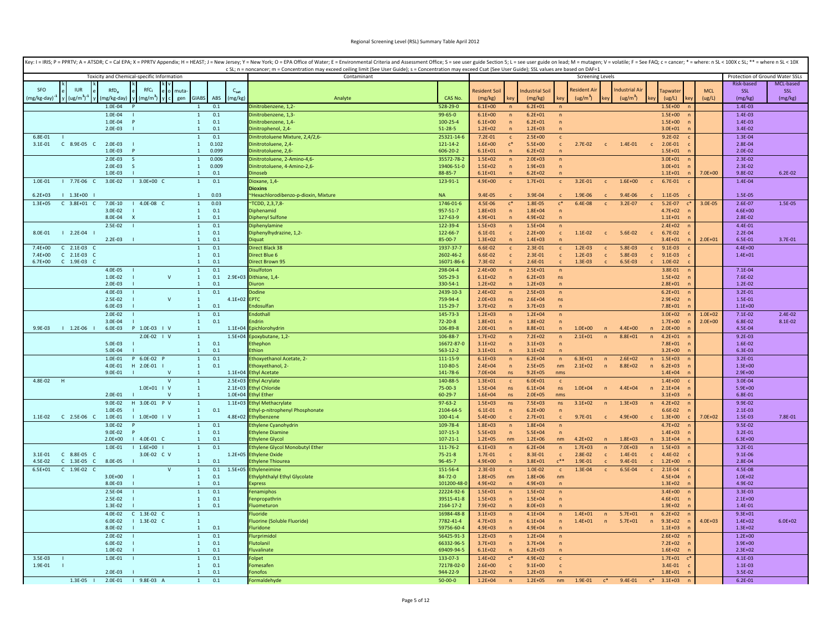|                        |                                    |                        |                                            |              |                                              |             | Key: I = IRIS; P = PPRTV; A = ATSDR; C = Cal EPA; X = PPRTV Appendix; H = HEAST; J = New Jersey; Y = New York; O = EPA Office of Water; E = Environmental Criteria and Assessment Office; S = see user guide Section 5; L = se<br>c SL; n = noncancer; m = Concentration may exceed ceiling limit (See User Guide); s = Concentration may exceed Csat (See User Guide); SSL values are based on DAF=1 |                                |                            |                                |                            |                                |                         |                              |                        |              |                             |             |                                 |             |
|------------------------|------------------------------------|------------------------|--------------------------------------------|--------------|----------------------------------------------|-------------|-------------------------------------------------------------------------------------------------------------------------------------------------------------------------------------------------------------------------------------------------------------------------------------------------------------------------------------------------------------------------------------------------------|--------------------------------|----------------------------|--------------------------------|----------------------------|--------------------------------|-------------------------|------------------------------|------------------------|--------------|-----------------------------|-------------|---------------------------------|-------------|
|                        |                                    |                        | Toxicity and Chemical-specific Information |              |                                              |             | Contaminant                                                                                                                                                                                                                                                                                                                                                                                           |                                |                            |                                |                            |                                | <b>Screening Levels</b> |                              |                        |              |                             |             | Protection of Ground Water SSLs |             |
|                        |                                    |                        |                                            |              |                                              |             |                                                                                                                                                                                                                                                                                                                                                                                                       |                                |                            |                                |                            |                                |                         |                              |                        |              |                             |             | Risk-based                      | MCL-based   |
| SFO                    | <b>ILIR</b>                        | $RfD_0$                | RfC.                                       |              |                                              | $C_{sat}$   |                                                                                                                                                                                                                                                                                                                                                                                                       |                                | Resident Soi               |                                | ndustrial Soil             |                                | <b>Resident Ai</b>      |                              | Industrial Air         |              | apwate                      | <b>MCL</b>  | <b>SSL</b>                      | SSL         |
| mg/kg-day)             | $(ug/m^3)^{-1}$                    | mg/kg-day)<br>1.0E-04  | $(mg/m^3)$                                 | gen          | <b>GIABS</b><br>ABS<br>0.1                   | (mg/kg)     | Analyte<br>initrobenzene, 1,2-                                                                                                                                                                                                                                                                                                                                                                        | CAS No.<br>528-29-0            | (mg/kg)<br>$6.1E + 00$     | key                            | (mg/kg)<br>$6.2E + 01$     | kev                            | (ug/m <sup>3</sup> )    | ev                           | (ug/m <sup>3</sup> )   |              | (ug/L)<br>$1.5E + 00$       | (ug/L)      | (mg/kg)<br>1.4E-03              | (mg/kg)     |
|                        |                                    | $1.0E - 04$            |                                            |              | $\overline{1}$<br>0.1                        |             | Jinitrobenzene, 1,3-                                                                                                                                                                                                                                                                                                                                                                                  | $99 - 65 - 0$                  | $6.1E + 00$                | n                              | $6.2E + 01$                | $\sqrt{n}$                     |                         |                              |                        |              | $1.5E + 00$                 |             | $1.4E - 03$                     |             |
|                        |                                    | 1.0E-04                | P                                          |              | 0.1<br>$\mathbf{1}$                          |             | Dinitrobenzene, 1,4-                                                                                                                                                                                                                                                                                                                                                                                  | 100-25-4                       | $6.1E + 00$                | $\sqrt{n}$                     | $6.2E + 01$                | $\overline{p}$                 |                         |                              |                        |              | $1.5E + 00$                 |             | 1.4E-03                         |             |
|                        |                                    | 2.0E-03                |                                            |              | 0.1<br>$\mathbf{1}$                          |             | linitrophenol, 2,4-                                                                                                                                                                                                                                                                                                                                                                                   | $51 - 28 - 5$                  | $1.2E + 02$                | $\mathbf n$                    | $1.2E + 03$                | n                              |                         |                              |                        |              | $3.0E + 01$                 |             | 3.4E-02                         |             |
| 6.8E-01                |                                    |                        |                                            |              | 0.1<br>$\overline{1}$                        |             | Dinitrotoluene Mixture, 2,4/2,6-                                                                                                                                                                                                                                                                                                                                                                      | 25321-14-                      | $7.2E - 01$                | $\mathbf{c}$                   | $2.5E+00$                  | $\mathsf{C}$                   |                         |                              |                        |              | $9.2E - 02$                 |             | 1.3E-04                         |             |
|                        |                                    | 2.0E-03<br>1.0E-03     | P                                          |              | 0.102<br>$\mathbf{1}$<br>0.099<br>1          |             | Dinitrotoluene, 2,4-<br>Dinitrotoluene, 2,6-                                                                                                                                                                                                                                                                                                                                                          | 121-14-2<br>606-20-2           | $1.6E + 00$<br>$6.1E + 01$ | $c^*$<br>$\overline{n}$        | $5.5E+00$<br>$6.2E + 02$   | $\mathbf{c}$<br>$\overline{ }$ | 2.7E-02                 | C                            | $1.4E - 01$            | $\mathbf{c}$ | 2.0E-01<br>$1.5E + 01$      |             | 2.8E-04<br>2.0E-02              |             |
|                        |                                    | $2.0E-03$              | <sub>S</sub>                               |              | 0.006<br>$\mathbf 1$                         |             | Dinitrotoluene, 2-Amino-4,6-                                                                                                                                                                                                                                                                                                                                                                          | 35572-78-2                     | $1.5E + 02$                | $\overline{ }$                 | $2.0E + 03$                | $\overline{ }$                 |                         |                              |                        |              | $3.0E + 01$                 |             | $2.3E-02$                       |             |
|                        |                                    | $2.0E-03$              | <sub>S</sub>                               |              | 0.009<br>$\mathbf{1}$                        |             | linitrotoluene, 4-Amino-2,6-                                                                                                                                                                                                                                                                                                                                                                          | 19406-51-0                     | $1.5E + 02$                | $\overline{p}$                 | $1.9E + 03$                | $\mathsf{n}$                   |                         |                              |                        |              | $3.0E + 01$                 |             | 2.3E-02                         |             |
|                        |                                    | $1.0F - 03$            |                                            |              | 0.1<br>$\mathbf{1}$                          |             | <b>Dinoseb</b>                                                                                                                                                                                                                                                                                                                                                                                        | 88-85-7                        | $6.1E + 01$                | $\mathsf{n}$                   | $6.2E + 02$                |                                |                         |                              |                        |              | $1.1E + 01$                 | $7.0F + 00$ | 9.8E-02                         | 6.2E-02     |
| $1.0E - 01$            | $1$ 7.7E-06 C                      | $3.0E - 02$            | $13.0E+00C$                                |              | 0.1<br>1                                     |             | Dioxane, 1,4-                                                                                                                                                                                                                                                                                                                                                                                         | 123-91-1                       | $4.9E + 00$                | $\mathbf{C}$                   | $1.7E + 01$                | $\mathsf{c}$                   | $3.2E - 01$             | $\mathbf{C}$                 | $1.6E + 00$            | $\mathbf{C}$ | $6.7E-01$                   |             | $1.4E - 04$                     |             |
| $6.2E + 03$            | $1.3E+00$                          |                        |                                            |              | 0.03<br>$\mathbf{1}$                         |             | <b>Dioxins</b><br>Hexachlorodibenzo-p-dioxin, Mixture                                                                                                                                                                                                                                                                                                                                                 | <b>NA</b>                      | 9.4E-05                    |                                | 3.9E-04                    |                                | 1.9E-06                 | $\mathsf{C}$                 | $9.4E - 06$            | $\mathsf{C}$ | 1.1E-05                     |             | 1.5E-05                         |             |
| $1.3E + 05$            | $C$ 3.8E+01 $C$                    | 7.0E-10                | I 4.0E-08 C                                |              | 0.03<br>$\overline{1}$                       |             | "TCDD, 2,3,7,8-                                                                                                                                                                                                                                                                                                                                                                                       | 1746-01-6                      | 4.5E-06                    | $\mathfrak{c}^*$               | 1.8E-05                    | $\mathsf{c}^*$                 | $6.4E-08$               | $\mathbf{c}$                 | $3.2E - 07$            |              | 5.2E-07                     | 3.0E-05     | 2.6E-07                         | 1.5E-05     |
|                        |                                    | 3.0E-02                |                                            |              | 0.1<br>$\mathbf{1}$                          |             | Diphenamid                                                                                                                                                                                                                                                                                                                                                                                            | 957-51-7                       | $1.8E + 03$                | $\overline{p}$                 | $1.8E + 04$                | $\overline{p}$                 |                         |                              |                        |              | 4.7E+02                     |             | $4.6E + 00$                     |             |
|                        |                                    | 8.0E-04                |                                            |              | $\mathbf{1}$<br>0.1                          |             | Diphenyl Sulfone                                                                                                                                                                                                                                                                                                                                                                                      | 127-63-9                       | $4.9E + 01$                |                                | $4.9E + 02$                | $\overline{p}$                 |                         |                              |                        |              | $1.1E + 01$                 |             | 2.8E-02                         |             |
|                        |                                    | $2.5E-02$              |                                            |              | 0.1<br>$\mathbf{1}$                          |             | Diphenylamine                                                                                                                                                                                                                                                                                                                                                                                         | 122-39-4                       | $1.5E + 03$                | $\mathsf{n}$                   | $1.5E + 04$                | $\overline{p}$                 |                         |                              |                        |              | $2.4E + 02$                 |             | $4.4E - 01$                     |             |
| 8.0E-01                | $12.2E-04$                         | $2.2E-03$              |                                            |              | 0.1<br>$\mathbf{1}$<br>0.1<br>$\overline{1}$ |             | Diphenylhydrazine, 1,2-<br>Diguat                                                                                                                                                                                                                                                                                                                                                                     | 122-66-7<br>85-00-7            | $6.1E - 01$<br>$1.3F + 02$ | $\mathsf{c}$<br>$\sqrt{n}$     | $2.2E+00$<br>$1.4F + 03$   | $\mathsf{c}$<br>n              | $1.1E-02$               | $\mathsf{c}$                 | 5.6E-02                | $\mathsf{C}$ | 6.7E-02<br>$3.4E + 01$      | $2.0E + 01$ | $2.2E - 04$<br>6.5E-01          | 3.7E-01     |
| 7.4E+00                | $C$ 2.1E-03 $C$                    |                        |                                            |              | 0.1<br>$\mathbf{1}$                          |             | Direct Black 38                                                                                                                                                                                                                                                                                                                                                                                       | 1937-37-7                      | $6.6E - 02$                | $\mathbf{C}$                   | 2.3E-01                    | $\mathbf{C}$                   | $1.2E-03$               | C                            | 5.8E-03                | <b>C</b>     | $9.1E - 03$                 |             | $4.4E + 00$                     |             |
| $7.4F + 00$            | $C$ 2.1E-03 $C$                    |                        |                                            |              | 0.1<br>$\overline{1}$                        |             | Direct Blue 6                                                                                                                                                                                                                                                                                                                                                                                         | 2602-46-2                      | 6.6F-02                    | $\mathsf{C}$                   | 2.3F-01                    | $\mathbf{c}$                   | $1.2E-03$               | $\mathbf{C}$                 | 5.8E-03                | $\mathsf{C}$ | $9.1E-03$                   |             | $1.4E + 01$                     |             |
| $6.7E + 00$            | $C$ 1.9E-03                        |                        |                                            |              | $\mathbf{1}$<br>0.1                          |             | Virect Brown 95                                                                                                                                                                                                                                                                                                                                                                                       | 16071-86-6                     | 7.3E-02                    | $\mathsf{C}$                   | 2.6E-01                    | $\mathsf{C}$                   | 1.3E-03                 | $\mathsf{C}$                 | 6.5E-03                |              | 1.0E-02                     |             |                                 |             |
|                        |                                    | 4.0E-05                |                                            |              | 0.1<br>1                                     |             | <b>Disulfoton</b>                                                                                                                                                                                                                                                                                                                                                                                     | 298-04-4                       | $2.4E + 00$                | $\sqrt{n}$                     | $2.5E + 01$                | $\sqrt{n}$                     |                         |                              |                        |              | 3.8E-01                     |             | 7.1E-04                         |             |
|                        |                                    | 1.0E-02                |                                            | $\mathsf{v}$ | 0.1<br>$\mathbf{1}$                          |             | 2.9E+03 Dithiane, 1,4-                                                                                                                                                                                                                                                                                                                                                                                | 505-29-3                       | $6.1E + 02$                | $\overline{p}$                 | $6.2E + 03$                | ns<br>$\sqrt{n}$               |                         |                              |                        |              | $1.5E + 02$                 |             | 7.6E-02                         |             |
|                        |                                    | 2.0E-03<br>4.0E-03     |                                            |              | $\mathbf{1}$<br>0.1<br>0.1<br>$\mathbf{1}$   |             | <b>Diuron</b><br><b>Dodine</b>                                                                                                                                                                                                                                                                                                                                                                        | 330-54-1<br>2439-10-3          | $1.2E + 02$<br>$2.4E + 02$ | $\sqrt{n}$                     | $1.2E + 03$<br>$2.5E + 03$ | $\overline{p}$                 |                         |                              |                        |              | $2.8E + 01$<br>$6.2E + 01$  |             | 1.2E-02<br>3.2E-01              |             |
|                        |                                    | $2.5E-02$              |                                            | $\mathsf{v}$ | $\mathbf{1}$                                 |             | 4.1E+02 EPTC                                                                                                                                                                                                                                                                                                                                                                                          | 759-94-4                       | $2.0E + 03$                | ns                             | $2.6E + 04$                | $\sf{ns}$                      |                         |                              |                        |              | $2.9E + 02$                 |             | 1.5E-01                         |             |
|                        |                                    | 6.0E-03                |                                            |              | 0.1<br>$\overline{1}$                        |             | indosulfan                                                                                                                                                                                                                                                                                                                                                                                            | 115-29-7                       | $3.7E + 02$                | $\overline{p}$                 | $3.7E + 03$                | $\sqrt{2}$                     |                         |                              |                        |              | $7.8E + 01$                 |             | $1.1E + 00$                     |             |
|                        |                                    | $2.0E - 02$            |                                            |              | 0.1<br>$\mathbf{1}$                          |             | ndothall                                                                                                                                                                                                                                                                                                                                                                                              | 145-73-3                       | $1.2E + 03$                | $\sqrt{n}$                     | $1.2E + 04$                | $\overline{p}$                 |                         |                              |                        |              | $3.0E + 02$                 | $1.0E + 02$ | $7.1E-02$                       | $2.4E - 02$ |
| 9.9E-03                |                                    | 3.0E-04                |                                            |              | 0.1<br>$\mathbf{1}$<br>$\mathbf{1}$          | $1.1E + 04$ | ndrin<br>pichlorohydrin                                                                                                                                                                                                                                                                                                                                                                               | $72 - 20 - 8$<br>106-89-8      | $1.8E + 01$<br>$2.0E + 01$ | $\sqrt{n}$<br>$\overline{p}$   | $1.8E + 02$<br>8.8E+01     | $\overline{p}$                 | $1.0E + 00$             | $\overline{p}$               | $4.4E + 00$            | n            | $1.7E + 00$<br>$2.0E + 00$  | $2.0E + 00$ | 6.8E-02<br>4.5E-04              | 8.1E-02     |
|                        | $1 1.2E-06$                        | 6.0E-03                | P 1.0E-03   V<br>$2.0E-02$   V             |              | $\mathbf{1}$                                 | $1.5E + 04$ | Epoxybutane, 1,2-                                                                                                                                                                                                                                                                                                                                                                                     | 106-88-7                       | $1.7E + 02$                |                                | $7.2E + 02$                |                                | $2.1E + 01$             |                              | $8.8E + 01$            | n            | $4.2E + 01$                 |             | $9.2E - 03$                     |             |
|                        |                                    | 5.0E-03                |                                            |              | 1<br>0.1                                     |             | Ethephon                                                                                                                                                                                                                                                                                                                                                                                              | 16672-87-0                     | $3.1E + 02$                | $\sqrt{n}$<br>$\overline{p}$   | $3.1E + 03$                | $\mathsf{n}$<br>$\overline{p}$ |                         |                              |                        |              | $7.8E + 01$                 |             | 1.6E-02                         |             |
|                        |                                    | 5.0E-04                |                                            |              | 0.1<br>$\mathbf{1}$                          |             | thion                                                                                                                                                                                                                                                                                                                                                                                                 | 563-12-2                       | $3.1E + 01$                | $\sqrt{n}$                     | $3.1E + 02$                | $\sqrt{n}$                     |                         |                              |                        |              | $3.2E + 00$                 |             | 6.3E-03                         |             |
|                        |                                    | 1.0E-01                | P 6.0E-02 P                                |              | 0.1<br>$\overline{1}$                        |             | Ethoxyethanol Acetate, 2-                                                                                                                                                                                                                                                                                                                                                                             | 111-15-9                       | $6.1E + 03$                | $\sqrt{n}$                     | $6.2E + 04$                | $\overline{p}$                 | $6.3E + 01$             | $\sqrt{n}$                   | $2.6E + 02$            | n            | $1.5E + 03$                 |             | $3.2E - 01$                     |             |
|                        |                                    | $4.0F - 01$            | H 2.0E-01                                  |              | 0.1<br>$\overline{1}$<br>$\overline{1}$      |             | Fthoxyethanol, 2-                                                                                                                                                                                                                                                                                                                                                                                     | 110-80-5                       | $2.4F + 04$                | $\sqrt{n}$                     | $2.5E + 05$                | nm                             | $2.1E + 02$             | $\sqrt{n}$                   | 8.8E+02                | n            | $6.2E + 03$                 |             | $1.3E + 00$                     |             |
| 4.8E-02                | $- H$                              | 9.0E-01                |                                            |              | $\mathbf{1}$                                 | $2.5E + 03$ | 1.1E+04 Ethyl Acetate<br><b>Ethyl Acrylate</b>                                                                                                                                                                                                                                                                                                                                                        | 141-78-6<br>140-88-5           | $7.0E + 04$<br>$1.3E + 01$ | <b>ns</b><br>$\mathbf c$       | $9.2E + 05$<br>$6.0E + 01$ | nms<br>$\mathbf{c}$            |                         |                              |                        |              | $1.4E + 04$<br>$1.4E + 00$  |             | $2.9E + 00$<br>$3.0E - 04$      |             |
|                        |                                    |                        | 1.0E+01   V                                |              | $\mathbf{1}$                                 | $2.1E + 03$ | thyl Chloride                                                                                                                                                                                                                                                                                                                                                                                         | $75-00-3$                      | $1.5E + 04$                | ns                             | $6.1E + 04$                | ns                             | $1.0E + 04$             | $\sqrt{n}$                   | $4.4E + 04$            | n            | $2.1E + 04$                 |             | $5.9E + 00$                     |             |
|                        |                                    | 2.0E-01                |                                            |              | $\mathbf{1}$                                 | $1.0E + 04$ | thyl Ether                                                                                                                                                                                                                                                                                                                                                                                            | $60 - 29 - 7$                  | $1.6E + 04$                | ns                             | $2.0E + 05$                | nms                            |                         |                              |                        |              | $3.1E + 03$                 |             | 6.8E-01                         |             |
|                        |                                    | $9.0E - 02$            | H 3.0E-01 P V                              |              | $\mathbf{1}$                                 | $1.1E + 03$ | Ethyl Methacrylate                                                                                                                                                                                                                                                                                                                                                                                    | $97 - 63 - 2$                  | $1.5E + 03$                | ns                             | $7.5E + 03$                | ns                             | $3.1E + 02$             | $\mathsf{n}$                 | $1.3E + 03$            | n            | $4.2E + 02$                 |             | $9.9E - 02$                     |             |
|                        |                                    | 1.0E-05                |                                            |              | $\mathbf{1}$<br>0.1                          |             | thyl-p-nitrophenyl Phosphonate                                                                                                                                                                                                                                                                                                                                                                        | 2104-64-5                      | $6.1E - 01$                | $\sqrt{n}$                     | $6.2E + 00$                | $\sqrt{n}$                     |                         |                              |                        |              | $6.6E - 02$                 |             | $2.1E-03$                       |             |
| $1.1E-02$              | $C$ 2.5E-06 $C$                    | 1.0E-01<br>$3.0E - 02$ | $1.0E+00$   V                              |              | $\mathbf{1}$<br>0.1<br>$\mathbf{1}$          |             | 4.8E+02 Ethylbenzene<br>Ethylene Cyanohydrin                                                                                                                                                                                                                                                                                                                                                          | $100 - 41 - 4$<br>109-78-4     | $5.4E + 00$<br>$1.8E + 03$ | $\mathsf{C}$<br>$\sqrt{n}$     | $2.7E + 01$<br>$1.8E + 04$ | $\mathsf{C}$<br>$\sqrt{n}$     | 9.7E-01                 |                              | $4.9E + 00$            |              | $1.3E + 00$<br>$4.7E + 02$  | $7.0E + 02$ | 1.5E-03<br>9.5E-02              | 7.8E-01     |
|                        |                                    | $9.0E - 02$            |                                            |              | $\mathbf{1}$<br>0.1                          |             | Ethylene Diamine                                                                                                                                                                                                                                                                                                                                                                                      | 107-15-3                       | $5.5E + 03$                | $\sqrt{n}$                     | $5.5E + 04$                | $\overline{p}$                 |                         |                              |                        |              | $1.4E + 03$                 |             | 3.2E-01                         |             |
|                        |                                    | $2.0E + 00$            | $14.0E-01 C$                               |              | $\mathbf{1}$<br>0.1                          |             | thylene Glycol                                                                                                                                                                                                                                                                                                                                                                                        | $107 - 21 - 1$                 | $1.2E + 05$                | nm                             | $1.2E + 06$                | nm                             | $4.2E + 02$             |                              | $1.8E + 03$            |              | $3.1E + 04$                 |             | $6.3E + 00$                     |             |
|                        |                                    | 1.0E-01                | $1 1.6E + 00 1$                            |              | 0.1<br>$\mathbf{1}$                          |             | thylene Glycol Monobutyl Ether                                                                                                                                                                                                                                                                                                                                                                        | 111-76-2                       | $6.1E + 03$                | $\mathsf{n}$                   | $6.2E + 04$                | $\overline{p}$                 | $1.7E + 03$             | $\mathsf{n}$                 | $7.0E + 03$            | n            | $1.5E + 03$                 |             | $3.2E - 01$                     |             |
| $3.1E - 01$            | C 8.8E-05 C                        |                        | 3.0E-02 C V                                |              | $\mathbf{1}$<br>0.1<br>$\overline{1}$        | $1.2E + 05$ | Ethylene Oxide                                                                                                                                                                                                                                                                                                                                                                                        | $75 - 21 - 8$<br>$96 - 45 - 7$ | $1.7E - 01$<br>$4.9F + 00$ | $\mathsf{c}$<br>$\overline{p}$ | 8.3E-01                    | $\mathbf{c}$<br>$\mathsf{r}^*$ | 2.8E-02                 | $\mathbf{C}$<br>$\mathbf{C}$ | 1.4E-01                | $\mathsf{C}$ | 4.4E-02                     |             | $9.1E - 06$<br>$2.8F - 04$      |             |
| 4.5E-02<br>$6.5E + 01$ | $C$ 1.3E-05 $C$<br>$C$ 1.9E-02 $C$ | 8.0E-05                |                                            |              | 0.1<br>1                                     | $1.5E + 05$ | thylene Thiourea<br><b>Ethyleneimine</b>                                                                                                                                                                                                                                                                                                                                                              | 151-56-4                       | $2.3E-03$                  | $\mathsf{C}$                   | $3.8E + 01$<br>$1.0E-02$   | $\mathbb{C}$                   | 1.9E-01<br>$1.3F - 04$  | $\mathbf{C}$                 | $9.4E - 01$<br>6.5E-04 | $\mathsf{C}$ | $1.2E + 00$<br>$2.1E-04$    |             | 4.5E-08                         |             |
|                        |                                    | $3.0E + 00$            |                                            |              | 01<br>$\mathbf{1}$                           |             | <b>Ethylphthalyl Ethyl Glycolate</b>                                                                                                                                                                                                                                                                                                                                                                  | $84 - 72 - 0$                  | $1.8E + 05$                | nm                             | $1.8F + 06$                | nm                             |                         |                              |                        |              | $4.5E + 04$                 |             | $1.0F + 02$                     |             |
|                        |                                    | 8.0F-03                |                                            |              | 0.1<br>$\overline{1}$                        |             | xpress                                                                                                                                                                                                                                                                                                                                                                                                | 101200-48-0                    | $4.9E + 02$                | $\mathsf{n}$                   | $4.9E + 03$                | $\sqrt{n}$                     |                         |                              |                        |              | $1.3E + 02$                 |             | 4.9E-02                         |             |
|                        |                                    | 2.5E-04                |                                            |              | 0.1<br>$\overline{1}$                        |             | enamiphos <sup>-</sup>                                                                                                                                                                                                                                                                                                                                                                                | 22224-92-6                     | $1.5E + 01$                | $\overline{ }$                 | $1.5E + 02$                | $\overline{ }$                 |                         |                              |                        |              | $3.4E + 00$                 |             | 3.3E-03                         |             |
|                        |                                    | $2.5E-02$              |                                            |              | 0.1<br>$\mathbf{1}$                          |             | Fenpropathrin                                                                                                                                                                                                                                                                                                                                                                                         | 39515-41-8                     | $1.5E + 03$                | $\sqrt{n}$                     | $1.5E + 04$                | $\overline{p}$                 |                         |                              |                        |              | $4.6E + 01$                 |             | $2.1E + 00$                     |             |
|                        |                                    | 1.3E-02<br>4.0E-02     | C 1.3E-02 C                                |              | 0.1<br>$\mathbf{1}$<br>$\mathbf{1}$          |             | luometuron<br><b>Fluoride</b>                                                                                                                                                                                                                                                                                                                                                                         | 2164-17-2<br>16984-48-8        | $7.9E + 02$<br>$3.1E + 03$ |                                | $8.0E + 03$<br>$4.1E + 04$ | $\overline{p}$                 | $1.4F + 01$             | $\mathsf{n}$                 | $5.7E + 01$            |              | $1.9E + 02$<br>$6.2E + 02$  |             | 1.4E-01<br>$9.3E + 01$          |             |
|                        |                                    | 6.0E-02                | $1.3E-02 C$                                |              | $\mathbf{1}$                                 |             | luorine (Soluble Fluoride)                                                                                                                                                                                                                                                                                                                                                                            | 7782-41-4                      | $4.7E + 03$                | $\mathsf{n}$<br>$\overline{p}$ | $6.1E + 04$                | $\sqrt{n}$                     | $1.4E + 01$             | $\overline{p}$               | $5.7E + 01$            | n<br>n       | $9.3E + 02$                 | $4.0E + 03$ | $1.4E + 02$                     | $6.0E + 02$ |
|                        |                                    | 8.0E-02                |                                            |              | 0.1<br>-1                                    |             | <b>Fluridone</b>                                                                                                                                                                                                                                                                                                                                                                                      | 59756-60-4                     | $4.9F + 03$                | $\mathbf n$                    | $4.9F + 04$                | n                              |                         |                              |                        |              | $1.1E + 03$                 |             | $1.3E + 02$                     |             |
|                        |                                    | $2.0E-02$              |                                            |              | 0.1<br>$\mathbf{1}$                          |             | lurprimidol                                                                                                                                                                                                                                                                                                                                                                                           | 56425-91-3                     | $1.2E + 03$                | n                              | $1.2E + 04$                | $\sqrt{n}$                     |                         |                              |                        |              | $2.6E + 02$                 |             | $1.2E + 00$                     |             |
|                        |                                    | 6.0F-02                |                                            |              | 0.1<br>$\overline{1}$                        |             | <b>Flutolanil</b>                                                                                                                                                                                                                                                                                                                                                                                     | 66332-96-5                     | $3.7E + 03$                | $\sqrt{n}$                     | $3.7E + 04$                | $\mathsf{n}$                   |                         |                              |                        |              | $7.2E + 02$                 |             | $3.9E + 00$                     |             |
|                        |                                    | 1.0E-02                |                                            |              | 0.1<br>$\mathbf{1}$                          |             | luvalinate                                                                                                                                                                                                                                                                                                                                                                                            | 69409-94-5                     | $6.1E + 02$                | n                              | $6.2E + 03$                | $\mathsf{n}$                   |                         |                              |                        |              | $1.6E + 02$                 |             | $2.3E+02$                       |             |
| 3.5E-03<br>1.9E-01     | $\blacksquare$                     | 1.0E-01                |                                            |              | 0.1<br>$\mathbf{1}$<br>0.1<br>$\mathbf{1}$   |             | olpet<br>omesafen                                                                                                                                                                                                                                                                                                                                                                                     | 133-07-3<br>72178-02-0         | $1.4E + 02$<br>$2.6E + 00$ | $c^*$<br>$\mathbf{c}$          | $4.9E + 02$<br>$9.1E + 00$ | $\mathsf{c}$<br>$\mathsf{C}$   |                         |                              |                        |              | $1.7E + 01$<br>3.4E-01      |             | 4.1E-03<br>1.1E-03              |             |
|                        |                                    | 2.0E-03                |                                            |              | 0.1<br>1                                     |             | onofos                                                                                                                                                                                                                                                                                                                                                                                                | 944-22-9                       | $1.2E + 02$                |                                | $1.2E + 03$                |                                |                         |                              |                        |              | $1.8E + 01$                 |             | 3.5E-02                         |             |
|                        | $1.3E-05$                          | 2.0E-01                | 1 9.8E-03 A                                |              | 0.1<br>$\mathbf{1}$                          |             | Formaldehyde                                                                                                                                                                                                                                                                                                                                                                                          | $50 - 00 - 0$                  | $1.2E + 04$                | $\overline{p}$                 | $1.2E + 05$                | nm                             | 1.9E-01                 | $\mathfrak{c}^*$             | 9.4E-01                | $c^*$        | $3.1E + 03$<br>$\mathsf{n}$ |             | $6.2E - 01$                     |             |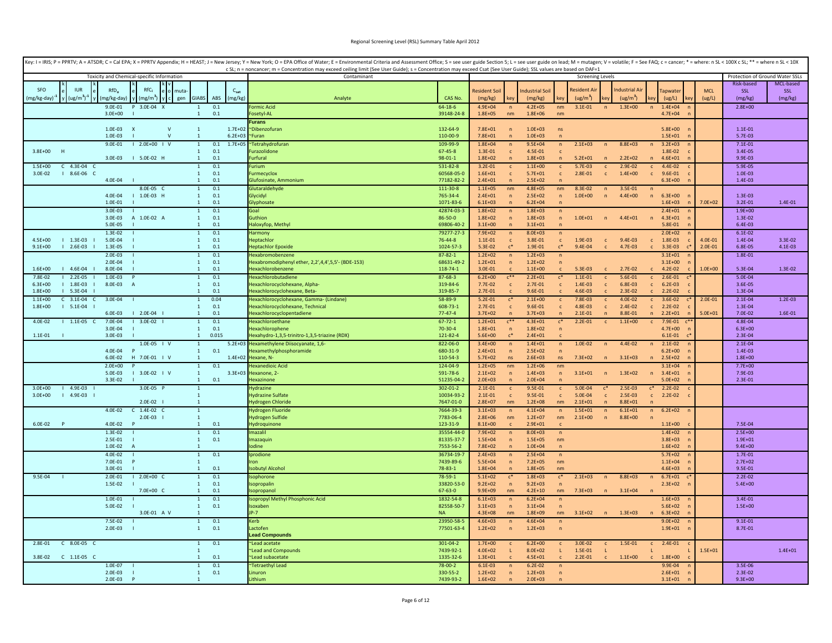|                                                                    |                            |                                            |              |                                  |            |                      | Key: I = IRIS; P = PPRTV; A = ATSDR; C = Cal EPA; X = PPRTV Appendix; H = HEAST; J = New Jersey; Y = New York; O = EPA Office of Water; E = Environmental Criteria and Assessment Office; S = see user guide Section 5; L = se<br>c SL; n = noncancer; m = Concentration may exceed ceiling limit (See User Guide); s = Concentration may exceed Csat (See User Guide); SSL values are based on DAF=1 |                                |                                 |                                  |                            |                                  |                                     |                                  |                                       |                              |                            |                            |                          |                    |
|--------------------------------------------------------------------|----------------------------|--------------------------------------------|--------------|----------------------------------|------------|----------------------|-------------------------------------------------------------------------------------------------------------------------------------------------------------------------------------------------------------------------------------------------------------------------------------------------------------------------------------------------------------------------------------------------------|--------------------------------|---------------------------------|----------------------------------|----------------------------|----------------------------------|-------------------------------------|----------------------------------|---------------------------------------|------------------------------|----------------------------|----------------------------|--------------------------|--------------------|
|                                                                    |                            | Toxicity and Chemical-specific Information |              |                                  |            |                      | Contaminant                                                                                                                                                                                                                                                                                                                                                                                           | <b>Screening Levels</b>        |                                 |                                  |                            |                                  |                                     |                                  | Protection of Ground Water SSLs       |                              |                            |                            |                          |                    |
|                                                                    |                            |                                            |              |                                  |            |                      |                                                                                                                                                                                                                                                                                                                                                                                                       |                                |                                 |                                  |                            |                                  |                                     |                                  |                                       |                              |                            |                            | Risk-based               | MCL-based          |
| <b>SFO</b><br><b>IUR</b><br>$ug/m^3$ ) <sup>-1</sup><br>mg/kg-day) | $RfD_{0}$<br>(mg/kg-day)   | RfC <sub>i</sub><br>$(mg/m^3)$             | nuta<br>gen  | <b>GIABS</b>                     | ABS        | $C_{sat}$<br>(mg/kg) | Analyte                                                                                                                                                                                                                                                                                                                                                                                               | CAS No.                        | <b>Resident Soil</b><br>(mg/kg) |                                  | ndustrial Soil<br>(mg/kg)  |                                  | lesident Ai<br>(ug/m <sup>3</sup> ) |                                  | ndustrial Air<br>(ug/m <sup>3</sup> ) |                              | <b>Tapwater</b><br>(ug/L)  | <b>MCL</b><br>(ug/L)       | SSL<br>(mg/kg)           | SSL<br>(mg/kg)     |
|                                                                    | 9.0E-01<br>$3.0E + 00$     | 3.0E-04 X                                  |              | <sup>1</sup>                     | 0.1<br>0.1 |                      | <b>Formic Acid</b><br>Fosetyl-AL                                                                                                                                                                                                                                                                                                                                                                      | $64 - 18 - 6$<br>39148-24-8    | $4.9E + 04$<br>$1.8E + 05$      | $\mathsf{n}$<br>nm               | $4.2E + 05$<br>$1.8E + 06$ | nm<br>nm                         | $3.1E - 01$                         | $\overline{\phantom{a}}$         | $1.3E + 00$                           | n                            | $1.4E + 04$<br>$4.7E + 04$ |                            | $2.8E + 00$              |                    |
|                                                                    |                            |                                            |              |                                  |            |                      | Furans                                                                                                                                                                                                                                                                                                                                                                                                |                                |                                 |                                  |                            |                                  |                                     |                                  |                                       |                              |                            |                            |                          |                    |
|                                                                    | 1.0E-03                    | X                                          | $\mathsf{V}$ | $\mathbf{1}$                     |            | $1.7E + 02$          | ~Dibenzofuran                                                                                                                                                                                                                                                                                                                                                                                         | 132-64-9                       | $7.8E + 01$                     | $\overline{p}$                   | $1.0E + 03$                | ns                               |                                     |                                  |                                       |                              | $5.8E + 00$                |                            | $1.1E - 01$              |                    |
|                                                                    | $1.0F - 03$<br>$9.0E - 01$ |                                            | $\mathsf{v}$ | $\overline{1}$                   |            | $6.2E + 03$          | <b>Furan</b>                                                                                                                                                                                                                                                                                                                                                                                          | 110-00-9                       | $7.8E + 01$                     | 'n                               | $1.0E + 03$                | $\overline{p}$                   |                                     |                                  |                                       |                              | $1.5E + 01$                |                            | 5.7E-03                  |                    |
| 3.8E+00 H                                                          |                            | $12.0E+00$   V                             |              | $\mathbf{1}$<br>$\mathbf{1}$     | 0.1<br>0.1 | $1.7E + 05$          | "Tetrahydrofuran<br><b>urazolidone</b>                                                                                                                                                                                                                                                                                                                                                                | 109-99-9<br>$67 - 45 - 8$      | $1.8E + 04$<br>1.3E-01          | $\overline{n}$<br>$\mathsf{C}$   | $9.5E + 04$<br>4.5E-01     | n<br>$\mathsf{C}$                | $2.1E + 03$                         |                                  | 8.8E+03                               |                              | $3.2E + 03$<br>1.8E-02     |                            | $7.1E - 01$<br>3.4E-05   |                    |
|                                                                    | 3.0E-03                    | 5.0E-02 H                                  |              | $\mathbf{1}$                     | 0.1        |                      | <b>Furfural</b>                                                                                                                                                                                                                                                                                                                                                                                       | $98 - 01 - 1$                  | $1.8E + 02$                     |                                  | $1.8E + 03$                | $\mathsf{n}$                     | $5.2E + 01$                         | $\overline{ }$                   | $2.2E + 02$                           |                              | $4.6E + 01$                |                            | 9.9E-03                  |                    |
| $C$ 4.3E-04 $C$<br>$1.5F + 00$                                     |                            |                                            |              | $\mathbf{1}$                     | 0.1        |                      | urium                                                                                                                                                                                                                                                                                                                                                                                                 | 531-82-8                       | $3.2E - 01$                     | $\mathsf{c}$                     | $1.1E + 00$                | $\mathsf{c}$                     | $5.7E-03$                           | $\mathbf c$                      | $2.9E - 02$                           | $\mathbf{C}$                 | $4.4E - 02$                |                            | 5.9E-05                  |                    |
| I 8.6E-06 C<br>3.0E-02                                             | 4.0E-04                    |                                            |              | $\overline{1}$<br>$\overline{1}$ | 0.1<br>0.1 |                      | <b>Furmecyclox</b><br>Glufosinate, Ammonium                                                                                                                                                                                                                                                                                                                                                           | 60568-05-0<br>77182-82-2       | $1.6E + 01$<br>$2.4E + 01$      | $\mathsf{c}$<br>$\overline{p}$   | $5.7E + 01$<br>$2.5E + 02$ | $\mathsf{c}$<br>$\overline{ }$   | 2.8E-01                             | $\mathbf{c}$                     | $1.4E + 00$                           | $\epsilon$                   | 9.6E-01<br>$6.3E + 00$     |                            | 1.0E-03<br>1.4E-03       |                    |
|                                                                    |                            | 8.0E-05 C                                  |              |                                  | 0.1        |                      | Glutaraldehyde                                                                                                                                                                                                                                                                                                                                                                                        | 111-30-8                       | $1.1E + 05$                     | nm                               | $4.8E + 05$                | nm                               | 8.3E-02                             | $\mathsf{n}$                     | 3.5E-01                               | n                            |                            |                            |                          |                    |
|                                                                    | 4.0E-04                    | 1.0E-03 H                                  |              | $\mathbf{1}$                     | 0.1        |                      | Glycidyl                                                                                                                                                                                                                                                                                                                                                                                              | 765-34-4                       | $2.4E + 01$                     | $\overline{p}$                   | $2.5E+02$                  | $\sqrt{n}$                       | $1.0E + 00$                         | $\overline{p}$                   | $4.4E + 00$                           | $\mathsf{n}$                 | $6.3E + 00$                |                            | 1.3E-03                  |                    |
|                                                                    | 1.0E-01                    |                                            |              | $\mathbf{1}$                     | 0.1        |                      | Glyphosate                                                                                                                                                                                                                                                                                                                                                                                            | 1071-83-6                      | $6.1E + 03$                     | $\overline{p}$                   | $6.2E + 04$                | $\sqrt{n}$                       |                                     |                                  |                                       |                              | $1.6E + 03$                | $7.0E + 02$                | $3.2E - 01$              | 1.4E-01            |
|                                                                    | 3.0E-03<br>3.0E-03         | A 1.0E-02 A                                |              | $\overline{1}$<br>$\mathbf{1}$   | 0.1<br>0.1 |                      | Goal<br>Guthion                                                                                                                                                                                                                                                                                                                                                                                       | 42874-03-3<br>86-50-0          | $1.8E + 02$<br>$1.8E + 02$      | $\overline{p}$                   | $1.8E + 03$<br>$1.8E + 03$ | $\overline{ }$<br>$\sqrt{n}$     | $1.0E + 01$                         | $\overline{p}$                   | $4.4E + 01$                           | $\mathsf{n}$                 | $2.4E + 01$<br>$4.3E + 01$ |                            | $1.9E + 00$<br>1.3E-02   |                    |
|                                                                    | 5.0E-05                    |                                            |              | $\mathbf{1}$                     | 0.1        |                      | Haloxyfop, Methyl                                                                                                                                                                                                                                                                                                                                                                                     | 69806-40-2                     | $3.1E + 00$                     | $\mathbf{r}$                     | $3.1E + 01$                | $\sqrt{n}$                       |                                     |                                  |                                       |                              | 5.8E-01                    |                            | 6.4E-03                  |                    |
|                                                                    | 1.3E-02                    |                                            |              |                                  | 0.1        |                      | larmony                                                                                                                                                                                                                                                                                                                                                                                               | 79277-27-3                     | $7.9E + 02$                     | $\mathsf{n}$                     | $8.0E + 03$                | $\sqrt{n}$                       |                                     |                                  |                                       |                              | $2.0E + 02$                |                            | $6.1E - 02$              |                    |
| $4.5E + 00$<br>$1 1.3E-03 1$<br>$9.1E + 00$<br>2.6E-03             | 5.0E-04<br>1.3E-05         |                                            |              | $\overline{1}$<br>$\overline{1}$ | 0.1<br>0.1 |                      | Hentachlor<br><b>Heptachlor Epoxide</b>                                                                                                                                                                                                                                                                                                                                                               | $76 - 44 - 8$<br>1024-57-3     | $1.1E - 01$<br>5.3E-02          | $\mathsf{c}$<br>$c^*$            | 3.8F-01<br>1.9E-01         | $\mathsf{C}$<br>$\mathfrak{c}^*$ | 1.9E-03<br>9.4E-04                  | $\mathbf{C}$                     | $9.4E - 03$<br>4.7E-03                | $\mathsf{C}$                 | 1.8E-03<br>3.3E-03         | $4.0F - 01$<br>$2.0E - 01$ | 1.4E-04<br>6.8E-05       | 3.3E-02<br>4.1E-03 |
|                                                                    | 2.0E-03                    |                                            |              |                                  | 0.1        |                      | <b>Hexabromobenzene</b>                                                                                                                                                                                                                                                                                                                                                                               | 87-82-1                        | $1.2E + 02$                     | $\overline{ }$                   | $1.2E + 03$                | $\overline{ }$                   |                                     |                                  |                                       |                              | $3.1E + 01$                |                            | 1.8E-01                  |                    |
|                                                                    | 2.0E-04                    |                                            |              | $\mathbf{1}$                     | 0.1        |                      | Iexabromodiphenyl ether, 2,2',4,4',5,5'- (BDE-153)                                                                                                                                                                                                                                                                                                                                                    | 68631-49-2                     | $1.2E + 01$                     | $\overline{ }$                   | $1.2E + 02$                | $\sqrt{n}$                       |                                     |                                  |                                       |                              | $3.1E + 00$                |                            |                          |                    |
| $1.6E + 00$<br>4.6E-04                                             | 8.0E-04                    |                                            |              |                                  | 0.1        |                      | Hexachlorobenzene                                                                                                                                                                                                                                                                                                                                                                                     | 118-74-1                       | 3.0E-01                         |                                  | $1.1E + 00$                | $\mathsf{c}$                     | 5.3E-03                             |                                  | $2.7E-02$                             |                              | 4.2E-02                    | $1.0E + 00$                | 5.3E-04                  | 1.3E-02            |
| $12.2E-05$<br>7.8E-02                                              | $1.0E-03$                  |                                            |              | $\overline{1}$                   | 0.1<br>0.1 |                      | <b>Hexachlorobutadien</b>                                                                                                                                                                                                                                                                                                                                                                             | $87 - 68 - 3$                  | $6.2E + 00$                     | $C^{\ast\ast}$                   | $2.2E + 01$                | $C^*$                            | $1.1E - 01$                         | $\mathbf{C}$                     | $5.6E - 01$<br>6.8E-03                | $\mathsf{C}$                 | $2.6E - 01$                |                            | 5.0E-04<br>3.6E-05       |                    |
| $6.3E + 00$<br>1.8E-03<br>$1.8E + 00$<br>$1 5.3E - 04$             | 8.0E-03                    | A                                          |              | -1<br>$\overline{1}$             | 0.1        |                      | Hexachlorocyclohexane, Alpha-<br>Hexachlorocyclohexane, Beta-                                                                                                                                                                                                                                                                                                                                         | 319-84-6<br>319-85-7           | $7.7E-02$<br>$2.7E - 01$        | $\mathbf{C}$<br>$\mathsf{C}$     | 2.7E-01<br>9.6E-01         | $\mathsf{c}$<br>$\mathbf{C}$     | 1.4E-03<br>$4.6E - 03$              | $\mathbf c$<br>$\mathbf{C}$      | $2.3E - 02$                           | C.                           | $6.2E-03$<br>2.2E-02       |                            | 1.3E-04                  |                    |
| $C$ 3.1E-04 $C$<br>$1.1F + 00$                                     | 3.0E-04                    |                                            |              | $\overline{1}$                   | 0.04       |                      | Hexachlorocyclohexane, Gamma- (Lindane)                                                                                                                                                                                                                                                                                                                                                               | 58-89-9                        | $5.2E - 01$                     | $c^*$                            | $2.1E+00$                  | $\mathsf{c}$                     | 7.8E-03                             | $\mathbf{C}$                     | $4.0E - 02$                           | $\mathsf{C}$                 | 3.6E-02                    | $2.0E - 01$                | $2.1E-04$                | $1.2E-03$          |
| $1.8E + 00$<br>$1 5.1E-04$                                         |                            |                                            |              | $\overline{1}$                   | 0.1        |                      | Hexachlorocyclohexane, Technical                                                                                                                                                                                                                                                                                                                                                                      | 608-73-1                       | $2.7E - 01$                     | $\epsilon$                       | 9.6E-01                    | $\mathbf{c}$                     | 4.8E-03                             | $\mathbf{c}$                     | $2.4E - 02$                           | $\mathsf{C}$                 | $2.2E-02$                  |                            | 1.3E-04                  |                    |
| $1.1E-05 C$<br>4.0E-02                                             | 6.0E-03<br>7.0E-04         | $12.0E-04$<br>3.0E-02                      |              | $\overline{1}$<br>$\mathbf{1}$   | 0.1<br>0.1 |                      | Hexachlorocyclopentadiene<br><b>Hexachloroethane</b>                                                                                                                                                                                                                                                                                                                                                  | $77 - 47 - 4$<br>$67 - 72 - 1$ | $3.7E + 02$<br>$1.2E + 01$      | $C$ **                           | $3.7E + 03$<br>$4.3E + 01$ | $\overline{p}$<br>$\mathsf{c}^*$ | $2.1E-01$<br>$2.2E-01$              | $\overline{p}$<br>$\mathbf{c}$   | 8.8E-01<br>$1.1E + 00$                | $\mathsf{n}$<br>$\mathbf{C}$ | $2.2E + 01$<br>7.9E-01     | $5.0F + 01$                | 7.0E-02<br>$4.8E - 04$   | 1.6E-01            |
|                                                                    | 3.0E-04                    |                                            |              | $\mathbf{1}$                     | 0.1        |                      | <b>Hexachlorophene</b>                                                                                                                                                                                                                                                                                                                                                                                | $70-30-4$                      | $1.8E + 01$                     | $\overline{p}$                   | $1.8E + 02$                | $\overline{p}$                   |                                     |                                  |                                       |                              | $4.7E + 00$                |                            | $6.3E + 00$              |                    |
| 1.1E-01                                                            | 3.0E-03                    |                                            |              | $\mathbf{1}$                     | 0.015      |                      | Hexahydro-1,3,5-trinitro-1,3,5-triazine (RDX)                                                                                                                                                                                                                                                                                                                                                         | 121-82-4                       | $5.6E + 00$                     | $\mathsf{r}^*$                   | $2.4E + 01$                |                                  |                                     |                                  |                                       |                              | $6.1E - 01$                |                            | 2.3E-04                  |                    |
|                                                                    |                            | $1.0E-05$   V                              |              | $\overline{1}$                   |            |                      | 5.2E+03 Hexamethylene Diisocyanate, 1,6-                                                                                                                                                                                                                                                                                                                                                              | 822-06-0                       | $3.4E + 00$                     | $\mathsf{n}$                     | $1.4E + 01$                | $\mathsf{n}$                     | $1.0E - 02$                         | $\mathsf{n}$                     | 4.4E-02                               | n                            | $2.1E-02$                  |                            | $2.1E - 04$              |                    |
|                                                                    | 4.0E-04<br>6.0E-02         | H 7.0E-01   V                              |              | $\mathbf{1}$<br>$\mathbf{1}$     | 0.1        | $1.4E + 02$          | Hexamethylphosphoramide<br>Hexane, N-                                                                                                                                                                                                                                                                                                                                                                 | 680-31-9<br>110-54-3           | $2.4E + 01$<br>$5.7E + 02$      | $\sqrt{n}$<br>ns                 | $2.5E+02$<br>$2.6E + 03$   | $\overline{p}$<br>ns             | 7.3E+02                             | n                                | $3.1E + 03$                           |                              | $6.2E + 00$<br>n 2.5E+02   |                            | 1.4E-03<br>$1.8E + 00$   |                    |
|                                                                    | $2.0E + 00$                |                                            |              | $\mathbf{1}$                     | 0.1        |                      | lexanedioic Acid                                                                                                                                                                                                                                                                                                                                                                                      | 124-04-9                       | $1.2E + 05$                     | nm                               | $1.2E + 06$                | nm                               |                                     |                                  |                                       |                              | $3.1E + 04$                |                            | $7.7E+00$                |                    |
|                                                                    | 5.0E-03                    | $13.0E-02$ $1 V$                           |              | $\mathbf{1}$                     |            |                      | 3.3E+03 Hexanone, 2-                                                                                                                                                                                                                                                                                                                                                                                  | 591-78-6                       | $2.1E + 02$                     | $\sqrt{n}$                       | $1.4E + 03$                | $\sqrt{n}$                       | $3.1E + 01$                         | n                                | $1.3E + 02$                           | n                            | $3.4E + 01$                |                            | 7.9E-03                  |                    |
|                                                                    | 3.3E-02                    |                                            |              | $\mathbf{1}$                     | 0.1        |                      | Hexazinone                                                                                                                                                                                                                                                                                                                                                                                            | 51235-04-2                     | $2.0E + 03$                     | $\overline{p}$                   | $2.0E + 04$                | $\overline{ }$                   |                                     |                                  |                                       |                              | $5.0E + 02$                |                            | $2.3E - 01$              |                    |
| $14.9E-03$<br>$3.0E + 00$<br>$14.9E-031$<br>$3.0E + 00$            |                            | 3.0E-05 P                                  |              |                                  |            |                      | <b>Hydrazine</b><br><b>Hydrazine Sulfate</b>                                                                                                                                                                                                                                                                                                                                                          | 302-01-2<br>10034-93-2         | $2.1E-01$<br>$2.1E-01$          | $\mathsf{C}$<br>$\mathsf{c}$     | 9.5E-01<br>9.5E-01         | $\mathsf{c}$<br>$\mathsf{c}$     | 5.0E-04<br>5.0E-04                  | $\mathfrak{c}^*$<br>$\mathbf{c}$ | $2.5E-03$<br>$2.5E-03$                | $c^*$<br>$\mathsf{C}$        | $2.2E-02$<br>2.2E-02       |                            |                          |                    |
|                                                                    |                            | 2.0E-02                                    |              | $\mathbf{1}$                     |            |                      | <b>Hydrogen Chloride</b>                                                                                                                                                                                                                                                                                                                                                                              | 7647-01-0                      | $2.8E + 07$                     | nm                               | $1.2E + 08$                | nm                               | $2.1E + 01$                         | $\overline{ }$                   | $8.8E + 01$                           |                              |                            |                            |                          |                    |
|                                                                    | $4.0E - 02$                | $C$ 1.4E-02 $C$                            |              | $\overline{1}$                   |            |                      | Hydrogen Fluoride                                                                                                                                                                                                                                                                                                                                                                                     | 7664-39-3                      | $3.1E + 03$                     | $\sqrt{n}$                       | $4.1E + 04$                | $\sqrt{n}$                       | $1.5E + 01$                         | $\mathsf{n}$                     | $6.1E + 01$                           | n                            | $6.2E + 02$                |                            |                          |                    |
| 6.0E-02<br>$\overline{P}$                                          | 4.0E-02                    | 2.0E-03                                    |              | $\mathbf{1}$<br>$\overline{1}$   | 0.1        |                      | Hydrogen Sulfide<br>Hydroquinone                                                                                                                                                                                                                                                                                                                                                                      | 7783-06-4<br>123-31-9          | $2.8E + 06$<br>$8.1E + 00$      | nm<br>$\mathsf{C}$               | $1.2F + 07$<br>$2.9E + 01$ | nm<br>$\mathbf{c}$               | $2.1E + 00$                         | n                                | 8.8E+00                               |                              | $1.1E + 00$                |                            | 7.5E-04                  |                    |
|                                                                    | 1.3E-02                    |                                            |              | $\mathbf{1}$                     | 0.1        |                      | mazalil                                                                                                                                                                                                                                                                                                                                                                                               | 35554-44-0                     | 7.9E+02                         | $\overline{p}$                   | $8.0E + 03$                | $\overline{ }$                   |                                     |                                  |                                       |                              | $1.4E + 02$                |                            | $2.5E+00$                |                    |
|                                                                    | 2.5E-01                    |                                            |              | $\mathbf{1}$                     | 0.1        |                      | Imazaquin                                                                                                                                                                                                                                                                                                                                                                                             | 81335-37-7                     | $1.5E + 04$                     | $\overline{p}$                   | $1.5E + 05$                | nm                               |                                     |                                  |                                       |                              | $3.8E + 03$                |                            | $1.9E + 01$              |                    |
|                                                                    | 1.0E-02                    | $\overline{A}$                             |              |                                  |            |                      | odine                                                                                                                                                                                                                                                                                                                                                                                                 | 7553-56-2                      | $7.8E + 02$                     |                                  | $1.0E + 04$                | $\overline{ }$                   |                                     |                                  |                                       |                              | $1.6E + 02$                |                            | $9.4E + 00$              |                    |
|                                                                    | $4.0E - 02$<br>7.0E-01     |                                            |              | $\mathbf{1}$                     | 0.1        |                      | Iprodione                                                                                                                                                                                                                                                                                                                                                                                             | 36734-19-7<br>7439-89-6        | $2.4E + 03$<br>$5.5E + 04$      | $\overline{p}$<br>$\overline{p}$ | $2.5E + 04$<br>$7.2E + 05$ | $\overline{ }$<br>nm             |                                     |                                  |                                       |                              | $5.7E+02$<br>$1.1E + 04$   |                            | $1.7E - 01$<br>$2.7E+02$ |                    |
|                                                                    | 3.0F-01                    |                                            |              | $\mathbf{1}$                     | 0.1        |                      | <b>Isobutyl Alcohol</b>                                                                                                                                                                                                                                                                                                                                                                               | 78-83-1                        | $1.8E + 04$                     | $\mathbf{r}$                     | $1.8E + 05$                | nm                               |                                     |                                  |                                       |                              | $4.6E + 03$                |                            | 9.5E-01                  |                    |
| 9.5E-04                                                            | 2.0E-01                    | $12.0E+00C$                                |              |                                  | 0.1        |                      | <b>Isophorone</b>                                                                                                                                                                                                                                                                                                                                                                                     | 78-59-1                        | $5.1E + 02$                     | $\mathfrak{c}^*$                 | $1.8E + 03$                | $c^*$                            | $2.1E + 03$                         | n                                | $8.8E + 03$                           | n                            | $6.7E + 01$                |                            | $2.2E-02$                |                    |
|                                                                    | 1.5E-02                    | 7.0E+00 C                                  |              | $\overline{1}$<br>$\mathbf{1}$   | 0.1<br>0.1 |                      | Isopropalin<br>sopropano                                                                                                                                                                                                                                                                                                                                                                              | 33820-53-0<br>67-63-0          | $9.2E + 02$<br>$9.9E + 09$      | $\overline{p}$<br>nm             | $9.2E + 03$<br>$4.2E + 10$ | n<br>nm                          | $7.3E + 03$                         | n                                | $3.1E + 04$                           | n                            | $2.3E + 02$                |                            | $5.4E + 00$              |                    |
|                                                                    | $1.0E - 01$                |                                            |              | -1                               | 0.1        |                      | <b>Isopropyl Methyl Phosphonic Acid</b>                                                                                                                                                                                                                                                                                                                                                               | 1832-54-8                      | $6.1E + 03$                     |                                  | $6.2E + 04$                |                                  |                                     |                                  |                                       |                              | $1.6E + 03$                |                            | $3.4E - 01$              |                    |
|                                                                    | 5.0E-02                    |                                            |              | $\mathbf{1}$                     | 0.1        |                      | Isoxaben                                                                                                                                                                                                                                                                                                                                                                                              | 82558-50-7                     | $3.1E + 03$                     | $\overline{p}$                   | $3.1E + 04$                | $\overline{p}$                   |                                     |                                  |                                       |                              | $5.6E + 02$                |                            | $1.5E + 00$              |                    |
|                                                                    |                            | 3.0E-01 A V                                |              | -1                               |            |                      | P-7                                                                                                                                                                                                                                                                                                                                                                                                   | <b>NA</b>                      | $4.3E + 08$                     | nm                               | $1.8E + 09$                | nm                               | $3.1E + 02$                         | $\overline{ }$                   | $1.3E + 03$                           | n                            | $6.3E + 02$                |                            |                          |                    |
|                                                                    | 7.5E-02                    |                                            |              | $\overline{1}$<br>$\overline{1}$ | 0.1        |                      | Kerb<br>Lactofen                                                                                                                                                                                                                                                                                                                                                                                      | 23950-58-5                     | $4.6E + 03$                     | $\mathsf{n}$                     | $4.6E + 04$                | n                                |                                     |                                  |                                       |                              | $9.0E + 02$                |                            | $9.1E - 01$              |                    |
|                                                                    | 2.0E-03                    |                                            |              |                                  | 0.1        |                      | ead Compounds                                                                                                                                                                                                                                                                                                                                                                                         | 77501-63-4                     | $1.2E + 02$                     | $\mathsf{n}$                     | $1.2E + 03$                | $\overline{p}$                   |                                     |                                  |                                       |                              | $1.9E + 01$                |                            | 8.7E-01                  |                    |
| C 8.0E-05 C<br>2.8E-01                                             |                            |                                            |              |                                  | 0.1        |                      | Lead acetate                                                                                                                                                                                                                                                                                                                                                                                          | 301-04-2                       | $1.7E + 00$                     | $\mathsf{c}$                     | $6.2E + 00$                | $\mathbf{c}$                     | $3.0E - 02$                         | $\mathbf{C}$                     | 1.5E-01                               | $\mathbf{c}$                 | 2.4E-01                    |                            |                          |                    |
|                                                                    |                            |                                            |              |                                  |            |                      | Lead and Compounds                                                                                                                                                                                                                                                                                                                                                                                    | 7439-92-1                      | $4.0E + 02$                     | L                                | 8.0E+02                    | L                                | 1.5E-01                             | $\mathbf{L}$                     |                                       |                              |                            | $1.5E + 01$                |                          | $1.4E + 01$        |
| 3.8E-02<br>$C$ 1.1E-05 $C$                                         | $1.0E - 07$                |                                            |              | $\overline{1}$                   | 0.1<br>0.1 |                      | Lead subacetate                                                                                                                                                                                                                                                                                                                                                                                       | 1335-32-6<br>$78 - 00 - 2$     | $1.3E + 01$<br>$6.1E-03$        |                                  | $4.5E + 01$<br>$6.2E-02$   | $\mathsf{c}$                     | $2.2E - 01$                         | $\mathsf{c}$                     | $1.1E + 00$                           |                              | $1.8E + 00$                |                            | 3.5E-06                  |                    |
|                                                                    | $2.0E-03$                  |                                            |              | $\mathbf{1}$                     | 0.1        |                      | Tetraethyl Lead<br>Linuron                                                                                                                                                                                                                                                                                                                                                                            | 330-55-2                       | $1.2E + 02$                     | $\sqrt{n}$<br>$\mathsf{n}$       | $1.2E + 03$                | $\sqrt{n}$<br>$\overline{ }$     |                                     |                                  |                                       |                              | 9.9E-04<br>$2.6E + 01$     |                            | $2.3E-02$                |                    |
|                                                                    | 2.0E-03                    |                                            |              | $\overline{1}$                   |            |                      | Lithium                                                                                                                                                                                                                                                                                                                                                                                               | 7439-93-2                      | $1.6E + 02$                     | $\mathbf{r}$                     | $2.0E + 03$                | $\sqrt{n}$                       |                                     |                                  |                                       |                              | $3.1E + 01$                |                            | $9.3E + 00$              |                    |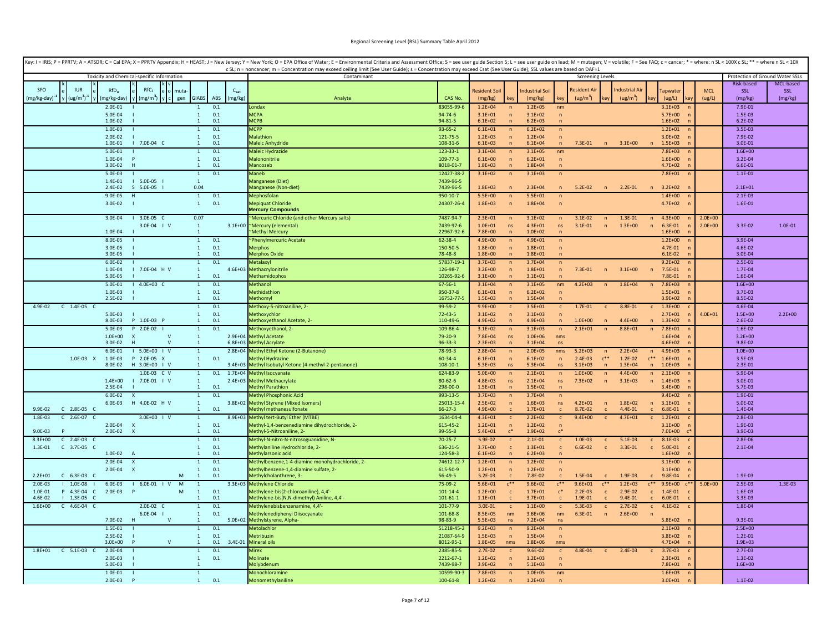|                                                                   |                                            |                                |                      | Key: I = IRIS; P = PPRTV; A = ATSDR; C = Cal EPA; X = PPRTV Appendix; H = HEAST; J = New Jersey; Y = New York; O = EPA Office of Water; E = Environmental Criteria and Assessment Office; S = see user guide Section 5; L = se<br>c SL; n = noncancer; m = Concentration may exceed ceiling limit (See User Guide); s = Concentration may exceed Csat (See User Guide); SSL values are based on DAF=1 |                           |                            |                                |                            |                            |                            |                           |                               |                                             |             |                                 |             |
|-------------------------------------------------------------------|--------------------------------------------|--------------------------------|----------------------|-------------------------------------------------------------------------------------------------------------------------------------------------------------------------------------------------------------------------------------------------------------------------------------------------------------------------------------------------------------------------------------------------------|---------------------------|----------------------------|--------------------------------|----------------------------|----------------------------|----------------------------|---------------------------|-------------------------------|---------------------------------------------|-------------|---------------------------------|-------------|
|                                                                   | Toxicity and Chemical-specific Information |                                |                      | Contaminant                                                                                                                                                                                                                                                                                                                                                                                           |                           |                            |                                |                            |                            | <b>Screening Levels</b>    |                           |                               |                                             |             | Protection of Ground Water SSLs |             |
|                                                                   | RfC.                                       |                                |                      |                                                                                                                                                                                                                                                                                                                                                                                                       |                           |                            |                                |                            |                            |                            |                           |                               |                                             |             | Risk-based                      | MCL-based   |
| <b>SEO</b><br><b>ILIR</b><br>$RfD_0$                              | muta                                       | <b>GIABS</b>                   | $C_{sat}$<br>(mg/kg) |                                                                                                                                                                                                                                                                                                                                                                                                       | CAS No.                   | Resident Soil              |                                | <b>Industrial Soil</b>     |                            | Resident A                 |                           | ndustrial Air                 | apwater                                     | <b>MCL</b>  | SSL                             | SSL         |
| $(ug/m3)-1$<br>(mg/kg-day) <sup>*</sup><br>(mg/kg-day)<br>2.0E-01 | mg/m )<br>gen                              | $\mathbf{1}$                   | ABS<br>0.1           | Analyte<br>ondax                                                                                                                                                                                                                                                                                                                                                                                      | 83055-99-                 | (mg/kg)<br>$1.2E + 04$     |                                | (mg/kg)<br>$1.2E + 05$     | ke'<br>nm                  | (ug/m <sup>3</sup> )       |                           | (ug/m <sup>3</sup> )          | (ug/L)<br>$3.1E + 03$                       | (ug/L)      | (mg/kg)<br>7.9E-01              | (mg/kg)     |
| 5.0E-04                                                           |                                            | $\mathbf{1}$                   | 0.1                  | <b>MCPA</b>                                                                                                                                                                                                                                                                                                                                                                                           | $94 - 74 - 6$             | $3.1E + 01$                | $\sqrt{n}$<br>$\mathsf{n}$     | $3.1E + 02$                | $\overline{ }$             |                            |                           |                               | $5.7E+00$                                   |             | 1.5E-03                         |             |
| 1.0E-02                                                           |                                            | 1                              | 0.1                  | <b>ACPB</b>                                                                                                                                                                                                                                                                                                                                                                                           | $94 - 81 - 5$             | $6.1E + 02$                | $\mathsf{n}$                   | $6.2E + 03$                | $\sqrt{n}$                 |                            |                           |                               | $1.6E + 02$                                 |             | $6.2E - 02$                     |             |
| 1.0E-03                                                           |                                            | $\mathbf{1}$                   | 0.1                  | <b>MCPP</b>                                                                                                                                                                                                                                                                                                                                                                                           | 93-65-2                   | $6.1E + 01$                | $\overline{p}$                 | $6.2E + 02$                | $\mathsf{n}$               |                            |                           |                               | $1.2E + 01$                                 |             | 3.5E-03                         |             |
| $2.0E-02$                                                         |                                            | $\mathbf{1}$                   | 0.1                  | Malathion                                                                                                                                                                                                                                                                                                                                                                                             | 121-75-5                  | $1.2E + 03$                | $\overline{p}$                 | $1.2E + 04$                | n                          |                            |                           |                               | $3.0E + 02$                                 |             | 7.9E-02                         |             |
| 1.0E-01<br>$5.0E - 01$                                            | I 7.0E-04 C                                | $\overline{1}$<br>$\,$ 1 $\,$  | 0.1<br>0.1           | Maleic Anhydride<br>Maleic Hydrazide                                                                                                                                                                                                                                                                                                                                                                  | 108-31-6<br>123-33-1      | $6.1E + 03$<br>$3.1E + 04$ |                                | $6.1E + 04$<br>$3.1E + 05$ | $\overline{p}$<br>nm       | 7.3E-01                    | n                         | $3.1E+00$<br>$\sqrt{n}$       | $1.5E + 03$<br>$7.8E + 03$                  |             | 3.0E-01<br>$1.6E + 00$          |             |
| 1.0E-04                                                           | P                                          | $\mathbf{1}$                   | 0.1                  | Malononitrile                                                                                                                                                                                                                                                                                                                                                                                         | 109-77-3                  | $6.1E + 00$                | $\sqrt{n}$<br>$\overline{p}$   | $6.2E + 01$                | $\mathsf{n}$               |                            |                           |                               | $1.6E + 00$                                 |             | 3.2E-04                         |             |
| 3.0E-02                                                           | H                                          | $\overline{1}$                 | 0.1                  | Mancozeb                                                                                                                                                                                                                                                                                                                                                                                              | 8018-01-7                 | $1.8E + 03$                | $\overline{ }$                 | $1.8E + 04$                | $\overline{p}$             |                            |                           |                               | $4.7E + 02$                                 |             | 6.6E-01                         |             |
| $5.0E - 03$                                                       |                                            | $\mathbf{1}$                   | 0.1                  | Maneh                                                                                                                                                                                                                                                                                                                                                                                                 | 12427-38-2                | $3.1E + 02$                |                                | $3.1E + 03$                | n                          |                            |                           |                               | $7.8E + 01$                                 |             | $1.1E - 01$                     |             |
| $1.4F - 01$                                                       | I 5.0E-05                                  | $\overline{1}$                 |                      | Manganese (Diet)                                                                                                                                                                                                                                                                                                                                                                                      | 7439-96-5                 |                            |                                |                            |                            |                            |                           |                               |                                             |             |                                 |             |
| 2.4E-02<br>$9.0E - 05$                                            | S 5.0E-05<br>H                             | 0.04<br>$\mathbf{1}$           | 0.1                  | <b>Manganese (Non-diet)</b><br>Mephosfolan                                                                                                                                                                                                                                                                                                                                                            | 7439-96-5<br>950-10-7     | $1.8E + 03$<br>$5.5E+00$   | $\overline{p}$                 | $2.3E + 04$<br>$5.5E + 01$ | n<br>$\sqrt{n}$            | $5.2E-02$                  | n                         | 2.2E-01                       | $3.2E + 02$<br>n<br>$1.4E + 00$             |             | $2.1E + 01$<br>$2.1E-03$        |             |
| 3.0E-02                                                           |                                            | 1                              | 0.1                  | Mepiquat Chloride                                                                                                                                                                                                                                                                                                                                                                                     | 24307-26-4                | $1.8E + 03$                | $\sqrt{n}$                     | $1.8E + 04$                | $\sqrt{n}$                 |                            |                           |                               | $4.7E + 02$                                 |             | 1.6E-01                         |             |
|                                                                   |                                            |                                |                      | <b>Mercury Compounds</b>                                                                                                                                                                                                                                                                                                                                                                              |                           |                            |                                |                            |                            |                            |                           |                               |                                             |             |                                 |             |
| 3.0E-04                                                           | I 3.0E-05 C                                | 0.07                           |                      | Mercuric Chloride (and other Mercury salts)                                                                                                                                                                                                                                                                                                                                                           | 7487-94-7                 | $2.3E + 01$                | n                              | $3.1E + 02$                | $\sqrt{n}$                 | $3.1E - 02$                | $\overline{\phantom{a}}$  | 1.3E-01                       | $4.3E + 00$<br>n                            | $2.0E + 00$ |                                 |             |
|                                                                   | 3.0E-04   V                                | $\mathbf{1}$                   |                      | 3.1E+00 Mercury (elemental)                                                                                                                                                                                                                                                                                                                                                                           | 7439-97-6                 | $1.0E + 01$<br>$7.8F + 00$ | ns                             | $4.3E + 01$<br>$1.0F + 02$ | ns                         | $3.1E - 01$                | $\mathsf{n}$              | $1.3E + 00$                   | $\sqrt{n}$<br>6.3E-01<br>$16F + 00$         | $2.0E + 00$ | 3.3E-02                         | 1.0E-01     |
| 1.0E-04<br>8.0E-05                                                |                                            | $\overline{1}$<br>$\mathbf{1}$ | 0.1                  | Methyl Mercury<br>'Phenylmercuric Acetate                                                                                                                                                                                                                                                                                                                                                             | 22967-92-6<br>62-38-4     | $4.9E + 00$                |                                | $4.9E + 01$                |                            |                            |                           |                               | $1.2E + 00$                                 |             | 3.9E-04                         |             |
| 3.0E-05                                                           |                                            | $\mathbf{1}$                   | 0.1                  | <b>Merphos</b>                                                                                                                                                                                                                                                                                                                                                                                        | 150-50-5                  | $1.8E + 00$                | n<br>$\overline{p}$            | $1.8E + 01$                | $\sqrt{n}$<br>n            |                            |                           |                               | 4.7E-01                                     |             | 4.6E-02                         |             |
| 3.0E-05                                                           |                                            | $\mathbf{1}$                   | 0.1                  | <b>Merphos Oxide</b>                                                                                                                                                                                                                                                                                                                                                                                  | 78-48-8                   | $1.8E + 00$                | $\mathbf{r}$                   | $1.8E + 01$                | $\sqrt{n}$                 |                            |                           |                               | $6.1E - 02$                                 |             | 3.0E-04                         |             |
| 6.0E-02                                                           |                                            | $\mathbf{1}$                   | 0.1                  | Metalaxyl                                                                                                                                                                                                                                                                                                                                                                                             | 57837-19-1                | $3.7E + 03$                | $\sqrt{n}$                     | $3.7E + 04$                | $\mathsf{n}$               |                            |                           |                               | $9.2E + 02$                                 |             | 2.5E-01                         |             |
| 1.0E-04                                                           | 1 7.0E-04 H V                              | $\overline{1}$                 |                      | 4.6E+03 Methacrylonitrile                                                                                                                                                                                                                                                                                                                                                                             | 126-98-7                  | $3.2E + 00$                | $\overline{p}$                 | $1.8E + 01$                | $\sqrt{n}$                 | 7.3E-01                    | $\sqrt{n}$                | $3.1E + 00$<br>$\sqrt{n}$     | 7.5E-01                                     |             | $1.7E - 04$                     |             |
| 5.0E-05                                                           |                                            | $\mathbf{1}$                   | 0.1                  | <b>Methamidophos</b><br>Methanol                                                                                                                                                                                                                                                                                                                                                                      | 10265-92-                 | $3.1E + 00$                |                                | $3.1E + 01$                |                            |                            |                           |                               | 7.8E-01                                     |             | 1.6E-04<br>$1.6E + 00$          |             |
| 5.0E-01<br>1.0E-03                                                | $14.0E+00 C$                               | $\mathbf{1}$<br>$\mathbf{1}$   | 0.1<br>0.1           | Methidathion                                                                                                                                                                                                                                                                                                                                                                                          | 67-56-1<br>950-37-8       | $3.1E + 04$<br>$6.1E + 01$ | $\mathsf{n}$<br>$\overline{p}$ | $3.1E + 05$<br>$6.2E + 02$ | nm<br>$\overline{ }$       | $4.2E + 03$                | n                         | $1.8E + 04$                   | $7.8E + 03$<br>n<br>$1.5E + 01$             |             | 3.7E-03                         |             |
| $2.5E-02$                                                         |                                            | $\overline{1}$                 | 0.1                  | <b>Aethomyl</b>                                                                                                                                                                                                                                                                                                                                                                                       | 16752-77-                 | $1.5E + 03$                | $\mathsf{n}$                   | $1.5E + 04$                |                            |                            |                           |                               | $3.9F + 02$                                 |             | 8.5E-02                         |             |
| 4.9E-02<br>C 1.4E-05 C                                            |                                            | $\mathbf{1}$                   | 0.1                  | Methoxy-5-nitroaniline, 2-                                                                                                                                                                                                                                                                                                                                                                            | 99-59-2                   | $9.9E + 00$                | $\mathsf{c}$                   | $3.5E + 01$                | $\mathsf{C}$               | $1.7E - 01$                | $\mathbf{c}$              | 8.8E-01                       | $1.3E + 00$<br>$\mathbf{C}$                 |             | 4.6E-04                         |             |
| $5.0E-03$                                                         |                                            | $\mathbf{1}$                   | 0.1                  | Methoxychlor                                                                                                                                                                                                                                                                                                                                                                                          | $72 - 43 - 5$             | $3.1E + 02$                | n                              | $3.1E + 03$                | n                          |                            |                           |                               | $2.7E + 01$                                 | $4.0E + 01$ | $1.5E + 00$                     | $2.2E + 00$ |
| 8.0E-03                                                           | P 1.0E-03 P                                | $\mathbf{1}$                   | 0.1                  | <b>Methoxyethanol Acetate, 2-</b>                                                                                                                                                                                                                                                                                                                                                                     | 110-49-6                  | 4.9E+02                    | $\mathbf{r}$                   | $4.9E + 03$                | $\sqrt{n}$                 | $1.0E + 00$                | $\mathsf{n}$              | $4.4E + 00$                   | $1.3E + 02$<br>n                            |             | $2.6E - 02$                     |             |
| 5.0E-03<br>$1.0E + 00$                                            | P 2.0E-02                                  | 1<br>$\mathbf{1}$              | 0.1                  | Methoxyethanol, 2-<br>2.9E+04 Methyl Acetate                                                                                                                                                                                                                                                                                                                                                          | 109-86-4<br>79-20-9       | $3.1E + 02$<br>$7.8E + 04$ | $\overline{ }$<br>ns           | $3.1E + 03$<br>$1.0E + 06$ | $\mathsf{n}$<br>nms        | $2.1E + 01$                | $\mathsf{n}$              | $8.8E + 01$                   | $7.8E + 01$<br>n<br>$1.6E + 04$             |             | 1.6E-02<br>$3.2E + 00$          |             |
| 3.0E-02                                                           | H                                          | $\overline{1}$                 |                      | 6.8E+03 Methyl Acrylate                                                                                                                                                                                                                                                                                                                                                                               | $96 - 33 - 3$             | $2.3E + 03$                |                                | $3.1E + 04$                | ns                         |                            |                           |                               | $4.6E + 02$                                 |             | 9.8E-02                         |             |
| $6.0E - 01$                                                       | $1 5.0E+00 1 V$                            | $\mathbf{1}$                   |                      | 2.8E+04 Methyl Ethyl Ketone (2-Butanone)                                                                                                                                                                                                                                                                                                                                                              | 78-93-3                   | $2.8E + 04$                | n                              | $2.0E + 05$                | nms                        | $5.2E + 03$                | n                         | $2.2E + 04$                   | $4.9E + 03$<br>n                            |             | $1.0E + 00$                     |             |
| 1.0E-03 X<br>1.0E-03                                              | P 2.0E-05 X                                | $\mathbf{1}$                   | 0.1                  | <b>Methyl Hydrazine</b>                                                                                                                                                                                                                                                                                                                                                                               | 60-34-4                   | $6.1E + 01$                | $\overline{p}$                 | $6.1E + 02$                | $\sqrt{n}$                 | $2.4E-03$                  | $c**$                     | $1.2E-02$                     | $1.6E + 01$<br>$C^{\ast\,*}$                |             | 3.5F-03                         |             |
| 8.0E-02                                                           | H 3.0E+00   V                              | $\overline{1}$                 |                      | 3.4E+03 Methyl Isobutyl Ketone (4-methyl-2-pentanone)                                                                                                                                                                                                                                                                                                                                                 | $108 - 10 - 1$            | $5.3F + 03$                | ns                             | $5.3F + 04$                | ns                         | $3.1F + 03$                | $\overline{ }$            | $1.3E + 04$                   | $1.0F + 03$<br>$\sqrt{n}$                   |             | $2.3E-01$                       |             |
| $1.4F + 00$                                                       | 1.0E-03 C V<br>$7.0F - 01$   V             | $\mathbf{1}$<br>$\mathbf{1}$   | 0.1<br>$1.7E + 04$   | Methyl Isocyanate<br>2.4E+03 Methyl Methacrylate                                                                                                                                                                                                                                                                                                                                                      | 624-83-9<br>$80 - 62 - 6$ | $5.0E + 00$<br>$4.8F + 03$ | $\sqrt{n}$<br>ns               | $2.1E + 01$<br>$2.1F + 04$ | $\sqrt{n}$<br>ns           | $1.0E + 00$<br>$7.3E + 02$ | n<br>n                    | $4.4E + 00$<br>$3.1E + 03$    | $2.1E+00$<br>n<br>$1.4E + 03$<br>$\sqrt{n}$ |             | 5.9E-04<br>3.0E-01              |             |
| 2.5E-04                                                           |                                            | 1                              | 0.1                  | <b>Methyl Parathion</b>                                                                                                                                                                                                                                                                                                                                                                               | 298-00-0                  | $1.5E + 01$                | $\mathsf{n}$                   | $1.5E + 02$                | $\sqrt{n}$                 |                            |                           |                               | $3.4E + 00$                                 |             | 5.7E-03                         |             |
| 6.0E-02                                                           |                                            | $\mathbf{1}$                   | 0.1                  | <b>Methyl Phosphonic Acid</b>                                                                                                                                                                                                                                                                                                                                                                         | 993-13-5                  | $3.7E + 03$                | $\mathsf{n}$                   | $3.7E + 04$                | $\mathsf{n}$               |                            |                           |                               | $9.4E + 02$                                 |             | 1.9E-01                         |             |
| 6.0E-03                                                           | H 4.0E-02 H V                              | $\overline{1}$                 |                      | 3.8E+02 Methyl Styrene (Mixed Isomers)                                                                                                                                                                                                                                                                                                                                                                | 25013-15-4                | $2.5E + 02$                |                                | $1.6E + 03$                | ns                         | $4.2E + 01$                |                           | $1.8E + 02$                   | $3.1E + 01$<br>$\mathsf{n}$                 |             | 5.0E-02                         |             |
| $C$ 2.8E-05 $C$<br>$9.9E - 02$                                    |                                            | $\mathbf{1}$                   | 0.1                  | Aethyl methanesulfonate                                                                                                                                                                                                                                                                                                                                                                               | $66 - 27 - 3$             | $4.9E + 00$                |                                | $1.7E + 01$                | $\mathbf{r}$               | 8.7E-02                    |                           | 4.4E-01                       | 6.8E-01                                     |             | 1.4E-04                         |             |
| C 2.6E-07 C<br>1.8E-03<br>2.0E-04                                 | 3.0E+00   V<br>$\mathsf{x}$                | $\mathbf{1}$<br>$\mathbf{1}$   | 0.1                  | 8.9E+03 Methyl tert-Butyl Ether (MTBE)<br>Methyl-1,4-benzenediamine dihydrochloride, 2-                                                                                                                                                                                                                                                                                                               | 1634-04-4<br>615-45-2     | $4.3E + 01$<br>$1.2E + 01$ | $\mathsf{c}$<br>n              | $2.2E+02$<br>$1.2E + 02$   | $\mathsf{c}$<br>$\sqrt{n}$ | $9.4E + 00$                | $\mathsf{C}$              | $4.7E + 01$                   | $1.2E + 01$<br>$\mathbf{C}$<br>$3.1E + 00$  |             | $2.8E-03$<br>1.9E-03            |             |
| $2.0E - 02$<br>$9.0F - 03$                                        | $\mathbf{x}$                               | $\overline{1}$                 | 0.1                  | Methyl-5-Nitroaniline, 2-                                                                                                                                                                                                                                                                                                                                                                             | 99-55-8                   | $5.4E + 01$                |                                | $1.9E + 02$                | $\mathfrak{g}^*$           |                            |                           |                               | $7.0E + 00$                                 |             | 3.9E-03                         |             |
| $C$ 2.4E-03 $C$<br>$8.3E + 00$                                    |                                            | $\mathbf{1}$                   | 0.1                  | Methyl-N-nitro-N-nitrosoguanidine, N-                                                                                                                                                                                                                                                                                                                                                                 | $70 - 25 - 7$             | 5.9E-02                    | $\mathbf{c}$                   | $2.1E-01$                  | $\mathsf{c}$               | $1.0E-03$                  | $\mathbf{c}$              | $5.1E-03$                     | 8.1E-03<br>$\mathbf{C}$                     |             | 2.8E-06                         |             |
| C 3.7E-05 C<br>1.3E-01                                            |                                            | $\overline{1}$                 | $0.1\,$              | Aethylaniline Hydrochloride, 2-                                                                                                                                                                                                                                                                                                                                                                       | 636-21-5                  | $3.7E + 00$                | $\mathsf{c}$                   | $1.3E + 01$                | $\mathbf{c}$               | 6.6E-02                    | $\mathbf{c}$              | 3.3E-01                       | $\mathbf{c}$<br>5.0E-01                     |             | $2.1E-04$                       |             |
| 1.0E-02                                                           |                                            | $\mathbf{1}$                   | 0.1                  | Methylarsonic acid                                                                                                                                                                                                                                                                                                                                                                                    | 124-58-3                  | $6.1E + 02$                | $\mathsf{n}$                   | $6.2E + 03$                | $\sqrt{n}$                 |                            |                           |                               | $1.6E + 02$                                 |             |                                 |             |
| $2.0E - 04$<br>2.0E-04                                            | $\mathbf{x}$                               | $\mathbf{1}$<br>$\overline{1}$ | 0.1<br>0.1           | Methylbenzene,1-4-diamine monohydrochloride, 2-<br>Methylbenzene-1,4-diamine sulfate, 2-                                                                                                                                                                                                                                                                                                              | 74612-12-1<br>615-50-9    | $1.2E + 01$<br>$1.2E + 01$ | $\overline{n}$                 | $1.2E + 02$<br>$1.2E + 02$ | $\mathsf{n}$<br>$\sqrt{n}$ |                            |                           |                               | $3.1E + 00$<br>$3.1E + 00$                  |             |                                 |             |
| $2.2E + 01$<br>$C$ 6.3E-03 $C$                                    |                                            | M<br>$\overline{1}$            | 0.1                  | Aethylcholanthrene, 3-                                                                                                                                                                                                                                                                                                                                                                                | 56-49-5                   | $5.2E-03$                  |                                | 7.8E-02                    | $\mathbf{C}$               | $1.5F - 04$                |                           | $1.9F - 03$                   | 9.8E-04                                     |             | 1.9E-03                         |             |
| 2.0E-03<br>1.0E-08<br>6.0E-03                                     | $16.0E-01$ $1 V$                           | M<br>$\overline{1}$            |                      | 3.3E+03 Methylene Chloride                                                                                                                                                                                                                                                                                                                                                                            | 75-09-2                   | $5.6E + 01$                | $c**$                          | $9.6E + 02$                | $c***$                     | $9.6E + 01$                | $c^{\ast\ast}$            | $1.2E + 03$                   | $C***$<br>$9.9E + 00$                       | $5.0E + 00$ | $2.5E-03$                       | $1.3E-03$   |
| P 4.3E-04<br>$1.0F - 01$<br>2.0E-03<br>C.                         |                                            | M<br>$\mathbf{1}$              | 0.1                  | Methylene-bis(2-chloroaniline), 4,4'-                                                                                                                                                                                                                                                                                                                                                                 | $101 - 14 - 4$            | $1.2E + 00$                | $\mathsf{C}$                   | $1.7E + 01$                | $c^*$                      | $2.2E-03$                  | $\mathbf{C}$              | 2.9E-02                       | 1.4E-01<br>$\mathbb{C}$                     |             | 1.6E-03                         |             |
| 4.6E-02<br>$1.3E-05 C$                                            |                                            | $\mathbf{1}$                   | 0.1                  | /4.4 Aethylene-bis(N,N-dimethyl) Aniline, 4,4                                                                                                                                                                                                                                                                                                                                                         | $101 - 61 - 1$            | $1.1E + 01$                |                                | $3.7E + 01$                |                            | 1.9E-01                    |                           | 9.4E-01                       | 6.0E-01                                     |             | 3.3E-03                         |             |
| $1.6E + 00$<br>$C$ 4.6E-04 $C$                                    | 2.0E-02 C<br>6.0E-04                       | $\mathbf{1}$<br>$\mathbf{1}$   | 0.1<br>0.1           | Methylenebisbenzenamine, 4,4'<br>Methylenediphenyl Diisocyanate                                                                                                                                                                                                                                                                                                                                       | 101-77-9<br>101-68-8      | $3.0E - 01$<br>$8.5E + 05$ | $\mathbf{C}$<br>nm             | $1.1E + 00$<br>$3.6E + 06$ | $\mathbf{C}$<br>nm         | 5.3E-03<br>6.3E-01         | $\mathbf c$<br>$\sqrt{n}$ | $2.7E-02$<br>$2.6E + 00$<br>n | 4.1E-02<br>$\mathbf{C}$                     |             | 1.8E-04                         |             |
| 7.0E-02                                                           |                                            | $\mathbf{1}$                   |                      | 5.0E+02 Methylstyrene, Alpha                                                                                                                                                                                                                                                                                                                                                                          | 98-83-9                   | $5.5E + 03$                | ns                             | $7.2E + 04$                | ns                         |                            |                           |                               | $5.8E + 02$                                 |             | 9.3E-01                         |             |
| 1.5E-01                                                           |                                            | $\mathbf{1}$                   | 0.1                  | <i><b>Aetolachlo</b></i>                                                                                                                                                                                                                                                                                                                                                                              | 51218-45-2                | $9.2E + 03$                | n                              | $9.2E + 04$                | n                          |                            |                           |                               | $2.1E + 03$                                 |             | $2.5E + 00$                     |             |
| 2.5E-02                                                           |                                            | $\mathbf{1}$                   | 0.1                  | <b>Metribuzin</b>                                                                                                                                                                                                                                                                                                                                                                                     | 21087-64-9                | $1.5E + 03$                | $\sqrt{n}$                     | $1.5E + 04$                | $\sqrt{n}$                 |                            |                           |                               | $3.8E + 02$                                 |             | $1.2E - 01$                     |             |
| $3.0F + 00$                                                       | $\mathsf{v}$                               | $\mathbf{1}$                   | 0.1                  | 3.4E-01 Mineral oils                                                                                                                                                                                                                                                                                                                                                                                  | 8012-95-1                 | $1.8E + 05$                | nms                            | $1.8F + 06$                | nms                        |                            |                           |                               | $4.7F + 04$                                 |             | $1.9E + 03$                     |             |
| $C$ 5.1E-03 $C$<br>$1.8E + 01$<br>2.0E-04<br>$2.0F - 03$          |                                            | $\mathbf{1}$<br>$\overline{1}$ | 0.1<br>0.1           | <b>Airex</b><br>Molinate                                                                                                                                                                                                                                                                                                                                                                              | 2385-85-5<br>2212-67-1    | $2.7E-02$<br>$1.2E + 02$   | $\sqrt{n}$                     | $9.6E - 02$<br>$1.2E + 03$ | $\mathsf{C}$<br>$\sqrt{n}$ | 4.8E-04                    | $\mathbf{C}$              | 2.4E-03                       | 3.7E-03<br>$\mathbf{c}$<br>$2.3F + 01$      |             | $2.7E-03$<br>1.3E-02            |             |
| 5.0E-03                                                           |                                            | $\mathbf{1}$                   |                      | <b>Molybdenum</b>                                                                                                                                                                                                                                                                                                                                                                                     | 7439-98-7                 | $3.9E + 02$                | $\overline{p}$                 | $5.1E + 03$                | $\overline{p}$             |                            |                           |                               | $7.8E + 01$                                 |             | $1.6E + 00$                     |             |
| 1.0E-01                                                           |                                            | $\mathbf{1}$                   |                      | Monochloramine                                                                                                                                                                                                                                                                                                                                                                                        | 10599-90-3                | $7.8E + 03$                | $\sqrt{n}$                     | $1.0E + 05$                | nm                         |                            |                           |                               | $1.6E + 03$                                 |             |                                 |             |
| $2.0E-03$                                                         |                                            | $\mathbf{1}$                   | 0.1                  | Monomethylaniline                                                                                                                                                                                                                                                                                                                                                                                     | $100 - 61 - 8$            | $1.2E + 02$                | $\overline{p}$                 | $1.2E + 03$                | $\overline{p}$             |                            |                           |                               | $3.0E + 01$                                 |             | 1.1E-02                         |             |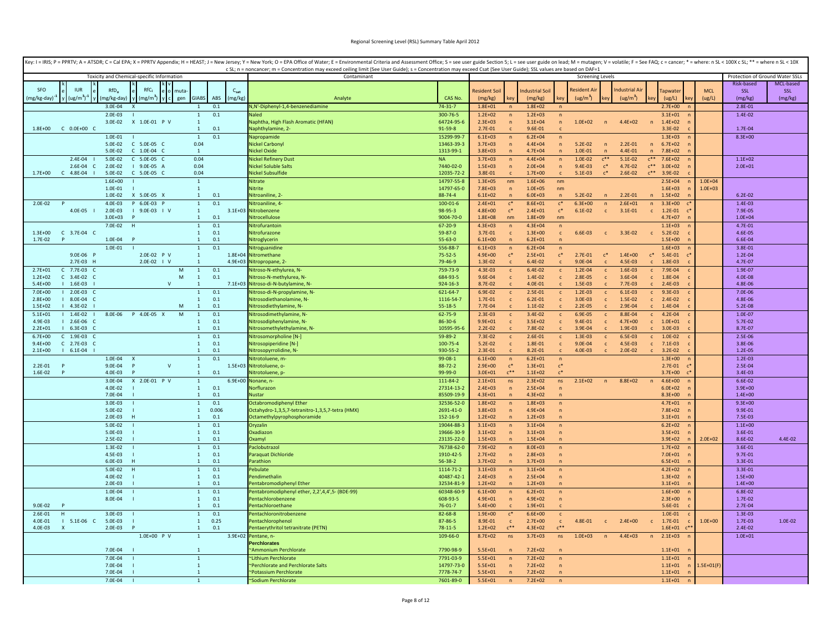| Key: I = IRIS; P = PPRTV; A = ATSDR; C = Cal EPA; X = PPRTV Appendix; H = HEAST; J = New Jersey; Y = New York; O = EPA Office of Water; E = Environmental Criteria and Assessment Office; S = see user guide Section 5; L = se | c SL; n = noncancer; m = Concentration may exceed ceiling limit (See User Guide); s = Concentration may exceed Csat (See User Guide); SSL values are based on DAF=1 |                            |                            |                                |                            |                                |                            |                              |                            |                              |                               |              |                                 |            |
|--------------------------------------------------------------------------------------------------------------------------------------------------------------------------------------------------------------------------------|---------------------------------------------------------------------------------------------------------------------------------------------------------------------|----------------------------|----------------------------|--------------------------------|----------------------------|--------------------------------|----------------------------|------------------------------|----------------------------|------------------------------|-------------------------------|--------------|---------------------------------|------------|
| Toxicity and Chemical-specific Information                                                                                                                                                                                     | Contaminant                                                                                                                                                         |                            |                            |                                |                            |                                | <b>Screening Levels</b>    |                              |                            |                              |                               |              | Protection of Ground Water SSLs |            |
|                                                                                                                                                                                                                                |                                                                                                                                                                     |                            |                            |                                |                            |                                |                            |                              |                            |                              |                               |              | Risk-based                      | MCL-based  |
| RfC<br>SFO<br><b>IUR</b><br>C <sub>cat</sub><br>RfD <sub>c</sub><br>muta                                                                                                                                                       |                                                                                                                                                                     |                            | <b>Resident Soil</b>       |                                | <b>Industrial Soil</b>     |                                | <b>Resident Ai</b>         |                              | <b>Industrial Air</b>      |                              | Tapwater                      | <b>MCL</b>   | SSL                             | <b>SSL</b> |
| $y \left( \frac{u g}{m^3} \right)^{-1}$<br><b>GIABS</b><br>(mg/kg)<br>(mg/kg-day)<br>gen<br>ABS<br>mg/kg-day) <sup>-1</sup><br>(mg/m <sup>3</sup> )   y   c                                                                    | Analyte                                                                                                                                                             | CAS No.                    | (mg/kg)                    |                                | (mg/kg)                    | ke۱                            | (ug/m <sup>3</sup> )       |                              | (ug/m <sup>3</sup> )       |                              | (ug/L)                        | (ug/L)       | (mg/kg)                         | (mg/kg)    |
| $3.0E - 04$<br>0.1                                                                                                                                                                                                             | V,N'-Diphenyl-1,4-benzenediamine                                                                                                                                    | $74 - 31 - 7$              | $1.8E + 01$                |                                | $1.8E + 02$                |                                |                            |                              |                            |                              | $2.7E + 00$                   |              | $2.8E - 01$                     |            |
| 0.1<br>$2.0E-03$<br>$\overline{1}$                                                                                                                                                                                             |                                                                                                                                                                     | 300-76-5                   | $1.2E + 02$                | $\mathsf{n}$                   | $1.2E + 03$                |                                |                            |                              |                            |                              | $3.1E + 01$                   |              | $1.4E-02$                       |            |
| 3.0E-02<br>X 1.0E-01 P V<br>$\mathbf{1}$<br>$1.8E + 00$<br>$C$ 0.0E+00 $C$<br>0.1<br>$\mathbf{1}$                                                                                                                              | Vaphtha, High Flash Aromatic (HFAN)<br>laphthylamine, 2-                                                                                                            | 64724-95-6<br>91-59-8      | $2.3E + 03$<br>$2.7E - 01$ | $\mathsf{n}$                   | $3.1E + 04$<br>9.6E-01     | $\mathsf{n}$                   | $1.0E + 02$                | $\sqrt{n}$                   | $4.4E + 02$                | $\sqrt{n}$                   | $1.4E + 02$<br>$3.3E - 02$    |              | 1.7E-04                         |            |
| 0.1<br>$1.0E - 01$<br>$\mathbf{1}$                                                                                                                                                                                             | Napropamide                                                                                                                                                         | 15299-99-7                 | $6.1E + 03$                | $\sqrt{n}$                     | $6.2E + 04$                | $\mathsf{n}$                   |                            |                              |                            |                              | $1.3F + 03$                   |              | $8.3E + 00$                     |            |
| 0.04                                                                                                                                                                                                                           | Nickel Carbonyl                                                                                                                                                     | 13463-39-3                 | $3.7E + 03$                | $\overline{n}$                 | $4.4E + 04$                | $\sqrt{n}$                     | $5.2E - 02$                | $\overline{p}$               | $2.2E - 01$                | n                            | $6.7E + 02$                   |              |                                 |            |
| 5.0E-02<br>C 1.0E-04 C<br>$\overline{1}$                                                                                                                                                                                       | <b>Nickel Oxide</b>                                                                                                                                                 | 1313-99-1                  | $3.8E + 03$                | $\mathsf{n}$                   | $4.7E + 04$                | n                              | $1.0E - 01$                | n                            | 4.4E-01                    | n                            | $7.8E + 02$                   |              |                                 |            |
| 2.4E-04<br>5.0E-02<br>C 5.0E-05 C<br>0.04                                                                                                                                                                                      | Nickel Refinery Dust                                                                                                                                                | <b>NA</b>                  | $3.7E + 03$                | $\mathsf{n}$                   | $4.4E + 04$                | $\overline{p}$                 | $1.0E - 02$                | $c^{\ast\ast}$               | $5.1E-02$                  |                              | $c^{**}$ 7.6E+02              |              | $1.1E + 02$                     |            |
| 2.6E-04 C<br>2.0E-02<br>0.04<br>$1.9.0F-05A$                                                                                                                                                                                   | Nickel Soluble Salts                                                                                                                                                | 7440-02-0                  | $1.5E + 03$                | $\sqrt{n}$                     | $2.0E + 04$                | n                              | $9.4F - 03$                | $\mathfrak{c}^*$             | 4.7E-02                    | $C***$                       | $3.0F + 02$                   |              | $2.0E + 01$                     |            |
| $C$ 4.8E-04<br>C 5.0E-05 C<br>0.04<br>$1.7E + 00$<br>5.0E-02                                                                                                                                                                   | Nickel Subsulfide                                                                                                                                                   | 12035-72-2                 | 3.8E-01                    |                                | $1.7E + 00$                |                                | 5.1E-03                    | $c^*$                        | $2.6E-02$                  |                              | $c^{**}$ 3.9E-02              |              |                                 |            |
| $1.6E + 00$<br>$\mathbf{1}$                                                                                                                                                                                                    | Nitrate                                                                                                                                                             | 14797-55-8                 | $1.3E + 05$                | nm                             | $1.6E + 06$                | nm                             |                            |                              |                            |                              | $2.5E + 04$                   | $1.0E + 04$  |                                 |            |
| 1.0E-01<br>$\mathbf{1}$<br>X 5.0E-05 X<br>0.1<br>1.0E-02<br>$\overline{1}$                                                                                                                                                     | <b>Nitrite</b><br>Nitroaniline, 2                                                                                                                                   | 14797-65-0<br>88-74-4      | 7.8E+03<br>$6.1E + 02$     | $\mathsf{n}$<br>n              | $1.0E + 05$<br>$6.0E + 03$ | nm<br>n                        | $5.2E - 02$                | $\sqrt{n}$                   | $2.2E - 01$                | n                            | $1.6E + 03$<br>$1.5E + 02$    | $1.0E + 03$  | $6.2E - 02$                     |            |
| $4.0E - 03$<br>P 6.0E-03 P<br>0.1<br>$2.0E-02$<br>1                                                                                                                                                                            | Vitroaniline, 4-                                                                                                                                                    | $100 - 01 - 6$             | $2.4E + 01$                | $c^*$                          | $8.6E + 01$                | $c^*$                          | $6.3E + 00$                | $\overline{n}$               | $2.6E + 01$                | n                            | $3.3E + 00$                   |              | $1.4E - 03$                     |            |
| 4.0E-05  <br>2.0E-03<br>$1$ 9.0E-03 $1$ V<br>$\mathbf{1}$                                                                                                                                                                      | 3.1E+03 Nitrobenzene                                                                                                                                                | 98-95-3                    | $4.8E + 00$                | $\mathsf{c}^*$                 | $2.4E + 01$                | $c^*$                          | $6.1E-02$                  | $\mathsf{C}$                 | $3.1E - 01$                | $\mathsf{C}$                 | $1.2E - 01$<br>$\sqrt{ }$     |              | 7.9E-05                         |            |
| $3.0E + 03$<br>0.1<br>P<br>$\overline{1}$                                                                                                                                                                                      | litrocellulose                                                                                                                                                      | 9004-70-0                  | $1.8E + 08$                | nm                             | $1.8E + 09$                | nm                             |                            |                              |                            |                              | $4.7E + 07$                   |              | $1.0E + 04$                     |            |
| 7.0E-02<br>0.1<br>$\overline{1}$                                                                                                                                                                                               | <b>Nitrofurantoin</b>                                                                                                                                               | 67-20-9                    | $4.3E + 03$                | $\overline{p}$                 | $4.3E + 04$                | $\overline{p}$                 |                            |                              |                            |                              | $1.1E + 03$                   |              | 4.7E-01                         |            |
| $1.3E + 00$<br>C 3.7E-04 C<br>$\mathbf{1}$<br>0.1                                                                                                                                                                              | Nitrofurazone                                                                                                                                                       | 59-87-0                    | 3.7E-01                    | $\mathsf{c}$                   | $1.3E + 00$                | $\mathbf{c}$                   | 6.6E-03                    | $\mathbf{c}$                 | 3.3E-02                    | $\mathbf{C}$                 | $5.2E - 02$                   |              | 4.6E-05                         |            |
| 1.7E-02<br>0.1<br>P<br>1.0E-04<br>$\mathbf{1}$                                                                                                                                                                                 | Nitroglycerin                                                                                                                                                       | 55-63-0                    | $6.1E + 00$                | $\overline{p}$                 | $6.2E + 01$                | $\overline{p}$                 |                            |                              |                            |                              | $1.5E + 00$                   |              | 6.6E-04                         |            |
| $1.0E - 01$<br>0.1<br>$\overline{1}$                                                                                                                                                                                           | Nitroguanidine                                                                                                                                                      | 556-88-7                   | $6.1E + 03$                | $\sqrt{n}$                     | $6.2E + 04$                | $\overline{p}$                 |                            |                              |                            |                              | $1.6E + 03$                   |              | $3.8E - 01$                     |            |
| 9.0E-06<br>2.0E-02 P V<br>$\mathbf{1}$<br>2.7F-03 H<br>$2.0F - 02$   V<br>$4.9E + 03$<br>$\overline{1}$                                                                                                                        | 1.8E+04 Nitromethane<br>Nitropropane, 2-                                                                                                                            | $75 - 52 - 5$<br>79-46-9   | 4.9E+00<br>$1.3F - 02$     | $c^*$                          | $2.5E + 01$<br>$6.4F-02$   | $\mathsf{c}^*$                 | $2.7E - 01$<br>$9.0F - 04$ | $\mathsf{c}^*$               | $1.4E + 00$<br>$4.5F - 03$ | $c^*$                        | 5.4E-01<br>1.8E-03            |              | 1.2E-04<br>4.7E-07              |            |
| $2.7E + 01$<br>$C$ 7.7E-03<br>${\sf M}$<br>0.1<br>$\mathbf{1}$                                                                                                                                                                 | Vitroso-N-ethylurea, N-                                                                                                                                             | 759-73-9                   | 4.3E-03                    | $\mathbf{C}$                   | $6.4F - 02$                | $\mathsf{C}$                   | $1.2E - 04$                | $\mathsf{C}$                 | 1.6E-03                    | $\mathbf{c}$                 | 7.9E-04                       |              | 1.9E-07                         |            |
| M<br>0.1<br>$1.2F + 02$<br>$C = 3.4F - 0.2$<br>$\overline{1}$                                                                                                                                                                  | Nitroso-N-methylurea, N-                                                                                                                                            | 684-93-5                   | 9.6E-04                    | $\mathsf{C}$                   | $1.4F - 02$                | $\mathbf{C}$                   | 2.8E-05                    | $\mathsf{C}$                 | 3.6E-04                    | $\mathsf{C}$                 | 1.8E-04                       |              | 4.0E-08                         |            |
| $5.4E + 00$<br>$1 1.6E-03$<br>$\mathsf{V}$<br>-1                                                                                                                                                                               | 7.1E+03 Nitroso-di-N-butylamine, N-                                                                                                                                 | 924-16-3                   | 8.7E-02                    | $\mathsf{C}$                   | 4.0E-01                    | $\mathbf{C}$                   | 1.5E-03                    | $\mathbf{C}$                 | $7.7E-03$                  | $\epsilon$                   | 2.4E-03                       |              | 4.8E-06                         |            |
| 7.0E+00<br>$12.0E-03$<br>0.1<br>$\mathbf{1}$                                                                                                                                                                                   | Nitroso-di-N-propylamine, N                                                                                                                                         | 621-64-7                   | 6.9E-02                    | $\mathsf{c}$                   | 2.5E-01                    | $\mathsf{c}$                   | $1.2E-03$                  | $\mathbf c$                  | $6.1E-03$                  | $\mathbf{c}$                 | $9.3E-03$                     |              | 7.0E-06                         |            |
| I 8.0E-04 C<br>0.1<br>$2.8E + 00$<br>$\mathbf{1}$                                                                                                                                                                              | Nitrosodiethanolamine, N-                                                                                                                                           | 1116-54-7                  | $1.7E - 01$                | $\mathsf{C}$                   | 6.2E-01                    | $\mathsf{c}$                   | 3.0E-03                    | $\mathbf{c}$                 | 1.5E-02                    | $\mathbf{c}$                 | 2.4E-02                       |              | 4.8E-06                         |            |
| $1.5E + 02$<br>$14.3E-02$<br>M<br>$\mathbf{1}$<br>0.1                                                                                                                                                                          | Nitrosodiethylamine, N-                                                                                                                                             | $55 - 18 - 5$              | $7.7E - 04$                |                                | 1.1E-02                    | $\mathbf{c}$                   | $2.2E-05$                  |                              | 2.9E-04                    | $\mathbf{c}$                 | 1.4E-04                       |              | 5.2E-08                         |            |
| 8.0E-06  P  4.0E-05  X<br>M<br>$5.1E + 01$<br>$1.4E-02$<br>0.1<br>$\overline{1}$                                                                                                                                               | Nitrosodimethylamine, N-                                                                                                                                            | $62 - 75 - 9$              | $2.3E-03$                  | $\mathsf{c}$                   | 3.4E-02                    | $\mathbf{c}$                   | 6.9E-05                    | $\mathsf{c}$                 | 8.8E-04                    | $\mathbf{c}$                 | $4.2E - 04$                   |              | $1.0E - 07$                     |            |
| 0.1<br>4.9E-03<br>$12.6E-06C$<br>$\mathbf{1}$<br>$2.2F + 01$<br>$16.3E-03C$<br>$\overline{1}$<br>0.1                                                                                                                           | Nitrosodiphenylamine, N-<br>Nitrosomethylethylamine, N-                                                                                                             | 86-30-6<br>10595-95-6      | $9.9E + 01$<br>$2.2F - 02$ | $\mathsf{c}$<br>$\mathsf{C}$   | $3.5E + 02$<br>7.8F-02     | $\mathbf{c}$<br>$\mathsf{C}$   | $9.4E - 01$<br>$3.9F - 04$ | $\mathbf{c}$<br>$\mathsf{C}$ | $4.7E + 00$<br>$1.9F - 03$ | $\mathbf{c}$<br>$\mathsf{C}$ | $1.0E + 01$<br>3.0E-03        |              | 5.7E-02<br>8.7E-07              |            |
| $6.7E + 00$<br>$C = 1.9E-03$<br>0.1<br>$\mathbf{1}$                                                                                                                                                                            | Vitrosomorpholine [N-]                                                                                                                                              | 59-89-2                    | $7.3E - 02$                |                                | $2.6F - 01$                |                                | $1.3E-03$                  |                              | 6.5E-03                    |                              | 1.0E-02                       |              | 2.5E-06                         |            |
| C 2.7E-03 C<br>0.1<br>$9.4F + 00$<br>1                                                                                                                                                                                         | Nitrosopiperidine [N-]                                                                                                                                              | 100-75-4                   | $5.2E - 02$                | c<br>$\mathsf{c}$              | 1.8F-01                    | $\mathbf{c}$<br>$\mathbf{c}$   | 9.0E-04                    | $\mathbf{C}$                 | 4.5E-03                    | C.                           | $c = 7.1E-03$                 |              | 3.8E-06                         |            |
| $2.1E + 00$<br>$1 6.1E-04$<br>0.1<br>$\mathbf{1}$                                                                                                                                                                              | Vitrosopyrrolidine, N-                                                                                                                                              | 930-55-2                   | $2.3E-01$                  | $\mathsf{C}$                   | 8.2E-01                    | $\mathsf{C}$                   | 4.0E-03                    | $\mathbf{C}$                 | 2.0E-02                    | $\mathbb{C}$                 | $3.2E-02$                     |              | 1.2E-05                         |            |
| 1.0E-04<br>$\mathbf{1}$<br>0.1                                                                                                                                                                                                 | Nitrotoluene, m-                                                                                                                                                    | 99-08-1                    | $6.1E + 00$                | $\mathsf{n}$                   | $6.2E + 01$                | $\mathsf{n}$                   |                            |                              |                            |                              | $1.3E + 00$                   |              | $1.2E-03$                       |            |
| 9.0E-04<br>$\mathsf{V}$<br>$2.2E - 01$<br>P<br>P<br>$\mathbf{1}$                                                                                                                                                               | 1.5E+03 Nitrotoluene, o-                                                                                                                                            | $88 - 72 - 2$              | $2.9E + 00$                | $c^*$                          | $1.3E + 01$                | $c^*$                          |                            |                              |                            |                              | $2.7E - 01$                   |              | 2.5E-04                         |            |
| 1.6E-02<br>4.0E-03<br>$\mathbf{1}$<br>0.1<br>D<br>D                                                                                                                                                                            | Nitrotoluene, p-                                                                                                                                                    | 99-99-0                    | $3.0E + 01$                | $e^{**}$                       | $1.1E + 02$                | $c^*$                          |                            |                              |                            |                              | $3.7E + 00$<br>$\mathsf{C}^3$ |              | 3.4E-03                         |            |
| 3.0E-04<br>X 2.0E-01 P V<br>$\mathbf{1}$                                                                                                                                                                                       | 6.9E+00 Nonane, n-                                                                                                                                                  | 111-84-2                   | $2.1E + 01$                | ns                             | $2.3E + 02$                | ns                             | $2.1E+02$                  | n                            | 8.8E+02                    | n                            | $4.6E + 00$                   |              | $6.6E - 02$                     |            |
| 0.1<br>4.0E-02<br>$\mathbf{1}$<br>$7.0F - 04$<br>0.1<br>$\overline{1}$                                                                                                                                                         | Vorflurazon<br>Nustar                                                                                                                                               | 27314-13-2<br>85509-19-9   | $2.4E + 03$<br>$4.3E + 01$ | $\sqrt{n}$<br>$\sqrt{n}$       | $2.5E + 04$<br>$4.3E + 02$ | $\mathsf{n}$<br>$\overline{ }$ |                            |                              |                            |                              | $6.0E + 02$<br>$8.3E + 00$    |              | $3.9E + 00$<br>$1.4E + 00$      |            |
| $3.0E - 03$<br>0.1<br>$\mathbf{1}$                                                                                                                                                                                             | Octabromodiphenyl Ether                                                                                                                                             | 32536-52-0                 | $1.8E + 02$                | $\mathsf{n}$                   | $1.8E + 03$                | $\mathsf{n}$                   |                            |                              |                            |                              | $4.7E + 01$                   |              | $9.3E + 00$                     |            |
| 5.0E-02<br>0.006<br>$\mathbf{1}$                                                                                                                                                                                               | Octahydro-1,3,5,7-tetranitro-1,3,5,7-tetra (HMX)                                                                                                                    | 2691-41-0                  | $3.8F + 03$                | $\mathsf{n}$                   | $4.9E + 04$                | $\mathsf{n}$                   |                            |                              |                            |                              | $7.8F + 02$                   |              | 9.9E-01                         |            |
| 2.0E-03<br>0.1<br>н<br>$\overline{1}$                                                                                                                                                                                          | <b>Octamethylpyrophosphoramide</b>                                                                                                                                  | 152-16-9                   | $1.2E + 02$                | $\mathsf{n}$                   | $1.2E + 03$                | $\mathbf{n}$                   |                            |                              |                            |                              | $3.1E + 01$                   |              | 7.5E-03                         |            |
| 5.0E-02<br>0.1<br>$\mathbf{1}$                                                                                                                                                                                                 | Oryzalin                                                                                                                                                            | 19044-88-3                 | $3.1E + 03$                | $\overline{p}$                 | $3.1E + 04$                | $\mathsf{n}$                   |                            |                              |                            |                              | $6.2E + 02$                   |              | $1.1E + 00$                     |            |
| 5.0E-03<br>$\mathbf{1}$<br>0.1                                                                                                                                                                                                 | Oxadiazon                                                                                                                                                           | 19666-30-9                 | $3.1E + 02$                |                                | $3.1E + 03$                | $\overline{p}$                 |                            |                              |                            |                              | $3.5E + 01$                   |              | 3.6E-01                         |            |
| 2.5E-02<br>$\mathbf{1}$<br>0.1                                                                                                                                                                                                 | <b>Oxamyl</b>                                                                                                                                                       | 23135-22-0                 | $1.5E + 03$                |                                | $1.5E + 04$                | $\mathsf{n}$                   |                            |                              |                            |                              | $3.9E + 02$                   | $2.0E + 02$  | 8.6E-02                         | 4.4E-02    |
| $1.3E-02$<br>0.1<br>$\overline{1}$                                                                                                                                                                                             | Paclobutrazol                                                                                                                                                       | 76738-62-0                 | $7.9E + 02$                | $\mathsf{n}$                   | $8.0E + 03$                | $\mathsf{n}$                   |                            |                              |                            |                              | $1.7E + 02$                   |              | $3.6E - 01$                     |            |
| 4.5E-03<br>0.1<br>$\mathbf{1}$<br>6.0E-03<br>0.1<br><b>H</b><br>$\mathbf{1}$                                                                                                                                                   | Paraquat Dichloride<br>Parathion                                                                                                                                    | 1910-42-5<br>$56 - 38 - 2$ | $2.7E + 02$<br>$3.7E + 02$ | $\overline{p}$<br>$\mathsf{n}$ | $2.8E + 03$<br>$3.7E + 03$ | $\mathsf{n}$<br>$\mathsf{n}$   |                            |                              |                            |                              | $7.0E + 01$<br>$6.5E + 01$    |              | $9.7E - 01$<br>3.3E-01          |            |
| 5.0E-02<br>0.1<br>H<br>$\mathbf{1}$                                                                                                                                                                                            | 'ebulate                                                                                                                                                            | 1114-71-2                  | $3.1E + 03$                | $\overline{p}$                 | $3.1E + 04$                | $\overline{p}$                 |                            |                              |                            |                              | $4.2E + 02$                   |              | 3.3E-01                         |            |
| 4.0E-02<br>0.1<br>$\mathbf{1}$                                                                                                                                                                                                 | Pendimethalin                                                                                                                                                       | 40487-42-1                 | $2.4E + 03$                | $\mathsf{n}$                   | $2.5E + 04$                | $\sqrt{n}$                     |                            |                              |                            |                              | $1.3E + 02$                   |              | $1.5E + 00$                     |            |
| $2.0E-03$<br>0.1<br>$\mathbf{1}$                                                                                                                                                                                               | entabromodiphenyl Ether                                                                                                                                             | 32534-81-9                 | $1.2E + 02$                | $\mathsf{n}$                   | $1.2E + 03$                | $\mathsf{n}$                   |                            |                              |                            |                              | $3.1E + 01$                   |              | $1.4E + 00$                     |            |
| 0.1<br>1.0E-04<br>$\mathbf{1}$                                                                                                                                                                                                 | entabromodiphenyl ether, 2,2',4,4',5- (BDE-99)                                                                                                                      | 60348-60-9                 | $6.1E + 00$                |                                | $6.2E + 01$                | $\mathsf{n}$                   |                            |                              |                            |                              | $1.6E + 00$                   |              | 6.8E-02                         |            |
| 8.0E-04<br>$\mathbf{1}$<br>0.1                                                                                                                                                                                                 | Pentachlorobenzene                                                                                                                                                  | 608-93-5                   | $4.9E + 01$                |                                | $4.9E + 02$                | $\mathsf{n}$                   |                            |                              |                            |                              | $2.3E + 00$                   |              | 1.7E-02                         |            |
| $9.0E - 02$<br>0.1<br>$\overline{D}$<br>$\mathbf{1}$                                                                                                                                                                           | entachloroethane                                                                                                                                                    | $76 - 01 - 7$              | $5.4E + 00$                |                                | $1.9E + 01$                | $\mathsf{C}$                   |                            |                              |                            |                              | 5.6E-01                       |              | 2.7E-04                         |            |
| $3.0E - 03$<br>0.1<br>2.6E-01<br>H<br>$\overline{1}$                                                                                                                                                                           | entachloronitrobenzene                                                                                                                                              | 82-68-8                    | $1.9E + 00$                | $c^*$                          | $6.6E + 00$                | $\mathbf{c}$                   |                            |                              |                            |                              | 1.0E-01                       |              | 1.3E-03                         |            |
| 0.25<br>4.0F-01<br>$1 5.1E-06 C$<br>5.0E-03<br>$\overline{1}$<br>$4.0E - 03$<br>$2.0E-03$<br>$\overline{1}$<br>0.1<br>$\mathbf{x}$                                                                                             | entachlorophenol<br>entaerythritol tetranitrate (PETN)                                                                                                              | 87-86-5<br>$78 - 11 - 5$   | 8.9E-01<br>$1.2E + 02$     | $r^{\ast\ast}$                 | $2.7E+00$<br>$4.3E + 02$   | $\mathbf{c}$<br>$C^{\ast\ast}$ | 4.8E-01                    | $\mathbf{c}$                 | $2.4E + 00$                | $\mathbf{C}$                 | 1.7E-01<br>$1.6E + 01$        | $1.0E + 00$  | 1.7E-03<br>2.4E-02              | 1.0E-02    |
| 1.0E+00 P V<br>$\mathbf{1}$                                                                                                                                                                                                    | 3.9E+02 Pentane, n-                                                                                                                                                 | 109-66-0                   | 8.7E+02                    | ns                             | $3.7E + 03$                | ns                             | $1.0E + 03$                | n                            | $4.4E + 03$                | n                            | $2.1E + 03$                   |              | $1.0E + 01$                     |            |
|                                                                                                                                                                                                                                | erchlorates                                                                                                                                                         |                            |                            |                                |                            |                                |                            |                              |                            |                              |                               |              |                                 |            |
| 7.0E-04                                                                                                                                                                                                                        | <b>Ammonium Perchlorate</b>                                                                                                                                         | 7790-98-9                  | $5.5E + 01$                |                                | $7.2E + 02$                |                                |                            |                              |                            |                              | $1.1E + 01$                   |              |                                 |            |
| $7.0E - 04$<br>$\mathbf{1}$                                                                                                                                                                                                    | "Lithium Perchlorate                                                                                                                                                | 7791-03-9                  | $5.5E + 01$                | $\sqrt{n}$                     | $7.2E + 02$                | $\mathsf{n}$                   |                            |                              |                            |                              | $1.1E + 01$                   |              |                                 |            |
| 7.0E-04<br>$\mathbf{1}$                                                                                                                                                                                                        | Perchlorate and Perchlorate Salts                                                                                                                                   | 14797-73-0                 | $5.5E + 01$                | $\overline{n}$                 | $7.2E + 02$                | $\overline{ }$                 |                            |                              |                            |                              | $1.1E + 01$                   | $L.5E+O1(F)$ |                                 |            |
| 7.0E-04<br>$\overline{1}$                                                                                                                                                                                                      | "Potassium Perchlorate                                                                                                                                              | 7778-74-7                  | $5.5E + 01$                | n                              | $7.2E + 02$                | $\mathsf{n}$                   |                            |                              |                            |                              | $1.1E + 01$                   |              |                                 |            |
| 7.0E-04<br>$\overline{1}$                                                                                                                                                                                                      | ~Sodium Perchlorate                                                                                                                                                 | 7601-89-0                  | $5.5E + 01$                | $\overline{p}$                 | $7.2E + 02$                | $\overline{p}$                 |                            |                              |                            |                              | $1.1E + 01$                   |              |                                 |            |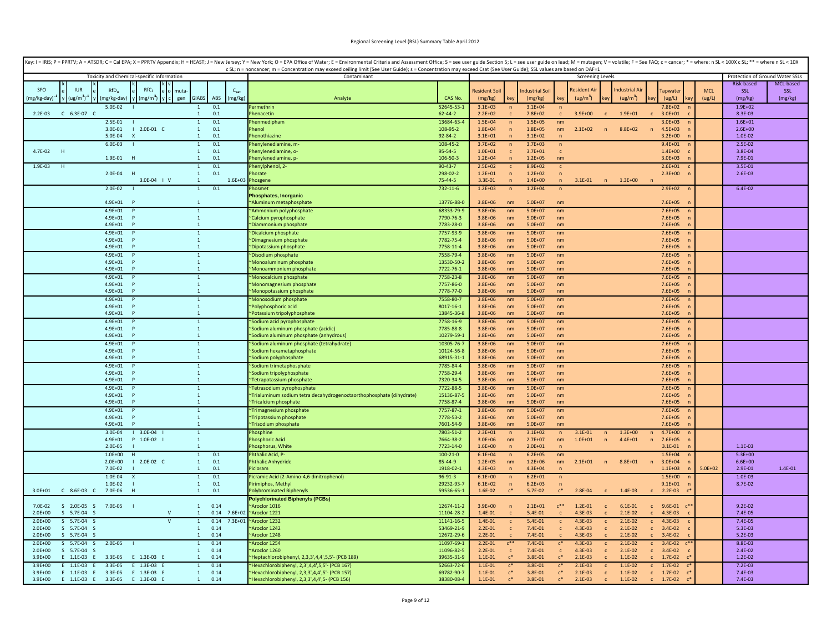|                                         |                            |                                            |                                |            |                  | Key: I = IRIS; P = PPRTV; A = ATSDR; C = Cal EPA; X = PPRTV Appendix; H = HEAST; J = New Jersey; Y = New York; O = EPA Office of Water; E = Environmental Criteria and Assessment Office; S = see user guide Section 5; L = se<br>c SL; n = noncancer; m = Concentration may exceed ceiling limit (See User Guide); s = Concentration may exceed Csat (See User Guide); SSL values are based on DAF=1 |                        |                            |                                  |                            |                                |                         |              |                      |                 |                            |             |                                 |            |
|-----------------------------------------|----------------------------|--------------------------------------------|--------------------------------|------------|------------------|-------------------------------------------------------------------------------------------------------------------------------------------------------------------------------------------------------------------------------------------------------------------------------------------------------------------------------------------------------------------------------------------------------|------------------------|----------------------------|----------------------------------|----------------------------|--------------------------------|-------------------------|--------------|----------------------|-----------------|----------------------------|-------------|---------------------------------|------------|
|                                         |                            | Toxicity and Chemical-specific Information |                                |            |                  | Contaminant                                                                                                                                                                                                                                                                                                                                                                                           |                        |                            |                                  |                            |                                | <b>Screening Levels</b> |              |                      |                 |                            |             | Protection of Ground Water SSLs |            |
|                                         |                            |                                            |                                |            |                  |                                                                                                                                                                                                                                                                                                                                                                                                       |                        |                            |                                  |                            |                                |                         |              |                      |                 |                            |             | <b>Risk-based</b>               | MCL-based  |
| <b>SFO</b><br><b>IUR</b>                | $RfD_n$                    | RfC <sub>i</sub>                           | muta                           |            | C <sub>sat</sub> |                                                                                                                                                                                                                                                                                                                                                                                                       |                        | <b>Resident Soil</b>       |                                  | ndustrial Soil             |                                | lesident A              |              | ndustrial Ai         |                 | <b>Tapwate</b>             | <b>MCL</b>  | SSL                             | <b>SSL</b> |
| (ug/m <sup>3</sup> )<br>mg/kg-day)      | mg/kg-day)                 | mg/m <sup>3</sup> )                        | <b>GIABS</b><br>gen            | ABS        | (mg/kg)          | Analyte                                                                                                                                                                                                                                                                                                                                                                                               | CAS No.                | (mg/kg)                    |                                  | (mg/kg)                    |                                | (ug/m <sup>3</sup> )    |              | (ug/m <sup>3</sup> ) |                 | (ug/L)                     | (ug/L)      | (mg/kg)                         | (mg/kg)    |
|                                         | 5.0E-02                    |                                            | $\overline{1}$                 | 0.1        |                  | ermethrin                                                                                                                                                                                                                                                                                                                                                                                             | 52645-53-              | $3.1F + 03$                | n                                | $3.1E + 04$                | n                              |                         |              |                      |                 | $7.8F + 02$                |             | $1.9E + 02$                     |            |
| C 6.3E-07 C<br>$2.2E-03$                |                            |                                            | $\mathbf{1}$                   | 0.1        |                  | henacetin                                                                                                                                                                                                                                                                                                                                                                                             | $62 - 44 - 2$          | $2.2E + 02$                | $\mathsf{C}$                     | 7.8E+02                    | $\mathsf{C}$                   | $3.9E + 00$             | $\mathsf{C}$ | $1.9E + 01$          |                 | $3.0E + 01$                |             | 8.3E-03                         |            |
|                                         | 2.5E-01                    |                                            | $\mathbf{1}$                   | 0.1        |                  | henmediphan                                                                                                                                                                                                                                                                                                                                                                                           | 13684-63-              | $1.5E + 04$                | $\overline{p}$                   | $1.5E + 05$                | nm                             |                         |              |                      |                 | $3.0E + 03$                |             | $1.6E + 01$                     |            |
|                                         | 3.0E-01<br>5.0E-04         | $12.0E-01 C$<br>$\mathbf{x}$               | $\mathbf{1}$<br>$\mathbf{1}$   | 0.1<br>0.1 |                  | henol<br>henothiazine                                                                                                                                                                                                                                                                                                                                                                                 | 108-95-2<br>92-84-2    | $1.8E + 04$<br>$3.1E + 01$ | $\overline{p}$<br>$\overline{ }$ | $1.8E + 05$<br>$3.1E + 02$ | nm<br>$\sqrt{n}$               | $2.1E + 02$             | n            | 8.8E+02              |                 | $4.5E + 03$<br>$3.2E + 00$ |             | $2.6E + 00$<br>1.0E-02          |            |
|                                         | $6.0E-03$                  |                                            | $\mathbf{1}$                   | 0.1        |                  | Phenylenediamine, m                                                                                                                                                                                                                                                                                                                                                                                   | 108-45-2               | $3.7E + 02$                | $\overline{p}$                   | $3.7E + 03$                | $\overline{p}$                 |                         |              |                      |                 | $9.4E + 01$                |             | $2.5E - 02$                     |            |
| 4.7E-02 H                               |                            |                                            | $\mathbf{1}$                   | 0.1        |                  | henvlenediamine, o-                                                                                                                                                                                                                                                                                                                                                                                   | 95-54-5                | $1.0E + 01$                | $\mathbf{c}$                     | $3.7E + 01$                | $\mathsf{c}$                   |                         |              |                      |                 | $1.4E + 00$                |             | 3.8F-04                         |            |
|                                         | 1.9E-01                    |                                            | $\overline{1}$                 | 0.1        |                  | henylenediamine, p-                                                                                                                                                                                                                                                                                                                                                                                   | 106-50-3               | $1.2E + 04$                | $\overline{p}$                   | $1.2E + 05$                | nm                             |                         |              |                      |                 | $3.0E + 03$                |             | 7.9E-01                         |            |
| 1.9E-03<br>H                            |                            |                                            | $\mathbf{1}$                   | 0.1        |                  | henylphenol, 2-                                                                                                                                                                                                                                                                                                                                                                                       | $90 - 43 - 7$          | $2.5E + 02$                | $\mathsf{C}$                     | 8.9E+02                    | $\mathsf{C}$                   |                         |              |                      |                 | $2.6E + 01$                |             | 3.5E-01                         |            |
|                                         | 2.0E-04 H                  |                                            | $\mathbf{1}$                   | 0.1        |                  | horate                                                                                                                                                                                                                                                                                                                                                                                                | 298-02-2               | $1.2E + 01$                | $\overline{p}$                   | $1.2E + 02$                | $\overline{p}$                 |                         |              |                      |                 | $2.3E+00$                  |             | $2.6E-03$                       |            |
|                                         |                            | 3.0E-04   V                                | $\mathbf{1}$                   |            | $1.6E + 03$      | hosgene                                                                                                                                                                                                                                                                                                                                                                                               | 75-44-5                | 3.3E-01                    | $\overline{p}$                   | $1.4E + 00$                | $\overline{p}$                 | $3.1E - 01$             | n            | $1.3E + 00$          |                 |                            |             |                                 |            |
|                                         | 2.0E-02                    |                                            | 1                              | 0.1        |                  | hosmet                                                                                                                                                                                                                                                                                                                                                                                                | 732-11-6               | $1.2E + 03$                | $\overline{ }$                   | $1.2E + 04$                | $\overline{p}$                 |                         |              |                      |                 | $2.9E + 02$                |             | $6.4E - 02$                     |            |
|                                         |                            |                                            |                                |            |                  | hosphates, Inorganic                                                                                                                                                                                                                                                                                                                                                                                  |                        |                            |                                  |                            |                                |                         |              |                      |                 |                            |             |                                 |            |
|                                         | $4.9E + 01$                | $\mathsf{P}$                               | $\mathbf{1}$                   |            |                  | 'Aluminum metaphosphate                                                                                                                                                                                                                                                                                                                                                                               | 13776-88-0             | $3.8E + 06$                | nm                               | $5.0E+07$                  | nm                             |                         |              |                      |                 | $7.6E + 05$                |             |                                 |            |
|                                         | 4.9E+01                    |                                            | $\mathbf{1}$                   |            |                  | 'Ammonium polyphosphat                                                                                                                                                                                                                                                                                                                                                                                | 68333-79-9             | $3.8E + 06$                | nm                               | $5.0E + 07$                | nm                             |                         |              |                      |                 | $7.6E + 05$                |             |                                 |            |
|                                         | $4.9F + 01$<br>$4.9E + 01$ |                                            | $\overline{1}$<br>$\mathbf{1}$ |            |                  | "Calcium pyrophosphate<br>Diammonium phosphate                                                                                                                                                                                                                                                                                                                                                        | 7790-76-3<br>7783-28-0 | $3.8E + 06$<br>$3.8E + 06$ | nm<br>nm                         | $5.0F + 07$<br>$5.0E + 07$ | nm<br>nm                       |                         |              |                      |                 | $7.6E + 05$<br>$7.6E + 05$ |             |                                 |            |
|                                         | $4.9E + 01$                |                                            | $\mathbf{1}$                   |            |                  | "Dicalcium phosphate                                                                                                                                                                                                                                                                                                                                                                                  | 7757-93-9              | $3.8E + 06$                | nm                               | $5.0E + 07$                | nm                             |                         |              |                      |                 | $7.6E + 05$                |             |                                 |            |
|                                         | 4.9E+01                    |                                            | $\mathbf{1}$                   |            |                  | Dimagnesium phosphate                                                                                                                                                                                                                                                                                                                                                                                 | 7782-75-4              | $3.8E + 06$                | nm                               | $5.0E + 07$                | nm                             |                         |              |                      |                 | $7.6E + 05$                |             |                                 |            |
|                                         | 4.9E+01                    | D                                          | $\mathbf{1}$                   |            |                  | Dipotassium phosphate                                                                                                                                                                                                                                                                                                                                                                                 | 7758-11-4              | $3.8E + 06$                | nm                               | $5.0E + 07$                | nm                             |                         |              |                      |                 | $7.6E + 05$                |             |                                 |            |
|                                         | 4.9E+01                    |                                            | $\mathbf{1}$                   |            |                  | "Disodium phosphate                                                                                                                                                                                                                                                                                                                                                                                   | 7558-79-4              | $3.8E + 06$                | nm                               | $5.0E + 07$                | nm                             |                         |              |                      |                 | $7.6E + 05$                |             |                                 |            |
|                                         | $4.9E + 01$                | $\mathsf{P}$                               | $\mathbf{1}$                   |            |                  | Monoaluminum phosphate                                                                                                                                                                                                                                                                                                                                                                                | 13530-50-2             | $3.8E + 06$                | nm                               | $5.0E+07$                  | nm                             |                         |              |                      |                 | $7.6E + 05$                |             |                                 |            |
|                                         | $4.9F + 01$                |                                            | $\overline{1}$                 |            |                  | Monoammonium phosphate                                                                                                                                                                                                                                                                                                                                                                                | 7722-76-1              | $3.8E + 06$                | nm                               | $5.0E + 07$                | nm                             |                         |              |                      |                 | $7.6E + 05$                |             |                                 |            |
|                                         | 4.9E+01                    |                                            | $\overline{1}$                 |            |                  | Monocalcium phosphate                                                                                                                                                                                                                                                                                                                                                                                 | 7758-23-8              | $3.8E + 06$                | nm                               | $5.0E + 07$                | nm                             |                         |              |                      |                 | $7.6E + 05$                |             |                                 |            |
|                                         | 4.9E+01                    |                                            | $\mathbf{1}$                   |            |                  | "Monomagnesium phosphate                                                                                                                                                                                                                                                                                                                                                                              | 7757-86-0              | $3.8E + 06$                | nm                               | $5.0E + 07$                | nm                             |                         |              |                      |                 | $7.6E + 05$                |             |                                 |            |
|                                         | $4.9E + 01$                | D                                          | $\overline{1}$                 |            |                  | "Monopotassium phosphate                                                                                                                                                                                                                                                                                                                                                                              | 7778-77-0              | $3.8E + 06$                | nm                               | $5.0E + 07$                | nm                             |                         |              |                      |                 | $7.6E + 05$                |             |                                 |            |
|                                         | $4.9E + 01$                |                                            | $\overline{1}$                 |            |                  | ~Monosodium phosphate                                                                                                                                                                                                                                                                                                                                                                                 | 7558-80-7              | $3.8E + 06$                | nm                               | $5.0E + 07$                | nm                             |                         |              |                      |                 | $7.6E + 05$                |             |                                 |            |
|                                         | 4.9E+01                    | P<br>D                                     | $\mathbf{1}$                   |            |                  | Polyphosphoric acid                                                                                                                                                                                                                                                                                                                                                                                   | 8017-16-1              | $3.8E + 06$                | nm                               | $5.0E + 07$<br>$5.0F + 07$ | nm<br>nm                       |                         |              |                      |                 | $7.6E + 05$<br>$7.6F + 05$ |             |                                 |            |
|                                         | $4.9E + 01$                |                                            | $\overline{1}$                 |            |                  | Potassium tripolyphosphate                                                                                                                                                                                                                                                                                                                                                                            | 13845-36-8             | $3.8E + 06$                | nm                               |                            |                                |                         |              |                      |                 |                            |             |                                 |            |
|                                         | $4.9E + 01$<br>4.9E+01     | <b>p</b>                                   | $\mathbf{1}$<br>$\overline{1}$ |            |                  | Sodium acid pyrophosphate<br>"Sodium aluminum phosphate (acidic)                                                                                                                                                                                                                                                                                                                                      | 7758-16-9<br>7785-88-8 | $3.8E + 06$<br>$3.8F + 06$ | nm<br>nm                         | $5.0E + 07$<br>$5.0F + 07$ | nm<br>nm                       |                         |              |                      |                 | $7.6E + 05$<br>$7.6E + 05$ |             |                                 |            |
|                                         | 4.9E+01                    |                                            | $\overline{1}$                 |            |                  | 'Sodium aluminum phosphate (anhydrous)                                                                                                                                                                                                                                                                                                                                                                | 10279-59-1             | $3.8E + 06$                | nm                               | $5.0E + 07$                | nm                             |                         |              |                      |                 | $7.6E + 05$                |             |                                 |            |
|                                         | $4.9E + 01$                |                                            | $\mathbf{1}$                   |            |                  | "Sodium aluminum phosphate (tetrahydrate)                                                                                                                                                                                                                                                                                                                                                             | 10305-76-7             | $3.8E + 06$                | nm                               | $5.0E + 07$                | nm                             |                         |              |                      |                 | $7.6E + 05$                |             |                                 |            |
|                                         | $4.9E + 01$                |                                            | $\mathbf{1}$                   |            |                  | "Sodium hexametaphosphate                                                                                                                                                                                                                                                                                                                                                                             | 10124-56-8             | $3.8E + 06$                | nm                               | $5.0E + 07$                | nm                             |                         |              |                      |                 | $7.6E + 05$                |             |                                 |            |
|                                         | $4.9E + 01$                | D                                          | $\overline{1}$                 |            |                  | Sodium polyphosphate                                                                                                                                                                                                                                                                                                                                                                                  | 68915-31-1             | $3.8E + 06$                | nm                               | $5.0E+07$                  | nm                             |                         |              |                      |                 | $7.6E + 05$                |             |                                 |            |
|                                         | $4.9E + 01$                |                                            | $\overline{1}$                 |            |                  | "Sodium trimetaphosphate                                                                                                                                                                                                                                                                                                                                                                              | 7785-84-4              | $3.8E + 06$                | nm                               | $5.0E + 07$                | nm                             |                         |              |                      |                 | $7.6E + 05$                |             |                                 |            |
|                                         | $4.9F + 01$                |                                            | $\mathbf{1}$                   |            |                  | Sodium tripolyphosphate                                                                                                                                                                                                                                                                                                                                                                               | 7758-29-4              | $3.8E + 06$                | nm                               | $5.0F + 07$                | nm                             |                         |              |                      |                 | $7.6E + 05$                |             |                                 |            |
|                                         | $4.9F + 01$                |                                            | $\overline{1}$                 |            |                  | Tetrapotassium phosphate                                                                                                                                                                                                                                                                                                                                                                              | 7320-34-5              | $3.8F + 06$                | nm                               | $5.0E + 07$                | nm                             |                         |              |                      |                 | $7.6F + 05$                |             |                                 |            |
|                                         | $4.9E + 01$                |                                            | $\mathbf{1}$                   |            |                  | Tetrasodium pyrophosphate                                                                                                                                                                                                                                                                                                                                                                             | 7722-88-5              | $3.8E + 06$                | nm                               | $5.0E + 07$                | nm                             |                         |              |                      |                 | 7.6E+05                    |             |                                 |            |
|                                         | 4.9E+01                    | P<br>P                                     | $\mathbf{1}$                   |            |                  | Trialuminum sodium tetra decahydrogenoctaorthophosphate (dihydrate)                                                                                                                                                                                                                                                                                                                                   | 15136-87-5             | $3.8E + 06$                | nm                               | $5.0E + 07$                | nm                             |                         |              |                      |                 | $7.6E + 05$                |             |                                 |            |
|                                         | 4.9E+01                    |                                            |                                |            |                  | Tricalcium phosphate                                                                                                                                                                                                                                                                                                                                                                                  | 7758-87-4              | $3.8E + 06$                | nm                               | $5.0E + 07$                | nm                             |                         |              |                      |                 | $7.6E + 05$                |             |                                 |            |
|                                         | $4.9E + 01$<br>4.9E+01     |                                            | $\mathbf{1}$<br>$\mathbf{1}$   |            |                  | "Trimagnesium phosphate                                                                                                                                                                                                                                                                                                                                                                               | 7757-87-1<br>7778-53-2 | $3.8E + 06$<br>$3.8E + 06$ | nm<br>nm                         | $5.0E + 07$<br>$5.0E + 07$ | nm<br>nm                       |                         |              |                      |                 | $7.6E + 05$<br>$7.6E + 05$ |             |                                 |            |
|                                         | $4.9F + 01$                | P                                          | $\overline{1}$                 |            |                  | "Tripotassium phosphate<br>Trisodium phosphate                                                                                                                                                                                                                                                                                                                                                        | 7601-54-9              | $3.8E + 06$                | nm                               | $5.0E + 07$                | nm                             |                         |              |                      |                 | $7.6F + 05$                |             |                                 |            |
|                                         | 3.0E-04                    | $13.0E-04$                                 | $\mathbf{1}$                   |            |                  | hosphine                                                                                                                                                                                                                                                                                                                                                                                              | 7803-51-2              | $2.3E + 01$                | $\overline{p}$                   | $3.1E + 02$                | $\overline{p}$                 | $3.1E - 01$             | $\mathsf{n}$ | $1.3E + 00$          |                 | $4.7E + 00$                |             |                                 |            |
|                                         |                            | 4.9E+01 P 1.0E-02 I                        | $\overline{1}$                 |            |                  | Phosphoric Acid                                                                                                                                                                                                                                                                                                                                                                                       | 7664-38-2              | $3.0F + 06$                | nm                               | $2.7F + 07$                | nm                             | $1.0F + 01$             | $\sqrt{n}$   | $4.4E + 01$          | n               | $7.6F + 05$                |             |                                 |            |
|                                         | 2.0E-05                    |                                            | $\overline{1}$                 |            |                  | hosphorus, White                                                                                                                                                                                                                                                                                                                                                                                      | 7723-14-0              | $1.6E + 00$                | $\overline{p}$                   | $2.0E + 01$                | $\overline{ }$                 |                         |              |                      |                 | 3.1E-01                    |             | 1.1E-03                         |            |
|                                         | $1.0E + 00$                | H                                          | 1                              | 0.1        |                  | Phthalic Acid, P-                                                                                                                                                                                                                                                                                                                                                                                     | $100 - 21 - 0$         | $6.1E + 04$                | $\overline{p}$                   | $6.2E + 05$                | nm                             |                         |              |                      |                 | $1.5E + 04$                |             | $5.3E + 00$                     |            |
|                                         | $2.0E + 00$                | $12.0E-02 C$                               | $\mathbf{1}$                   | 0.1        |                  | hthalic Anhydride                                                                                                                                                                                                                                                                                                                                                                                     | 85-44-9                | $1.2E + 05$                | nm                               | $1.2E + 06$                | nm                             | $2.1E + 01$             | n            | 8.8E+01              |                 | $3.0E + 04$                |             | $6.6E + 00$                     |            |
|                                         | 7.0E-02                    |                                            | $\mathbf{1}$                   | 0.1        |                  | icloram                                                                                                                                                                                                                                                                                                                                                                                               | 1918-02-1              | $4.3E + 03$                | $\overline{p}$                   | $4.3E + 04$                |                                |                         |              |                      |                 | $1.1E + 03$                | $5.0E + 02$ | 2.9E-01                         | 1.4E-01    |
|                                         | 1.0E-04                    | X                                          | $\mathbf{1}$                   | 0.1        |                  | Picramic Acid (2-Amino-4,6-dinitrophenol)                                                                                                                                                                                                                                                                                                                                                             | $96 - 91 - 3$          | $6.1E + 00$                | $\overline{n}$                   | $6.2E + 01$                | n                              |                         |              |                      |                 | $1.5E + 00$                |             | 1.0E-03                         |            |
|                                         | 1.0E-02                    |                                            | $\mathbf{1}$                   | 0.1        |                  | Pirimiphos, Methyl                                                                                                                                                                                                                                                                                                                                                                                    | 29232-93-7             | $6.1E + 02$                | $\overline{ }$                   | $6.2E + 03$                | $\sqrt{n}$<br>$\mathfrak{c}^*$ |                         |              |                      |                 | $9.1E + 01$                |             | 8.7E-02                         |            |
| $3.0E + 01$<br>$C$ 8.6E-03 $C$          | 7.0E-06                    |                                            | $\mathbf{1}$                   | 0.1        |                  | Polybrominated Biphenyls                                                                                                                                                                                                                                                                                                                                                                              | 59536-65-1             | 1.6E-02                    | $c^*$                            | 5.7E-02                    |                                | 2.8E-04                 | $\mathsf{C}$ | 1.4E-03              | $c = 2.2E-03$   |                            |             |                                 |            |
| S 2.0E-05 S<br>7.0E-02                  | 7.0E-05                    |                                            | 1                              | 0.14       |                  | <b>Polychlorinated Biphenyls (PCBs)</b><br>Aroclor 1016                                                                                                                                                                                                                                                                                                                                               | 12674-11-2             | $3.9E + 00$                | n                                | $2.1E + 01$                | $C***$                         | $1.2E - 01$             | $\mathbf{c}$ | $6.1E-01$            | $c = 9.6E - 01$ | $\mathsf{c}^*$             |             | $9.2E - 02$                     |            |
| $2.0E + 00$<br>S 5.7E-04 S              |                            |                                            | $\mathbf{1}$                   | 0.14       |                  | 7.6E+02 ~Aroclor 1221                                                                                                                                                                                                                                                                                                                                                                                 | 11104-28-2             | 1.4E-01                    |                                  | 5.4E-01                    |                                | $4.3E - 03$             |              | $2.1E-02$            |                 | 4.3E-03                    |             | 7.4E-05                         |            |
| S 5.7E-04 S<br>$2.0E + 00$              |                            |                                            | $\mathbf{1}$                   | 0.14       | 7.3E+01          | ~Aroclor 1232                                                                                                                                                                                                                                                                                                                                                                                         | 11141-16-5             | $1.4E - 01$                | $\mathbf{c}$                     | 5.4E-01                    | $\mathbf{c}$                   | 4.3E-03                 | $\mathsf{c}$ | $2.1E-02$            | $\mathbf{C}$    | 4.3E-03                    |             | 7.4E-05                         |            |
| $2.0E + 00$<br>$S$ 5.7E-04<br>- 5       |                            |                                            | $\mathbf{1}$                   | 0.14       |                  | Aroclor 1242                                                                                                                                                                                                                                                                                                                                                                                          | 53469-21-9             | $2.2E - 01$                | $\mathsf{c}$                     | 7.4E-01                    | $\mathbf{c}$                   | 4.3E-03                 | $\mathbf{c}$ | $2.1E-02$            | $\mathbf{c}$    | 3.4E-02                    |             | $5.3E-03$                       |            |
| $2.0E + 00$<br>$S$ 5.7E-04<br>- 5       |                            |                                            | $\mathbf{1}$                   | 0.14       |                  | Aroclor 1248                                                                                                                                                                                                                                                                                                                                                                                          | 12672-29-6             | $2.2E - 01$                |                                  | 74F-01                     |                                | 4.3E-03                 |              | $2.1E-02$            |                 | 3 4F-02                    |             | $5.2E-03$                       |            |
| $2.0E + 00$<br>$S$ 5.7E-04              | S.<br>2.0E-05              |                                            | $\mathbf{1}$                   | 0.14       |                  | Aroclor 1254                                                                                                                                                                                                                                                                                                                                                                                          | 11097-69-1             | $2.2E - 01$                | $c^{\ast\ast}$                   | 7.4E-01                    | $c^*$                          | 4.3E-03                 | $\mathbf{c}$ | $2.1E-02$            | $\mathbf{C}$    | 3.4E-02                    |             | 8.8E-03                         |            |
| $S = 5.7F - 0.4$<br>$2.0F + 0.0$<br>- 5 |                            |                                            | $\mathbf{1}$                   | 0.14       |                  | Aroclor 1260                                                                                                                                                                                                                                                                                                                                                                                          | 11096-82-5             | $2.2E - 01$                | $\mathbf{c}$                     | $7.4F - 01$                | $\mathbf{c}$                   | 4.3E-03                 | $\mathsf{c}$ | $2.1E-02$            | $\mathbf{C}$    | 3.4E-02                    |             | $2.4F - 02$                     |            |
| $3.9F + 00$<br>$E = 1.1E-03$            | 3.3E-05<br>-F              | E 1.3E-03                                  | $\overline{1}$                 | 0.14       |                  | Heptachlorobiphenyl, 2,3,3',4,4',5,5'- (PCB 189)                                                                                                                                                                                                                                                                                                                                                      | 39635-31-9             | $1.1E - 01$                | $\mathfrak{c}^*$                 | 3.8E-01                    | $\mathfrak{c}^*$               | $2.1E-03$               | $\mathsf{C}$ | $1.1E - 02$          | $\mathsf{C}$    | 1.7E-02                    |             | 1.2E-02                         |            |
| $3.9E + 00$<br>$E = 1.1E-03$<br>-E      | 3.3E-05                    | E 1.3E-03 E                                | $\mathbf{1}$                   | 0.14       |                  | Hexachlorobiphenyl, 2,3',4,4',5,5'- (PCB 167)                                                                                                                                                                                                                                                                                                                                                         | 52663-72-6             | 1.1E-01                    | $c^*$                            | 3.8E-01                    | $c^*$                          | $2.1E-03$               | $\mathsf{c}$ | $1.1E-02$            | $\mathbf{c}$    | 1.7E-02                    |             | $7.2E-03$                       |            |
| E 1.1E-03 E<br>$3.9E + 00$              | 3.3E-05                    | E 1.3E-03 E                                | $\mathbf{1}$                   | 0.14       |                  | 'Hexachlorobiphenyl, 2,3,3',4,4',5'- (PCB 157)                                                                                                                                                                                                                                                                                                                                                        | 69782-90-7             | $1.1E - 01$                | $c^*$                            | 3.8E-01                    | $C^*$                          | $2.1E-03$               | $\mathbf{c}$ | $1.1E-02$            | $c = 1.7E-02$   |                            |             | 7.4E-03                         |            |
| $3.9E + 00$<br>E 1.1E-03 E              | 3.3E-05                    | E 1.3E-03                                  | $\mathbf{1}$                   | 0.14       |                  | 'Hexachlorobiphenyl, 2,3,3',4,4',5- (PCB 156)                                                                                                                                                                                                                                                                                                                                                         | 38380-08-4             | $1.1E - 01$                | $C^*$                            | 3.8E-01                    | $C^*$                          | $2.1E-03$               | $\mathbf{C}$ | $1.1E-02$            | $\mathbf{c}$    | 1.7E-02                    |             | 7.4E-03                         |            |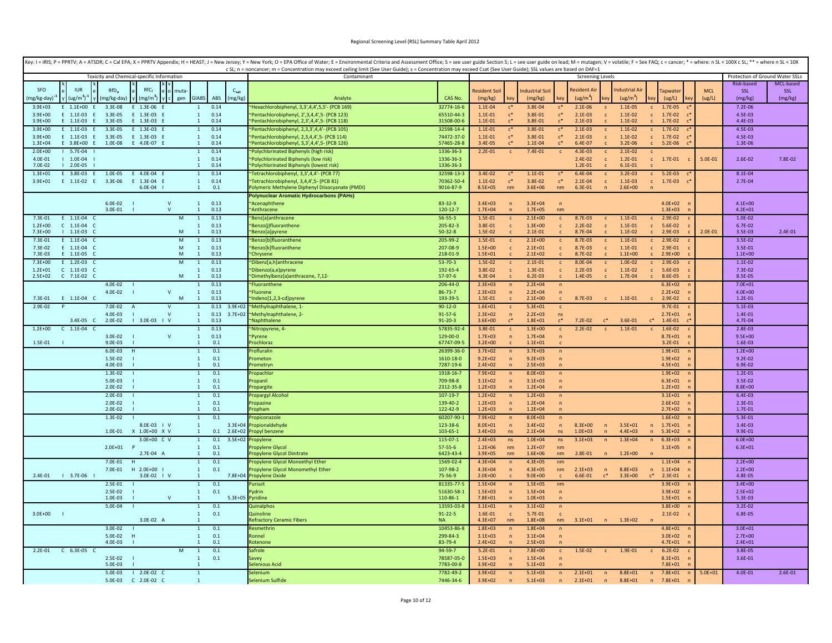| Key: I = IRIS; P = PPRTV; A = ATSDR; C = Cal EPA; X = PPRTV Appendix; H = HEAST; J = New Jersey; Y = New York; O = EPA Office of Water; E = Environmental Criteria and Assessment Office; S = see user guide Section 5; L = se | c SL; n = noncancer; m = Concentration may exceed ceiling limit (See User Guide); s = Concentration may exceed Csat (See User Guide); SSL values are based on DAF=1 |                             |                            |                                  |                            |                                |                         |                                |                            |                              |                                      |             |                                 |           |
|--------------------------------------------------------------------------------------------------------------------------------------------------------------------------------------------------------------------------------|---------------------------------------------------------------------------------------------------------------------------------------------------------------------|-----------------------------|----------------------------|----------------------------------|----------------------------|--------------------------------|-------------------------|--------------------------------|----------------------------|------------------------------|--------------------------------------|-------------|---------------------------------|-----------|
| Toxicity and Chemical-specific Information                                                                                                                                                                                     | Contaminant                                                                                                                                                         |                             |                            |                                  |                            |                                | <b>Screening Levels</b> |                                |                            |                              |                                      |             | Protection of Ground Water SSLs |           |
|                                                                                                                                                                                                                                |                                                                                                                                                                     |                             |                            |                                  |                            |                                |                         |                                |                            |                              |                                      |             | <b>Risk-based</b>               | MCL-based |
| RfC,<br><b>SFO</b><br><b>IUR</b><br>RfD.<br>$C_{sat}$<br>mut                                                                                                                                                                   |                                                                                                                                                                     |                             | Resident Soi               |                                  | ndustrial Soil             |                                | Resident Ai             |                                | ndustrial Ai               |                              | apwate                               | <b>MCL</b>  | SSL                             | SSL       |
| <b>GIABS</b><br>mg/kg-day)<br>$ug/m3)-1$<br>mg/kg-day)<br>$\text{mg/m}^3$<br>ABS<br>(mg/kg)<br>gen                                                                                                                             | Analyte                                                                                                                                                             | CAS No.                     | (mg/kg)                    |                                  | (mg/kg)                    |                                | (ug/m <sup>3</sup> )    |                                | (ug/m <sup>3</sup> )       |                              | (ug/L)                               | (ug/L)      | (mg/kg)                         | (mg/kg)   |
| $E = 1.1E+00$<br>3.3E-08<br>0.14<br>$3.9F + 03$<br>E 1.3E-06<br>$\overline{1}$                                                                                                                                                 | Hexachlorobiphenyl, 3,3',4,4',5,5'- (PCB 169)                                                                                                                       | 32774-16-6                  | $1.1E - 04$                | $c^*$                            | 3.8E-04                    | $\mathsf{c}^*$                 | $2.1E-06$               | $\mathbf{c}$                   | $1.1E-05$                  | $\mathbf{C}$                 | 1.7E-05                              |             | 7.2E-06                         |           |
| $3.9E + 00$<br>E 1.1E-03 E<br>3.3E-05<br>E 1.3E-03 E<br>$\mathbf{1}$<br>0.14                                                                                                                                                   | ~Pentachlorobiphenyl, 2'.3.4.4'.5- (PCB 123)                                                                                                                        | 65510-44-3                  | $1.1E - 01$                | $c^*$<br>$\mathfrak{c}^*$        | 3.8E-01                    | $c^*$                          | $2.1E-03$               | $\mathbf{c}$                   | $1.1E - 02$                | $\mathbb{C}$                 | 1.7E-02<br>$\mathsf{r}^*$            |             | 4.5E-03                         |           |
| E 1.1E-03 E<br>3.3E-05<br>E 1.3E-03 E<br>0.14<br>$3.9E + 00$<br>$\mathbf{1}$<br>0.14<br>$3.9F + 00$<br>E 1.1E-03 E<br>3.3E-05<br>E 1.3E-03 E<br>$\mathbf{1}$                                                                   | "Pentachlorobiphenyl, 2,3',4,4',5- (PCB 118)                                                                                                                        | 31508-00-6<br>32598-14-4    | $1.1E - 01$<br>$1.1E - 01$ | $\mathfrak{c}^*$                 | 3.8E-01<br>3.8E-01         | $c^*$<br>$c^*$                 | $2.1E-03$<br>$2.1E-03$  |                                | $1.1E-02$<br>$1.1E-02$     | $\mathbf{c}$                 | 1.7E-02<br>$\mathsf{c}^*$<br>1.7E-02 |             | 4.4E-03<br>4.5E-03              |           |
| $3.9E + 00$<br>E 1.1E-03<br>3.3E-05<br>E 1.3E-03<br>$\mathbf{1}$<br>0.14<br>F.                                                                                                                                                 | 'Pentachlorobiphenyl, 2,3,3',4,4'- (PCB 105)<br>Pentachlorobiphenyl, 2,3,4,4',5- (PCB 114)                                                                          | 74472-37-0                  | $1.1E - 01$                | $c^*$                            | 3.8E-01                    | $\mathsf{c}^*$                 | $2.1E-03$               | $\mathsf{c}$<br>$\mathbf{c}$   | $1.1E-02$                  | $\mathsf{C}$                 | 1.7E-02                              |             | 4.5E-03                         |           |
| 1.0E-08<br>E 4.0E-07 E<br>0.14<br>$1.3E + 04$<br>$E = 3.8E+00$ $E =$<br>$\mathbf{1}$                                                                                                                                           | 'Pentachlorobiphenyl, 3,3',4,4',5- (PCB 126)                                                                                                                        | 57465-28-8                  | 3.4E-05                    |                                  | 1.1E-04                    | $c^*$                          | 6.4E-07                 |                                | $3.2E - 06$                |                              | 5.2E-06                              |             | 1.3E-06                         |           |
| 0.14<br>$2.0F + 00$<br>$1 5.7E-04$<br>$\mathbf{1}$                                                                                                                                                                             | Polychlorinated Biphenyls (high risk)                                                                                                                               | 1336-36-3                   | $2.2E - 01$                | $\mathsf{C}$                     | 7.4E-01                    | $\mathbf{c}$                   | 4.3E-03                 | c                              | $2.1E-02$                  |                              |                                      |             |                                 |           |
| $1.0E-04$<br>0.14<br>4.0F-01<br>$\overline{1}$                                                                                                                                                                                 | "Polychlorinated Biphenyls (low risk)                                                                                                                               | 1336-36-3                   |                            |                                  |                            |                                | $2.4E - 02$             | $\mathsf{C}$                   | $1.2E - 01$                |                              | $c = 1.7E-01$                        | 5.0E-01     | $2.6E - 02$                     | 7.8E-02   |
| 7.0E-02<br>$12.0E-05$<br>0.14<br>$\mathbf{1}$                                                                                                                                                                                  | Polychlorinated Biphenyls (lowest risk)                                                                                                                             | 1336-36-3                   |                            |                                  |                            |                                | $1.2E - 01$             | $\mathbf{C}$                   | $6.1E - 01$                | $\mathsf{C}$                 |                                      |             |                                 |           |
| 0.14<br>$1.3E + 01$<br>E 3.8E-03 E<br>1.0E-05<br>E 4.0E-04 E<br>$\mathbf{1}$                                                                                                                                                   | "Tetrachlorobiphenyl, 3,3',4,4'- (PCB 77)                                                                                                                           | 32598-13-3                  | 3.4E-02                    | $C^*$                            | 1.1E-01                    | $c^*$                          | 6.4E-04                 | $\mathbf{C}$                   | $3.2E-03$                  | $\mathbf{c}$                 | $5.2E-03$                            |             | 8.1E-04                         |           |
| $3.9E + 01$<br>E 1.1E-02 E<br>3.3E-06<br>E 1.3E-04 E<br>$\mathbf{1}$<br>0.14<br>6.0E-04<br>1<br>0.1                                                                                                                            | "Tetrachlorobiphenyl, 3,4,4',5- (PCB 81)<br>Polymeric Methylene Diphenyl Diisocyanate (PMDI)                                                                        | 70362-50-4<br>9016-87-9     | $1.1E-02$<br>$8.5E + 05$   | $c^*$<br>nm                      | 3.8E-02<br>$3.6E + 06$     | $c^*$<br>nm                    | $2.1E-04$<br>6.3E-01    | $\mathbf{c}$<br>n              | $1.1E-03$<br>$2.6E + 00$   |                              | $c = 1.7E-03$<br>$\mathsf{C}^*$      |             | $2.7E-04$                       |           |
|                                                                                                                                                                                                                                | <b>Polynuclear Aromatic Hydrocarbons (PAHs)</b>                                                                                                                     |                             |                            |                                  |                            |                                |                         |                                |                            |                              |                                      |             |                                 |           |
| $\mathsf{V}$<br>$6.0E-02$<br>$\mathbf{1}$<br>0.13                                                                                                                                                                              | "Acenaphthene                                                                                                                                                       | 83-32-9                     | $3.4E + 03$                | $\sqrt{n}$                       | $3.3E + 04$                | $\mathsf{n}$                   |                         |                                |                            |                              | $4.0E + 02$                          |             | $4.1E + 00$                     |           |
| 3.0E-01<br>$\mathbf{v}$<br>0.13<br>$\overline{1}$                                                                                                                                                                              | Anthracene                                                                                                                                                          | 120-12-7                    | $1.7F + 0.4$               |                                  | $1.7E + 05$                | nm                             |                         |                                |                            |                              | $1.3F + 03$                          |             | $4.2E + 01$                     |           |
| $E = 1.1E-04$ C<br>0.13<br>7.3E-01<br>M<br>$\mathbf{1}$                                                                                                                                                                        | Benz[a]anthracene                                                                                                                                                   | $56 - 55 - 3$               | 1.5E-01                    | $\mathbf{C}$                     | $2.1E+00$                  | $\mathbf{c}$                   | 8.7E-03                 | $\mathbf{C}$                   | $1.1E - 01$                | $\mathbf{c}$                 | $2.9E-02$                            |             | $1.0E - 02$                     |           |
| $1.2E + 00$<br>$C$ 1.1E-04 $C$<br>0.13<br>$\mathbf{1}$                                                                                                                                                                         | "Benzo(j)fluoranthene                                                                                                                                               | 205-82-3                    | 3.8E-01                    | $\mathsf{C}$                     | $1.3E + 00$                | $\mathbf{c}$                   | $2.2E-02$               | $\mathbf{c}$                   | $1.1E - 01$                | $\mathbf{C}$                 | 5.6E-02                              |             | $6.7E - 02$                     |           |
| 7.3E+00<br>$1 1.1E-03 C$<br>M<br>$\mathbf{1}$<br>0.13<br>0.13<br>${\sf M}$                                                                                                                                                     | Benzo[a]pyrene                                                                                                                                                      | $50 - 32 - 8$               | 1.5E-02                    | $\mathsf{C}$                     | $2.1E-01$                  | $\mathbf{c}$                   | 8.7E-04                 | $\mathbf{c}$                   | $1.1E-02$                  |                              | 2.9E-03                              | $2.0E - 01$ | 3.5E-03                         | 2.4E-01   |
| E 1.1E-04 C<br>$\mathbf{1}$<br>7.3E-01<br>E 1.1E-04 C<br>${\sf M}$<br>0.13<br>7.3F-02<br>$\mathbf{1}$                                                                                                                          | "Benzo[b]fluoranthen<br>"Benzo[k]fluoranthene                                                                                                                       | 205-99-2<br>207-08-9        | 1.5E-01<br>$1.5E + 00$     | $\mathbf{C}$<br>$\mathbf{c}$     | $2.1E+00$<br>$2.1E + 01$   | $\mathsf{c}$<br>$\mathbf{c}$   | 8.7E-03<br>8.7E-03      | $\mathbf{c}$<br>$\mathfrak{c}$ | $1.1E - 01$<br>$1.1E - 01$ | $\mathbf{c}$<br>$\mathsf{C}$ | 2.9E-02<br>2.9E-01                   |             | 3.5E-02<br>3.5E-01              |           |
| ${\sf M}$<br>7.3E-03<br>$E = 1.1E-0.5$<br>$\mathbf{1}$<br>0.13                                                                                                                                                                 | "Chrysene                                                                                                                                                           | 218-01-9                    | $1.5E + 01$                |                                  | $2.1E + 02$                | $\mathsf{C}$                   | 8.7E-02                 |                                | $1.1E + 00$                |                              | $2.9E + 00$                          |             | $1.1E + 00$                     |           |
| $7.3E + 00$<br>E 1.2E-03 C<br>M<br>$\overline{1}$<br>0.13                                                                                                                                                                      | "Dibenz[a,h]anthracene                                                                                                                                              | $53 - 70 - 3$               | 1.5E-02                    | $\mathsf{c}$                     | $2.1E-01$                  | $\mathsf{c}$                   | 8.0E-04                 | $\mathbf{c}$                   | $1.0E - 02$                | $\mathbf{c}$                 | 2.9E-03                              |             | $1.1E - 02$                     |           |
| $C$ 1.1E-03 $C$<br>0.13<br>$1.2F + 01$<br>$\mathbf{1}$                                                                                                                                                                         | "Dibenzo(a,e)pyrene                                                                                                                                                 | 192-65-4                    | 3.8E-02                    | $\mathsf{c}$                     | $1.3F - 01$                | $\mathsf{c}$                   | $2.2E-03$               | $\mathbf{c}$                   | $1.1E-02$                  | $\mathsf{C}$                 | 5.6E-03                              |             | 7.3E-02                         |           |
| M<br>$2.5E+02$<br>C 7.1E-02 C<br>$\overline{1}$<br>0.13                                                                                                                                                                        | *Dimethylbenz(a)anthracene, 7,12-                                                                                                                                   | $57-97-6$                   | 4.3E-04                    |                                  | $6.2E - 03$                | $\mathbf{C}$                   | 1.4E-05                 | $\mathbf{C}$                   | 1.7E-04                    |                              | 8.6F-05                              |             | 8.5E-05                         |           |
| 4.0E-02<br>0.13<br>$\mathbf{1}$                                                                                                                                                                                                | "Fluoranthene                                                                                                                                                       | 206-44-0                    | $2.3E + 03$                | $\sqrt{n}$                       | $2.2E + 04$                | $\sqrt{n}$                     |                         |                                |                            |                              | $6.3E + 02$                          |             | $7.0E + 01$                     |           |
| 4.0E-02<br>$\mathsf{v}$<br>0.13<br>1<br>E 1.1E-04 C<br>M<br>0.13<br>7.3E-01<br>$\mathbf{1}$                                                                                                                                    | <b>Fluorene</b><br>Indeno[1,2,3-cd]pyrene                                                                                                                           | $86 - 73 - 7$<br>193-39-5   | $2.3E + 03$<br>1.5E-01     | $\sqrt{n}$                       | $2.2E + 04$<br>$2.1E+00$   | $\overline{p}$                 | 8.7E-03                 | $\mathbf{c}$                   | $1.1E - 01$                | $\mathbf{c}$                 | $2.2E + 02$<br>2.9E-02               |             | $4.0E + 00$<br>$1.2E - 01$      |           |
| 0.13<br>2.9E-02<br>$3.9E + 02$<br>P<br>7.0E-02 A<br>$\mathsf{V}$<br>$\mathbf{1}$                                                                                                                                               | "Methylnaphthalene, 1-                                                                                                                                              | $90 - 12 - 0$               | $1.6E + 01$                | $\mathbf{c}$                     | $5.3E + 01$                | $\mathsf{c}$                   |                         |                                |                            |                              | $9.7E - 01$                          |             | $5.1E-03$                       |           |
| 4.0E-03<br>$\mathbf{v}$<br>0.13<br>$3.7E + 02$<br>$\mathbf{1}$                                                                                                                                                                 | ~Methylnaphthalene, 2-                                                                                                                                              | $91 - 57 - 6$               | $2.3E+02$                  | $\overline{p}$                   | $2.2E + 03$                | ns                             |                         |                                |                            |                              | $2.7E + 01$                          |             | 1.4E-01                         |           |
| $1$ 3.0E-03 $1$ V<br>3.4E-05 C<br>2.0E-02<br>$\mathbf{1}$<br>0.13                                                                                                                                                              | <b>Naphthalene</b>                                                                                                                                                  | $91 - 20 - 3$               | $3.6E + 00$                | $C^*$                            | $1.8E + 01$                | $\mathfrak{c}^*$               | $7.2E - 02$             | $\mathfrak{c}^*$               | 3.6E-01                    | $\mathbf{c}^*$               | 1.4E-01                              |             | 4.7E-04                         |           |
| $C$ 1.1E-04 $C$<br>0.13<br>$1.2E + 00$<br>$\mathbf{1}$                                                                                                                                                                         | Nitropyrene, 4-                                                                                                                                                     | 57835-92-4                  | 3.8E-01                    | $\mathbf{c}$                     | $1.3E + 00$                | $\mathbf{c}$                   | $2.2E-02$               | $\mathbf{c}$                   | $1.1E - 01$                |                              | 1.6E-02                              |             | $2.8E-03$                       |           |
| 0.13<br>$\mathbf v$<br>3.0E-02<br>$\mathbf{1}$                                                                                                                                                                                 | ~Pvrene                                                                                                                                                             | 129-00-0                    | $1.7E + 03$                | $\sqrt{n}$                       | $1.7E + 04$                | $\overline{p}$                 |                         |                                |                            |                              | $8.7E + 01$                          |             | $9.5F + 00$                     |           |
| 1.5E-01<br>$9.0E - 03$<br>0.1<br>$\mathbf{1}$<br>$6.0E-03$<br>0.1<br>H<br>$\mathbf{1}$                                                                                                                                         | Prochloraz<br>Profluralin                                                                                                                                           | 67747-09-5<br>26399-36-0    | $3.2E + 00$                |                                  | $1.1E + 01$<br>$3.7E + 03$ |                                |                         |                                |                            |                              | $3.2E - 01$<br>$1.9E + 01$           |             | 1.6E-03<br>$1.2E + 00$          |           |
| 0.1<br>1.5E-02<br>1                                                                                                                                                                                                            | rometon                                                                                                                                                             | 1610-18-0                   | $3.7E + 02$<br>$9.2E + 02$ | $\sqrt{n}$<br>$\overline{ }$     | $9.2E + 03$                | $\overline{p}$<br>$\mathsf{n}$ |                         |                                |                            |                              | $1.9E + 02$                          |             | $9.2E - 02$                     |           |
| 4.0E-03<br>0.1                                                                                                                                                                                                                 | rometryn                                                                                                                                                            | 7287-19-6                   | $2.4E + 02$                |                                  | $2.5E + 03$                | $\overline{p}$                 |                         |                                |                            |                              | $4.5E + 01$                          |             | 6.9E-02                         |           |
| 0.1<br>1.3E-02<br>1                                                                                                                                                                                                            | ropachlor                                                                                                                                                           | 1918-16-7                   | 7.9E+02                    | n                                | $8.0E + 03$                | $\sqrt{n}$                     |                         |                                |                            |                              | $1.9E + 02$                          |             | $1.2E - 01$                     |           |
| 0.1<br>5.0E-03<br>$\mathbf{1}$                                                                                                                                                                                                 | Propanil                                                                                                                                                            | 709-98-8                    | $3.1E + 02$                | $\overline{ }$                   | $3.1E + 03$                | $\sqrt{n}$                     |                         |                                |                            |                              | $6.3E + 01$                          |             | 3.5E-02                         |           |
| 0.1<br>$2.0F - 02$<br>$\overline{1}$                                                                                                                                                                                           | ropargite                                                                                                                                                           | 2312-35-8                   | $1.2E + 03$                | $\mathbf n$                      | $1.2E + 04$                | $\mathbf{n}$                   |                         |                                |                            |                              | $1.2E + 02$                          |             | $8.8E + 00$                     |           |
| $2.0E-03$<br>0.1<br>2.0E-02<br>0.1<br>$\overline{1}$                                                                                                                                                                           | ropargyl Alcohol<br>Propazine                                                                                                                                       | 107-19-7<br>139-40-2        | $1.2E + 02$<br>$1.2E + 03$ | $\overline{p}$<br>$\overline{p}$ | $1.2E + 03$<br>$1.2E + 04$ | $\mathsf{n}$<br>$\mathsf{n}$   |                         |                                |                            |                              | $3.1E + 01$<br>$2.6E + 02$           |             | $6.4E - 03$<br>2.3E-01          |           |
| $2.0E-02$<br>0.1<br>$\mathbf{1}$                                                                                                                                                                                               | ropham                                                                                                                                                              | 122-42-9                    | $1.2E + 03$                |                                  | $1.2E + 04$                | $\overline{p}$                 |                         |                                |                            |                              | $2.7E + 02$                          |             | 1.7E-01                         |           |
| 1.3E-02<br>0.1<br>$\mathbf{1}$                                                                                                                                                                                                 | ropiconazol                                                                                                                                                         | 60207-90-3                  | 7.9E+02                    | $\sqrt{n}$                       | $8.0E + 03$                | $\sqrt{n}$                     |                         |                                |                            |                              | $1.6E + 02$                          |             | 5.3E-01                         |           |
| 8.0E-03   V<br>$\mathbf{1}$<br>$3.3E + 04$                                                                                                                                                                                     | Propionaldehyde                                                                                                                                                     | 123-38-6                    | $8.0E + 01$                | $\sqrt{n}$                       | $3.4E + 02$                | $\mathsf{n}$                   | 8.3E+00                 | $\overline{p}$                 | $3.5E + 01$                | n                            | $1.7E + 01$                          |             | 3.4E-03                         |           |
| 1.0E-01<br>X 1.0E+00 X V<br>0.1<br>$2.6E + 02$<br>$\mathbf{1}$                                                                                                                                                                 | ropyl benzene                                                                                                                                                       | 103-65-1                    | $3.4E + 03$                | ns                               | $2.1E + 04$                | ns                             | $1.0E + 03$             | $\overline{n}$                 | $4.4E + 03$                | n                            | $5.3E + 02$                          |             | 9.9E-01                         |           |
| 3.0E+00 C V<br>0.1<br>$3.5E + 02$<br>$\overline{1}$                                                                                                                                                                            | 'ropylene                                                                                                                                                           | $115 - 07 - 1$              | $2.4E + 03$                | ns                               | $1.0F + 04$                | ns.                            | $3.1E + 03$             | $\mathsf{n}$                   | $1.3E + 04$                | n                            | $6.3E + 03$                          |             | $6.0E + 00$                     |           |
| $2.0E+01$ P<br>0.1<br>$\overline{1}$<br>2.7E-04 A<br>0.1<br>$\mathbf{1}$                                                                                                                                                       | ropylene Glycol<br>ropylene Glycol Dinitrate                                                                                                                        | $57 - 55 - 6$<br>6423-43-4  | $1.2E + 06$<br>$3.9E + 05$ | nm<br>nm                         | $1.2F + 07$<br>$1.6E + 06$ | nm<br>nm                       | 2.8E-01                 | $\mathsf{n}$                   | $1.2E + 00$                | n                            | $3.1E + 05$                          |             | $6.3E + 01$                     |           |
| 0.1<br>7.0E-01<br>H<br>1                                                                                                                                                                                                       | Propylene Glycol Monoethyl Ether                                                                                                                                    | 1569-02-4                   | $4.3E + 04$                | $\sqrt{n}$                       | $4.3E + 05$                | nm                             |                         |                                |                            |                              | $1.1E + 04$                          |             | $2.2E + 00$                     |           |
| 7.0E-01<br>H 2.0E+00 I<br>$\mathbf{1}$<br>0.1                                                                                                                                                                                  | Propylene Glycol Monomethyl Ether                                                                                                                                   | 107-98-2                    | $4.3E + 04$                | $\sqrt{n}$                       | $4.3E + 05$                | nm                             | $2.1E + 03$             | n                              | 8.8E+03                    | n                            | $1.1E + 04$                          |             | $2.2E + 00$                     |           |
| 2.4E-01<br>$13.7E-06$<br>3.0E-02   V<br>$\overline{1}$                                                                                                                                                                         | 7.8E+04 Propylene Oxide                                                                                                                                             | 75-56-9                     | $2.0E + 00$                |                                  | $9.0E + 00$                |                                | 6.6E-01                 | $c^*$                          | $3.3E+00$                  | $c^*$                        | 2.3E-01                              |             | 4.8E-05                         |           |
| 0.1<br>$2.5E-01$<br>$\overline{1}$                                                                                                                                                                                             | ursuit                                                                                                                                                              | 81335-77-5                  | $1.5E + 04$                | $\sqrt{n}$                       | $1.5E + 05$                | nm                             |                         |                                |                            |                              | $3.9E + 03$                          |             | $3.4E + 00$                     |           |
| 2.5E-02<br>$\mathbf{1}$<br>0.1<br>$1.0F - 03$<br>$\mathbf{V}$                                                                                                                                                                  | ydrin                                                                                                                                                               | 51630-58-3                  | $1.5E + 03$<br>$7.8F + 01$ | $\overline{ }$                   | $1.5E + 04$                | $\mathsf{n}$                   |                         |                                |                            |                              | $3.9E + 02$<br>$1.5F + 01$           |             | $2.5E + 02$<br>5.3F-03          |           |
| $\blacksquare$<br>0.1<br>5.0E-04<br>$\mathbf{1}$                                                                                                                                                                               | 5.3E+05 Pyridine<br><b>Quinalphos</b>                                                                                                                               | 110-86-1<br>13593-03-8      | $3.1E + 01$                | n                                | $1.0E + 03$<br>$3.1E + 02$ | $\sqrt{n}$<br>n                |                         |                                |                            |                              | $3.8E + 00$                          |             | 3.2E-02                         |           |
| $3.0E + 00$  <br>0.1<br>$\mathbf{1}$                                                                                                                                                                                           | Quinoline                                                                                                                                                           | $91 - 22 - 5$               | 1.6E-01                    | $\mathbf{c}$                     | 5.7E-01                    | $\mathbf{C}$                   |                         |                                |                            |                              | $2.1E-02$                            |             | 6.8E-05                         |           |
| 3.0E-02 A<br>$\overline{1}$                                                                                                                                                                                                    | efractory Ceramic Fibers                                                                                                                                            | <b>NA</b>                   | $4.3E + 07$                | nm                               | $1.8E + 08$                | nm                             | $3.1E + 01$             | n                              | $1.3E + 02$                | n                            |                                      |             |                                 |           |
| 3.0E-02<br>$\mathbf{1}$<br>0.1                                                                                                                                                                                                 | tesmethrin                                                                                                                                                          | 10453-86-8                  | $1.8E + 03$                | $\sqrt{n}$                       | $1.8E + 04$                | $\sqrt{n}$                     |                         |                                |                            |                              | $4.8E + 01$                          |             | $3.0E + 01$                     |           |
| 0.1<br>5.0E-02<br>$\overline{r}$<br>$\overline{1}$                                                                                                                                                                             | Ronnel                                                                                                                                                              | 299-84-3                    | $3.1E + 03$                | $\sqrt{n}$                       | $3.1E + 04$                | $\mathsf{n}$                   |                         |                                |                            |                              | $3.0E + 02$                          |             | $2.7E + 00$                     |           |
| 0.1<br>4.0E-03<br>$\overline{1}$                                                                                                                                                                                               | <b>totenone</b>                                                                                                                                                     | 83-79-4                     | $2.4E + 02$                |                                  | $2.5E + 03$                | $\sqrt{n}$                     |                         |                                |                            |                              | $4.7E + 01$                          |             | $2.4E + 01$                     |           |
| 0.1<br>C 6.3E-05 C<br>M<br>$2.2E - 01$<br>$\overline{1}$<br>0.1<br>$2.5E-02$<br>$\overline{1}$                                                                                                                                 | Safrole<br>savey                                                                                                                                                    | $94 - 59 - 7$<br>78587-05-0 | $5.2E - 01$<br>$1.5E + 03$ | $\mathsf{c}$<br>$\sqrt{n}$       | $7.8E + 00$<br>$1.5F + 04$ | $\mathsf{c}$<br>$\overline{p}$ | 1.5E-02                 | $\mathbf{c}$                   | 1.9E-01                    | $\mathbf{c}$                 | $6.2E - 02$<br>$8.1E + 01$           |             | 3.8E-05<br>3.6E-01              |           |
| 5.0F-03                                                                                                                                                                                                                        | Selenious Acid                                                                                                                                                      | 7783-00-8                   | $3.9E + 02$                | $\overline{p}$                   | $5.1F + 03$                |                                |                         |                                |                            |                              | $7.8F + 01$                          |             |                                 |           |
| 5.0E-03<br>$12.0E-02 C$<br>$\overline{1}$                                                                                                                                                                                      | Selenium                                                                                                                                                            | 7782-49-2                   | $3.9E + 02$                | $\sqrt{n}$                       | $5.1E + 03$                | n                              | $2.1E + 01$             | n                              | $8.8E + 01$                | n                            | $7.8E + 01$                          | $5.0E + 01$ | 4.0E-01                         | 2.6E-01   |
| $5.0E-03$<br>C 2.0E-02 C<br>-1                                                                                                                                                                                                 | Selenium Sulfide                                                                                                                                                    | 7446-34-6                   | $3.9E + 02$                | $\sqrt{n}$                       | $5.1E + 03$                | $\sqrt{n}$                     | $2.1E + 01$             | $\mathsf{n}$                   | 8.8E+01                    | n                            | $7.8E + 01$                          |             |                                 |           |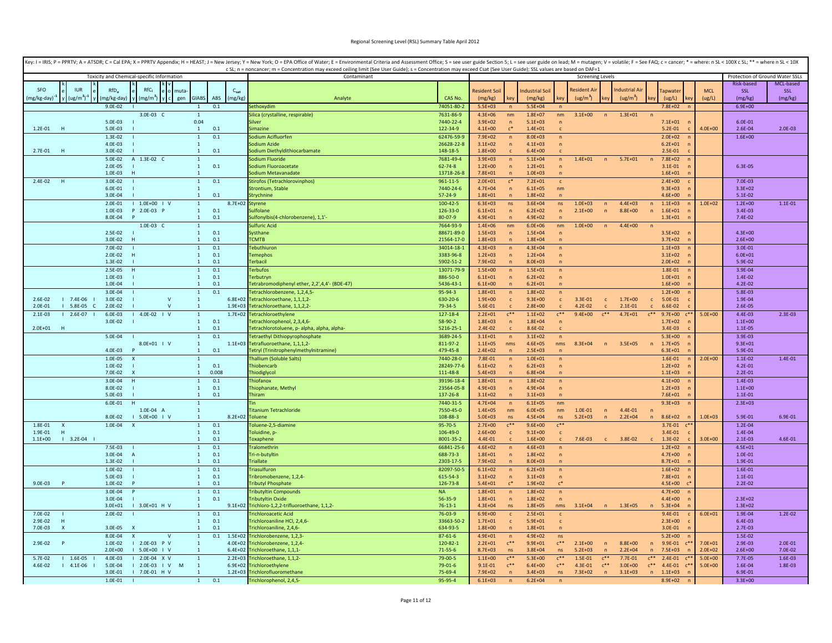|                          |                                          |                            |                                            |              |                                              |                            | Key: I = IRIS; P = PPRTV; A = ATSDR; C = Cal EPA; X = PPRTV Appendix; H = HEAST; J = New Jersey; Y = New Yerk; O = EPA Office of Water; E = Environmental Criteria and Assessment Office; S = see user guide Section 5; L = se<br>c SL; n = noncancer; m = Concentration may exceed ceiling limit (See User Guide); s = Concentration may exceed Csat (See User Guide); SSL values are based on DAF=1 |                            |                            |                                  |                            |                                  |                            |                              |                            |                            |                                          |                            |                                 |                    |
|--------------------------|------------------------------------------|----------------------------|--------------------------------------------|--------------|----------------------------------------------|----------------------------|-------------------------------------------------------------------------------------------------------------------------------------------------------------------------------------------------------------------------------------------------------------------------------------------------------------------------------------------------------------------------------------------------------|----------------------------|----------------------------|----------------------------------|----------------------------|----------------------------------|----------------------------|------------------------------|----------------------------|----------------------------|------------------------------------------|----------------------------|---------------------------------|--------------------|
|                          |                                          |                            | Toxicity and Chemical-specific Information |              |                                              |                            | Contaminant                                                                                                                                                                                                                                                                                                                                                                                           |                            |                            |                                  |                            |                                  | <b>Screening Levels</b>    |                              |                            |                            |                                          |                            | Protection of Ground Water SSLs |                    |
|                          |                                          |                            |                                            |              |                                              |                            |                                                                                                                                                                                                                                                                                                                                                                                                       |                            |                            |                                  |                            |                                  |                            |                              |                            |                            |                                          |                            | Risk-based                      | MCL-based          |
| <b>SEO</b>               | <b>ILIR</b>                              | $RfD_0$                    | RfC <sub>i</sub>                           |              |                                              | $C_{sat}$                  |                                                                                                                                                                                                                                                                                                                                                                                                       |                            | <b>Resident Soi</b>        |                                  | ndustrial Soil             |                                  | Resident A                 |                              | Industrial Ai              |                            | <b>Tapwate</b>                           | <b>MCL</b>                 | <b>SSL</b>                      | SSL                |
| (mg/kg-day) <sup>-</sup> | $\mu$ (ug/m <sup>3</sup> ) <sup>-1</sup> | (mg/kg-day)                | (mg/m <sup>3</sup> )                       | gen          | <b>GIABS</b><br>ABS                          | (mg/kg)                    | Analyte                                                                                                                                                                                                                                                                                                                                                                                               | CAS No.<br>74051-80-2      | (mg/kg)<br>$5.5E + 03$     | cev                              | (mg/kg)<br>$5.5E + 04$     | kev                              | (ug/m <sup>3</sup> )       |                              | (ug/m <sup>3</sup> )       |                            | (ug/L)<br>$7.8E + 02$                    | (ug/L)                     | (mg/kg)                         | (mg/kg)            |
|                          |                                          | $9.0E - 02$                | 3.0E-03 C                                  |              | 0.1<br>$\mathbf{1}$                          |                            | Sethoxydim<br>Silica (crystalline, respirable)                                                                                                                                                                                                                                                                                                                                                        | 7631-86-9                  | $4.3E + 06$                | nm                               | $1.8E + 07$                | nm                               | $3.1E + 00$                | n                            | $1.3E + 01$                | n                          |                                          |                            | $6.9E + 00$                     |                    |
|                          |                                          | 5.0E-03                    |                                            |              | 0.04                                         |                            | Silver                                                                                                                                                                                                                                                                                                                                                                                                | 7440-22-4                  | $3.9E + 02$                | $\sqrt{n}$                       | $5.1E + 03$                | $\overline{ }$                   |                            |                              |                            |                            | $7.1E + 01$                              |                            | $6.0E - 01$                     |                    |
| $1.2E - 01$              | - H                                      | 5.0E-03                    |                                            |              | 0.1<br><sup>1</sup>                          |                            | Simazine                                                                                                                                                                                                                                                                                                                                                                                              | 122-34-9                   | $4.1E + 00$                | $\mathsf{r}^*$                   | $1.4E + 01$                | $\mathbf{r}$                     |                            |                              |                            |                            | $5.2E - 01$                              | $4.0E + 00$                | 2.6E-04                         | 2.0E-03            |
|                          |                                          | 1.3E-02                    |                                            |              | 0.1<br>$\mathbf{1}$                          |                            | Sodium Acifluorfen                                                                                                                                                                                                                                                                                                                                                                                    | 62476-59-                  | $7.9E + 02$                | $\overline{p}$                   | $8.0E + 03$                | $\mathsf{n}$                     |                            |                              |                            |                            | $2.0E + 02$                              |                            | $1.6E + 00$                     |                    |
|                          |                                          | 4.0E-03                    |                                            |              | $\overline{1}$                               |                            | Sodium Azide                                                                                                                                                                                                                                                                                                                                                                                          | 26628-22-8                 | $3.1E + 02$                | $\overline{n}$                   | $4.1E + 03$                | $\overline{p}$                   |                            |                              |                            |                            | $6.2E + 01$                              |                            |                                 |                    |
| 2.7E-01                  | $-$ H                                    | 3.0E-02<br>5.0E-02         | A 1.3E-02 C                                |              | 0.1<br>$\overline{1}$                        |                            | Sodium Diethyldithiocarbamate                                                                                                                                                                                                                                                                                                                                                                         | 148-18-5<br>7681-49-4      | $1.8E + 00$<br>$3.9E + 03$ |                                  | $6.4E + 00$<br>$5.1E + 04$ | $\overline{\mathbf{n}}$          | $1.4E + 01$                |                              | $5.7E + 01$                |                            | 2.5E-01<br>$7.8E + 02$                   |                            |                                 |                    |
|                          |                                          | 2.0E-05                    |                                            |              | $\mathbf{1}$<br>0.1<br>$\mathbf{1}$          |                            | Sodium Fluoride<br>Sodium Fluoroacetate                                                                                                                                                                                                                                                                                                                                                               | $62 - 74 - 8$              | $1.2E + 00$                | $\mathsf{n}$<br>$\overline{p}$   | $1.2E + 01$                | $\overline{p}$                   |                            | n                            |                            | n                          | $3.1E - 01$                              |                            | 6.3E-05                         |                    |
|                          |                                          | 1.0E-03                    | H                                          |              | $\mathbf{1}$                                 |                            | Sodium Metavanadate                                                                                                                                                                                                                                                                                                                                                                                   | 13718-26-8                 | $7.8E + 01$                | $\overline{n}$                   | $1.0E + 03$                | $\overline{p}$                   |                            |                              |                            |                            | $1.6E + 01$                              |                            |                                 |                    |
| $2.4E-02$                | H                                        | $3.0E - 02$                |                                            |              | 0.1<br>$\overline{1}$                        |                            | Stirofos (Tetrachlorovinphos)                                                                                                                                                                                                                                                                                                                                                                         | $961 - 11 - 5$             | $2.0E + 01$                | $\mathfrak{c}^*$                 | $7.2E + 01$                | $\mathsf{C}$                     |                            |                              |                            |                            | $2.4E + 00$                              |                            | $7.0E - 03$                     |                    |
|                          |                                          | 6.0F-01                    |                                            |              | $\overline{1}$                               |                            | Strontium, Stable                                                                                                                                                                                                                                                                                                                                                                                     | 7440-24-6                  | $4.7E + 04$                | $\overline{p}$                   | $6.1E + 05$                | nm                               |                            |                              |                            |                            | $9.3E + 03$                              |                            | $3.3E + 02$                     |                    |
|                          |                                          | 3.0E-04                    |                                            |              | 0.1<br>1                                     |                            | <b>Strychnine</b>                                                                                                                                                                                                                                                                                                                                                                                     | $57-24-9$                  | $1.8E + 01$                | $\overline{p}$                   | $1.8E + 02$                | $\mathsf{n}$                     |                            |                              |                            |                            | $4.6E + 00$                              |                            | 5.1E-02                         |                    |
|                          |                                          | 2.0E-01<br>1.0E-03         | $1 1.0E + 00 1 V$<br>P 2.0E-03 P           |              | $\mathbf{1}$<br>$\mathbf{1}$<br>0.1          |                            | 8.7E+02 Styrene<br>Sulfolane                                                                                                                                                                                                                                                                                                                                                                          | $100 - 42 - 5$<br>126-33-0 | $6.3E + 03$<br>$6.1E + 01$ | ns<br>$\overline{p}$             | $3.6E + 04$<br>$6.2E + 02$ | ns<br>$\overline{p}$             | $1.0E + 03$<br>$2.1E+00$   | n<br>$\sqrt{n}$              | $4.4E + 03$<br>8.8E+00     | $\sqrt{n}$<br>$\mathsf{n}$ | $1.1E + 03$<br>$1.6E + 01$               | $1.0E + 02$                | $1.2E + 00$<br>3.4E-03          | 1.1E-01            |
|                          |                                          | 8.0E-04                    | P                                          |              | $\mathbf{1}$<br>0.1                          |                            | Sulfonylbis(4-chlorobenzene), 1,1'-                                                                                                                                                                                                                                                                                                                                                                   | 80-07-9                    | $4.9E + 01$                |                                  | $4.9E + 02$                |                                  |                            |                              |                            |                            | $1.3E + 01$                              |                            | 7.4E-02                         |                    |
|                          |                                          |                            | 1.0E-03 C                                  |              | $\mathbf{1}$                                 |                            | <b>Sulfuric Acid</b>                                                                                                                                                                                                                                                                                                                                                                                  | 7664-93-9                  | $1.4E + 06$                | nm                               | $6.0E + 06$                | nm                               | $1.0E + 00$                | n                            | $4.4E + 00$                |                            |                                          |                            |                                 |                    |
|                          |                                          | 2.5E-02                    |                                            |              | 0.1<br>$\mathbf{1}$                          |                            | <b>Systhane</b>                                                                                                                                                                                                                                                                                                                                                                                       | 88671-89-0                 | $1.5E + 03$                | $\overline{p}$                   | $1.5E + 04$                | $\overline{ }$                   |                            |                              |                            |                            | $3.5E + 02$                              |                            | $4.3E + 00$                     |                    |
|                          |                                          | 3.0E-02                    | H                                          |              | 0.1<br>-1                                    |                            | <b>TCMTR</b>                                                                                                                                                                                                                                                                                                                                                                                          | 21564-17-0                 | $1.8E + 03$                | $\mathbf{r}$                     | $1.8E + 04$                | $\overline{ }$                   |                            |                              |                            |                            | $3.7E + 02$                              |                            | $2.6E + 00$                     |                    |
|                          |                                          | 7.0E-02                    | H                                          |              | 0.1<br>$\mathbf{1}$                          |                            | <b>Tebuthiuron</b>                                                                                                                                                                                                                                                                                                                                                                                    | 34014-18-1                 | $4.3E + 03$                | n                                | $4.3E + 04$                | n                                |                            |                              |                            |                            | $1.1E + 03$                              |                            | 3.0E-01<br>$6.0F + 01$          |                    |
|                          |                                          | 2.0E-02<br>1.3E-02         |                                            |              | 0.1<br>$\mathbf{1}$<br>$\overline{1}$<br>0.1 |                            | <b>Temephos</b><br><b>Terbacil</b>                                                                                                                                                                                                                                                                                                                                                                    | 3383-96-8<br>5902-51-2     | $1.2E + 03$<br>7.9E+02     | $\overline{n}$<br>$\mathsf{n}$   | $1.2E + 04$<br>$8.0E + 03$ | $\overline{ }$<br>$\mathbf{r}$   |                            |                              |                            |                            | $3.1E + 02$<br>$2.0E + 02$               |                            | 5.9E-02                         |                    |
|                          |                                          | 2.5E-05                    |                                            |              | 0.1<br>$\mathbf{1}$                          |                            | <b>Terbufos</b>                                                                                                                                                                                                                                                                                                                                                                                       | 13071-79-                  | $1.5E + 00$                | $\overline{ }$                   | $1.5E + 01$                | $\mathsf{n}$                     |                            |                              |                            |                            | 1.8E-01                                  |                            | 3.9E-04                         |                    |
|                          |                                          | 1.0E-03                    |                                            |              | 0.1<br>$\mathbf{1}$                          |                            | Terbutryn                                                                                                                                                                                                                                                                                                                                                                                             | 886-50-0                   | $6.1E + 01$                | $\overline{p}$                   | $6.2E + 02$                | $\overline{a}$                   |                            |                              |                            |                            | $1.0E + 01$                              |                            | 1.4E-02                         |                    |
|                          |                                          | 1.0E-04                    |                                            |              | 0.1<br>$\overline{1}$                        |                            | [etrabromodiphenyl ether, 2,2',4,4'- (BDE-47                                                                                                                                                                                                                                                                                                                                                          | 5436-43-1                  | $6.1E + 00$                |                                  | $6.2E + 01$                |                                  |                            |                              |                            |                            | $1.6E + 00$                              |                            | $4.2E - 02$                     |                    |
|                          |                                          | 3.0E-04                    |                                            | $\mathbf{v}$ | 0.1<br>$\mathbf{1}$                          |                            | Tetrachlorobenzene, 1,2,4,5                                                                                                                                                                                                                                                                                                                                                                           | 95-94-3                    | $1.8E + 01$                | $\overline{p}$                   | $1.8E + 02$                | $\mathsf{n}$                     |                            |                              |                            |                            | $1.2E + 00$                              |                            | 5.8E-03                         |                    |
| $2.6E-02$<br>2.0E-01     | $1 \quad 7.4E-06$<br>5.8E-05 C           | 3.0E-02<br>2.0E-02         |                                            | $\mathsf{v}$ | $\overline{1}$<br>$\overline{1}$             | $6.8F + 02$<br>$1.9E + 03$ | Tetrachloroethane, 1,1,1,2-<br>Tetrachloroethane, 1,1,2,2-                                                                                                                                                                                                                                                                                                                                            | 630-20-6<br>79-34-5        | $1.9E + 00$<br>$5.6F - 01$ | $\mathbf{c}$                     | $9.3E + 00$<br>$2.8F + 00$ | $\mathsf{c}$<br>$\mathbf{c}$     | 3.3E-01<br>$4.2F - 02$     | $\mathbf{c}$<br>$\mathsf{C}$ | $1.7E + 00$<br>$2.1E - 01$ | $\mathbf{c}$               | 5.0E-01<br>6.6E-02                       |                            | $1.9F - 04$<br>$2.6F - 05$      |                    |
| $2.1E-03$                | $12.6E-07$                               | 6.0E-03                    | $14.0E-02$ $1V$                            |              | $\mathbf{1}$                                 | $1.7E + 02$                | Tetrachloroethylene                                                                                                                                                                                                                                                                                                                                                                                   | $127 - 18 - 4$             | $2.2E + 01$                |                                  | $1.1E + 02$                | $C^{\ast\ast}$                   | $9.4E + 00$                |                              | $4.7E + 01$                | $C^{\ast\ast}$             | $9.7E + 00$                              | $5.0E + 00$                | 4.4E-03                         | 2.3E-03            |
|                          |                                          | 3.0E-02                    |                                            |              | $\mathbf{1}$<br>0.1                          |                            | Tetrachlorophenol, 2,3,4,6-                                                                                                                                                                                                                                                                                                                                                                           | 58-90-2                    | $1.8E + 03$                | $\overline{p}$                   | $1.8E + 04$                | $\overline{ }$                   |                            |                              |                            |                            | $1.7E + 02$                              |                            | $1.1E + 00$                     |                    |
| $2.0E + 01$              | H                                        |                            |                                            |              | 0.1<br>$\mathbf{1}$                          |                            | etrachlorotoluene, p- alpha, alpha, alpha-                                                                                                                                                                                                                                                                                                                                                            | 5216-25-1                  | $2.4E - 02$                | $\mathsf{C}$                     | 8.6E-02                    |                                  |                            |                              |                            |                            | 3.4E-03                                  |                            | 1.1E-05                         |                    |
|                          |                                          | 5.0E-04                    |                                            |              | 0.1<br>$\mathbf{1}$                          |                            | <b>Fetraethyl Dithiopyrophosphate</b>                                                                                                                                                                                                                                                                                                                                                                 | 3689-24-5                  | $3.1E + 01$                | $\overline{n}$                   | $3.1E + 02$                | $\overline{p}$                   |                            |                              |                            |                            | $5.3E + 00$                              |                            | 3.9E-03                         |                    |
|                          |                                          | 4.0E-03                    | 8.0E+01   V                                |              | $\mathbf{1}$<br>$\mathbf{1}$<br>0.1          |                            | 1.1E+03 Tetrafluoroethane, 1,1,1,2-<br>Tetryl (Trinitrophenylmethylnitramine)                                                                                                                                                                                                                                                                                                                         | 811-97-2<br>479-45-8       | $1.1E + 05$<br>$2.4E + 02$ | nms<br>$\overline{n}$            | $4.6E + 05$<br>$2.5E + 03$ | nms<br>$\overline{ }$            | $8.3E + 04$                | n                            | $3.5E + 05$                | $\sqrt{n}$                 | $1.7E + 05$<br>$6.3E + 01$               |                            | $9.3E + 01$<br>5.9E-01          |                    |
|                          |                                          | 1.0E-05                    |                                            |              | $\overline{1}$                               |                            | Thallium (Soluble Salts)                                                                                                                                                                                                                                                                                                                                                                              | 7440-28-0                  | 7.8E-01                    | $\sqrt{n}$                       | $1.0E + 01$                | $\overline{ }$                   |                            |                              |                            |                            | 1.6E-01                                  | $2.0E + 00$                | $1.1E-02$                       | 1.4E-01            |
|                          |                                          | 1.0E-02                    |                                            |              | 0.1<br>$\mathbf{1}$                          |                            | Thiobencarb                                                                                                                                                                                                                                                                                                                                                                                           | 28249-77-6                 | $6.1E + 02$                | $\overline{ }$                   | $6.2E + 03$                | $\mathsf{n}$                     |                            |                              |                            |                            | $1.2E + 02$                              |                            | $4.2E - 01$                     |                    |
|                          |                                          | 7.0E-02                    | $\mathbf{x}$                               |              | 0.008<br>$\overline{1}$                      |                            | Thiodiglycol                                                                                                                                                                                                                                                                                                                                                                                          | 111-48-8                   | $5.4E + 03$                | $\mathbf{r}$                     | $6.8E + 04$                | $\overline{p}$                   |                            |                              |                            |                            | $1.1E + 03$                              |                            | $2.2E - 01$                     |                    |
|                          |                                          | $3.0E - 04$                | H                                          |              | 0.1<br>$\mathbf{1}$                          |                            | Thiofanox                                                                                                                                                                                                                                                                                                                                                                                             | 39196-18-4                 | $1.8E + 01$                | $\sqrt{n}$                       | $1.8E + 02$                | $\overline{ }$                   |                            |                              |                            |                            | $4.1E + 00$                              |                            | $1.4E - 03$                     |                    |
|                          |                                          | 8.0E-02<br>5.0E-03         |                                            |              | $\mathbf{1}$<br>0.1<br>0.1<br>$\overline{1}$ |                            | Thiophanate, Methyl<br>Thiram                                                                                                                                                                                                                                                                                                                                                                         | 23564-05-8<br>137-26-8     | $4.9E + 03$<br>$3.1E + 02$ | $\overline{p}$<br>$\overline{p}$ | $4.9E + 04$<br>$3.1E + 03$ | $\mathsf{n}$<br>$\overline{p}$   |                            |                              |                            |                            | $1.2E + 03$<br>$7.6E + 01$               |                            | $1.1E + 00$<br>$1.1E - 01$      |                    |
|                          |                                          | $6.0E - 01$                | H                                          |              | $\overline{1}$                               |                            |                                                                                                                                                                                                                                                                                                                                                                                                       | 7440-31-5                  | $4.7E + 04$                | $\overline{p}$                   | $6.1E + 05$                | nm                               |                            |                              |                            |                            | $9.3E + 03$                              |                            | $2.3E + 03$                     |                    |
|                          |                                          |                            | 1.0E-04 A                                  |              | $\overline{1}$                               |                            | <b>Titanium Tetrachloride</b>                                                                                                                                                                                                                                                                                                                                                                         | 7550-45-0                  | $1.4E + 05$                | nm                               | $6.0E + 05$                | nm                               | $1.0E - 01$                | n                            | 4.4E-01                    |                            |                                          |                            |                                 |                    |
|                          |                                          | 8.0E-02                    | $15.0E+00$   V                             |              | $\mathbf{1}$                                 |                            | 8.2E+02 Toluene                                                                                                                                                                                                                                                                                                                                                                                       | 108-88-3                   | $5.0E + 03$                | ns                               | $4.5E + 04$                | ns                               | $5.2E + 03$                | n                            | $2.2E + 04$                | n                          | 8.6E+02                                  | $1.0E + 03$                | 5.9E-01                         | 6.9E-01            |
| 1.8E-01                  | $\mathsf{x}$                             | 1.0E-04                    |                                            |              | $\mathbf{1}$<br>0.1                          |                            | Toluene-2,5-diamine                                                                                                                                                                                                                                                                                                                                                                                   | $95 - 70 - 5$              | $2.7E + 00$                | $c^{\ast\ast}$                   | $9.6E + 00$                | $c^{\ast\ast}$                   |                            |                              |                            |                            | 3.7E-01                                  |                            | 1.2E-04                         |                    |
| 1.9E-01                  |                                          |                            |                                            |              | 0.1<br>$\overline{1}$                        |                            | Toluidine, p-                                                                                                                                                                                                                                                                                                                                                                                         | 106-49-0                   | $2.6E + 00$                | $\mathbf{c}$                     | $9.1E + 00$                | $\mathbf{c}$                     |                            |                              |                            |                            | 3.4E-01                                  |                            | 1.4E-04                         |                    |
| $1.1E + 00$              | $13.2E-04$                               | $7.5E-03$                  |                                            |              | $\mathbf{1}$<br>0.1                          |                            | <b>Toxaphene</b>                                                                                                                                                                                                                                                                                                                                                                                      | 8001-35-2                  | 4.4E-01                    | $\mathbf{c}$                     | $1.6E + 00$                | $\mathsf{C}$                     | $7.6E-03$                  | $\mathsf{C}$                 | $3.8E - 02$                | $\mathbf{C}$               | 1.3E-02                                  | $3.0E + 00$                | $2.1E-03$                       | 4.6E-01            |
|                          |                                          | 3.0E-04                    | A                                          |              | $\mathbf{1}$<br>0.1<br>$\mathbf{1}$<br>0.1   |                            | <b>Tralomethrin</b><br>Tri-n-butyltin                                                                                                                                                                                                                                                                                                                                                                 | 66841-25-6<br>688-73-3     | $4.6E + 02$<br>$1.8E + 01$ | $\overline{n}$<br>$\overline{p}$ | $4.6E + 03$<br>$1.8E + 02$ | $\overline{p}$<br>$\mathsf{n}$   |                            |                              |                            |                            | $1.2E + 02$<br>$4.7E + 00$               |                            | $4.5E + 01$<br>1.0E-01          |                    |
|                          |                                          | 1.3E-02                    |                                            |              | 0.1<br>1                                     |                            | <b>Triallate</b>                                                                                                                                                                                                                                                                                                                                                                                      | 2303-17-5                  | $7.9E + 02$                | $\overline{ }$                   | $8.0E + 03$                | $\overline{p}$                   |                            |                              |                            |                            | $8.7E + 01$                              |                            | 1.9E-01                         |                    |
|                          |                                          | $1.0E - 02$                |                                            |              | 0.1<br>$\mathbf{1}$                          |                            | <b>Triasulfuron</b>                                                                                                                                                                                                                                                                                                                                                                                   | 82097-50-5                 | $6.1E + 02$                | $\mathsf{n}$                     | $6.2E + 03$                | $\mathsf{n}$                     |                            |                              |                            |                            | $1.6E + 02$                              |                            | $1.6E - 01$                     |                    |
|                          |                                          | 5.0E-03                    |                                            |              | 0.1<br>$\mathbf{1}$                          |                            | Tribromobenzene, 1,2,4-                                                                                                                                                                                                                                                                                                                                                                               | 615-54-3                   | $3.1E + 02$                | $\overline{n}$                   | $3.1E + 03$                | $\mathsf{n}$                     |                            |                              |                            |                            | $7.8E + 01$                              |                            | $1.1E - 01$                     |                    |
| 9.0E-03                  | $\mathsf{P}$                             | 1.0E-02                    |                                            |              | 0.1<br>-1                                    |                            | <b>Tributyl Phosphate</b>                                                                                                                                                                                                                                                                                                                                                                             | 126-73-8                   | $5.4E + 01$                | $\mathsf{r}^*$                   | $1.9E + 02$                | $\mathfrak{c}^*$                 |                            |                              |                            |                            | $4.5E + 00$                              |                            | $2.2E-02$                       |                    |
|                          |                                          | 3.0E-04<br>3.0E-04         |                                            |              | 0.1<br>$\mathbf{1}$<br>0.1<br>-1             |                            | <b>Tributyltin Compounds</b><br><b>Tributyltin Oxide</b>                                                                                                                                                                                                                                                                                                                                              | <b>NA</b><br>$56 - 35 - 9$ | $1.8E + 01$<br>$1.8E + 01$ | $\sqrt{n}$<br>$\overline{p}$     | $1.8E + 02$<br>$1.8E + 02$ | $\overline{p}$<br>$\overline{n}$ |                            |                              |                            |                            | $4.7E + 00$<br>$4.4E + 00$               |                            | $2.3E + 02$                     |                    |
|                          |                                          | $3.0E + 01$                | I 3.0E+01 H V                              |              | $\overline{1}$                               |                            | 9.1E+02 Trichloro-1,2,2-trifluoroethane, 1,1,2-                                                                                                                                                                                                                                                                                                                                                       | $76 - 13 - 1$              | $4.3E + 04$                | ns                               | $1.8E + 05$                | nms                              | $3.1E + 04$                | n                            | $1.3E + 05$                |                            | $5.3E + 04$                              |                            | $1.3E + 02$                     |                    |
| 7.0E-02                  |                                          | 2.0E-02                    |                                            |              | 0.1<br>$\mathbf{1}$                          |                            | richloroacetic Acid                                                                                                                                                                                                                                                                                                                                                                                   | 76-03-9                    | $6.9E + 00$                | $\mathbf{c}$                     | $2.5E + 01$                | $\mathsf{c}$                     |                            |                              |                            |                            | $9.4E - 01$                              | $6.0E + 01$                | 1.9E-04                         | 1.2E-02            |
| 2.9E-02                  | H                                        |                            |                                            |              | $\mathbf{1}$<br>0.1                          |                            | Frichloroaniline HCl, 2,4,6-                                                                                                                                                                                                                                                                                                                                                                          | 33663-50-2                 | $1.7E + 01$                | $\mathbf{c}$                     | $5.9E + 01$                | $\mathsf{c}$                     |                            |                              |                            |                            | $2.3E + 00$                              |                            | 6.4E-03                         |                    |
| 7.0E-03                  | $\boldsymbol{\mathsf{x}}$                | 3.0E-05                    |                                            |              | $\mathbf{1}$<br>0.1                          |                            | richloroaniline, 2,4,6                                                                                                                                                                                                                                                                                                                                                                                | 634-93-5                   | $1.8E + 00$                | $\overline{n}$                   | $1.8E + 01$                | $\overline{ }$                   |                            |                              |                            |                            | 3.0E-01                                  |                            | 2.7E-03                         |                    |
|                          |                                          | 8.0E-04                    | $\mathbf{x}$                               |              | 0.1<br>$\overline{1}$                        | 1.5E+02                    | Trichlorobenzene, 1,2,3-                                                                                                                                                                                                                                                                                                                                                                              | $87 - 61 - 6$              | $4.9F + 01$                | n                                | $4.9E + 02$                | ns                               |                            |                              |                            |                            | $5.2E + 00$                              |                            | 1.5E-02                         |                    |
| $2.9E-02$                | P                                        | $1.0F - 02$<br>$2.0F + 00$ | $12.0E-03$ PV<br>$1 5.0E+00 1 V$           |              | $\mathbf{1}$<br>$\overline{1}$               | $6.4F + 02$                | 4.0E+02 Trichlorobenzene, 1,2,4-<br>Trichloroethane, 1,1,1-                                                                                                                                                                                                                                                                                                                                           | 120-82-1<br>$71 - 55 - 6$  | $2.2E + 01$<br>$8.7E + 03$ | $C$ **<br>ns                     | $9.9E + 01$<br>$3.8E + 04$ | $c^{\ast\ast}$<br>ns.            | $2.1E + 00$<br>$5.2E + 03$ | n<br>n                       | 8.8E+00<br>$2.2E + 04$     | $\sqrt{n}$<br>n            | 9.9E-01<br>$C^{\ast\ast}$<br>$7.5E + 03$ | $7.0E + 01$<br>$2.0E + 02$ | 2.9E-03<br>$2.6E + 00$          | 2.0E-01<br>7.0E-02 |
| 5.7E-02                  | 1.6E-05                                  | 4.0E-03                    | I 2.0E-04 X V                              |              | $\mathbf{1}$                                 | $2.2E + 03$                | Trichloroethane, 1,1,2-                                                                                                                                                                                                                                                                                                                                                                               | 79-00-5                    | $1.1E + 00$                | $C^{\ast\ast}$                   | $5.3E+00$                  | $c***$                           | 1.5E-01                    | $C^{\ast\ast}$               | $7.7E - 01$                | $C^{\ast\ast}$             | 2.4E-01                                  | $5.0E + 00$                | 7.7E-05                         | 1.6E-03            |
| 4.6E-02                  | $14.1E-06$                               | 5.0E-04                    | $12.0E-03$ $1 \text{ V}$ M                 |              | $\mathbf{1}$                                 | $6.9E + 02$                | Trichloroethylene                                                                                                                                                                                                                                                                                                                                                                                     | 79-01-6                    | $9.1E - 01$                | $C^{\ast\ast}$                   | $6.4E + 00$                | $C***$                           | 4.3E-01                    | $c***$                       | $3.0E + 00$                | $C***$                     | 4.4E-01<br>$\mathfrak{c}^*$              | $5.0E + 00$                | 1.6E-04                         | 1.8E-03            |
|                          |                                          | 3.0E-01                    | I 7.0E-01 H V                              |              | $\mathbf{1}$                                 |                            | 1.2E+03 Trichlorofluoromethane                                                                                                                                                                                                                                                                                                                                                                        | 75-69-4                    | $7.9E + 02$                | $\overline{n}$                   | $3.4E + 03$                | ns                               | 7.3E+02                    | n                            | $3.1E + 03$                | n                          | $1.1E + 03$                              |                            | 6.9E-01                         |                    |
|                          |                                          | 1.0E-01                    |                                            |              | 0.1<br>$\mathbf{1}$                          |                            | Trichlorophenol, 2,4,5-                                                                                                                                                                                                                                                                                                                                                                               | 95-95-4                    | $6.1E + 03$                | $\overline{p}$                   | $6.2E + 04$                | $\overline{p}$                   |                            |                              |                            |                            | 8.9E+02<br>$\overline{p}$                |                            | $3.3E + 00$                     |                    |